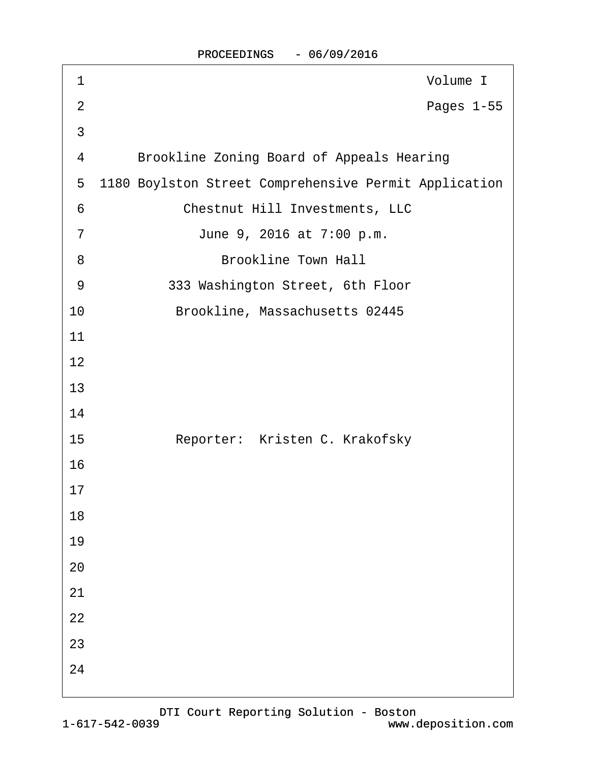| 1              | Volume I                                              |
|----------------|-------------------------------------------------------|
| $\overline{2}$ | Pages 1-55                                            |
| 3              |                                                       |
| 4              | <b>Brookline Zoning Board of Appeals Hearing</b>      |
| 5              | 1180 Boylston Street Comprehensive Permit Application |
| 6              | <b>Chestnut Hill Investments, LLC</b>                 |
| $\overline{7}$ | June 9, 2016 at 7:00 p.m.                             |
| 8              | <b>Brookline Town Hall</b>                            |
| 9              | 333 Washington Street, 6th Floor                      |
| 10             | Brookline, Massachusetts 02445                        |
| 11             |                                                       |
| 12             |                                                       |
| 13             |                                                       |
| 14             |                                                       |
| 15             | Reporter: Kristen C. Krakofsky                        |
| 16             |                                                       |
| 17             |                                                       |
| 18             |                                                       |
| 19             |                                                       |
| 20             |                                                       |
| 21             |                                                       |
| 22             |                                                       |
| 23             |                                                       |
| 24             |                                                       |
|                |                                                       |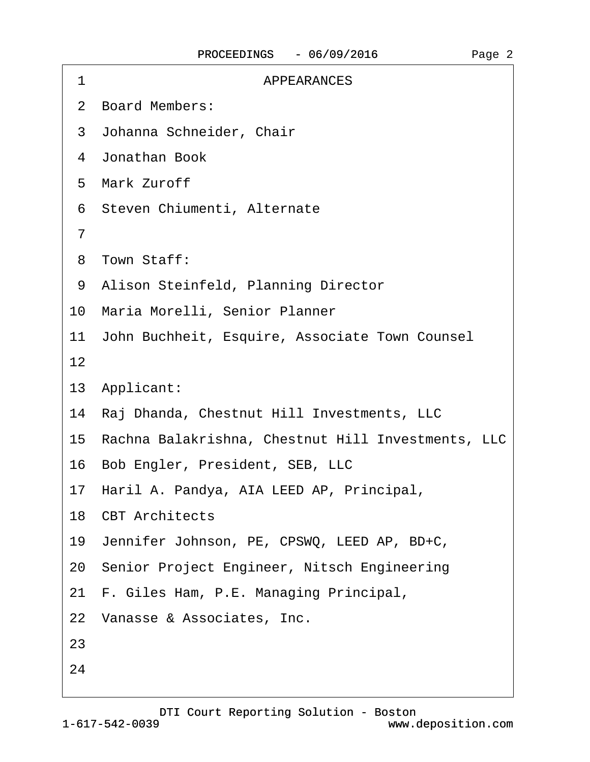| 1  | <b>APPEARANCES</b>                                    |
|----|-------------------------------------------------------|
|    | 2 Board Members:                                      |
|    | 3 Johanna Schneider, Chair                            |
|    | 4 Jonathan Book                                       |
|    | 5 Mark Zuroff                                         |
|    | 6 Steven Chiumenti, Alternate                         |
| 7  |                                                       |
|    | 8 Town Staff:                                         |
|    | 9 Alison Steinfeld, Planning Director                 |
|    | 10 Maria Morelli, Senior Planner                      |
|    | 11 John Buchheit, Esquire, Associate Town Counsel     |
| 12 |                                                       |
|    | 13 Applicant:                                         |
|    | 14 Raj Dhanda, Chestnut Hill Investments, LLC         |
|    | 15 Rachna Balakrishna, Chestnut Hill Investments, LLC |
|    | 16 Bob Engler, President, SEB, LLC                    |
|    | 17 Haril A. Pandya, AIA LEED AP, Principal,           |
|    | 18 CBT Architects                                     |
|    | 19 Jennifer Johnson, PE, CPSWQ, LEED AP, BD+C,        |
|    | 20 Senior Project Engineer, Nitsch Engineering        |
|    | 21 F. Giles Ham, P.E. Managing Principal,             |
|    | 22 Vanasse & Associates, Inc.                         |
| 23 |                                                       |
| 24 |                                                       |
|    |                                                       |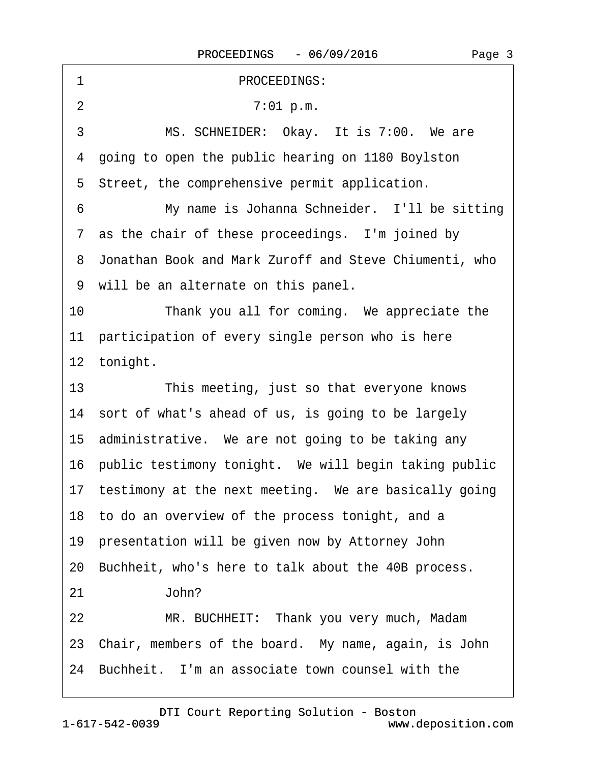| PROCEEDINGS:<br>1                                        |
|----------------------------------------------------------|
| $\overline{2}$<br>7:01 p.m.                              |
| MS. SCHNEIDER: Okay. It is 7:00. We are<br>3             |
| 4 going to open the public hearing on 1180 Boylston      |
| 5 Street, the comprehensive permit application.          |
| My name is Johanna Schneider. I'll be sitting<br>6       |
| 7 as the chair of these proceedings. I'm joined by       |
| 8 Jonathan Book and Mark Zuroff and Steve Chiumenti, who |
| 9 will be an alternate on this panel.                    |
| Thank you all for coming. We appreciate the<br>10        |
| 11 participation of every single person who is here      |
| 12 tonight.                                              |
| 13<br>This meeting, just so that everyone knows          |
| 14 sort of what's ahead of us, is going to be largely    |
| 15 administrative. We are not going to be taking any     |
| 16 public testimony tonight. We will begin taking public |
| 17 testimony at the next meeting. We are basically going |
| 18 to do an overview of the process tonight, and a       |
| 19 presentation will be given now by Attorney John       |
| 20 Buchheit, who's here to talk about the 40B process.   |
| John?<br>21                                              |
| MR. BUCHHEIT: Thank you very much, Madam<br>22           |
| 23 Chair, members of the board. My name, again, is John  |
| 24 Buchheit. I'm an associate town counsel with the      |
|                                                          |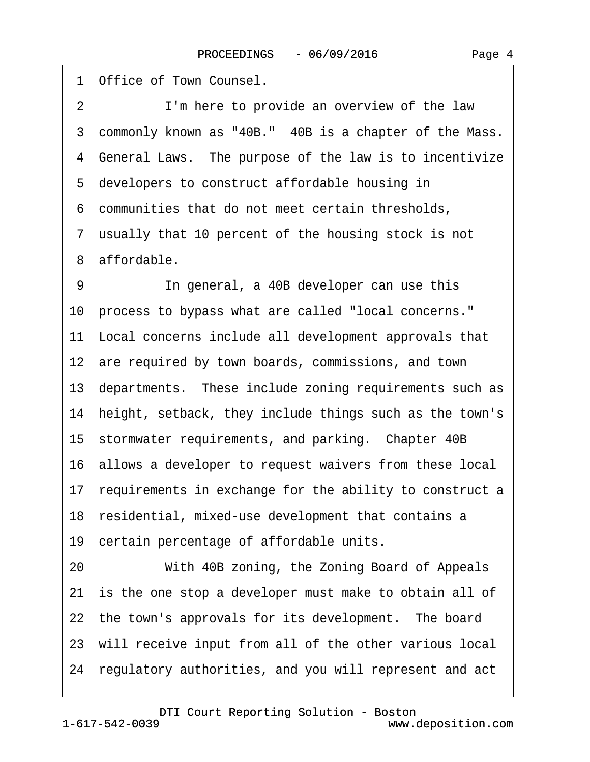1 Office of Town Counsel. 2 I'm here to provide an overview of the law 3 commonly known as "40B." 40B is a chapter of the Mass. 4 General Laws. The purpose of the law is to incentivize 5 developers to construct affordable housing in ·6· communities that do not meet certain thresholds, 7 usually that 10 percent of the housing stock is not 8 affordable. 9 **In general, a 40B developer can use this** 10· process to bypass what are called "local concerns." 11 Local concerns include all development approvals that 12 are required by town boards, commissions, and town 13 departments. These include zoning requirements such as 14 height, setback, they include things such as the town's 15 stormwater requirements, and parking. Chapter 40B 16· allows a developer to request waivers from these local 17 requirements in exchange for the ability to construct a 18 residential, mixed-use development that contains a 19 certain percentage of affordable units. 20 With 40B zoning, the Zoning Board of Appeals 21 is the one stop a developer must make to obtain all of 22 the town's approvals for its development. The board 23 will receive input from all of the other various local 24· regulatory authorities, and you will represent and act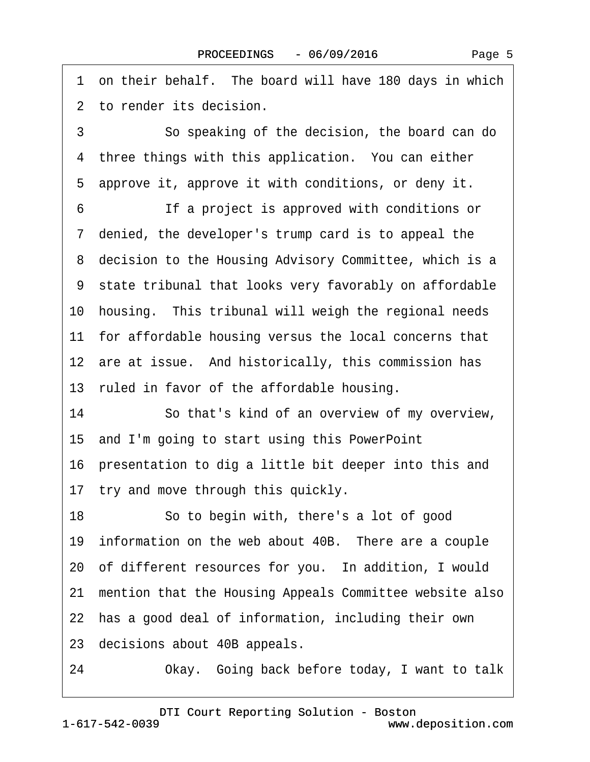| 1 on their behalf. The board will have 180 days in which   |
|------------------------------------------------------------|
| 2 to render its decision.                                  |
| 3<br>So speaking of the decision, the board can do         |
| 4 three things with this application. You can either       |
| 5 approve it, approve it with conditions, or deny it.      |
| If a project is approved with conditions or<br>6           |
| 7 denied, the developer's trump card is to appeal the      |
| 8 decision to the Housing Advisory Committee, which is a   |
| 9 state tribunal that looks very favorably on affordable   |
| 10 housing. This tribunal will weigh the regional needs    |
| 11 for affordable housing versus the local concerns that   |
| 12 are at issue. And historically, this commission has     |
| 13 ruled in favor of the affordable housing.               |
| 14<br>So that's kind of an overview of my overview,        |
| 15 and I'm going to start using this PowerPoint            |
| 16 presentation to dig a little bit deeper into this and   |
| 17 try and move through this quickly.                      |
| 18<br>So to begin with, there's a lot of good              |
| 19 information on the web about 40B. There are a couple    |
| 20 of different resources for you. In addition, I would    |
| 21 mention that the Housing Appeals Committee website also |
| 22 has a good deal of information, including their own     |
| 23 decisions about 40B appeals.                            |
| 24<br>Okay. Going back before today, I want to talk        |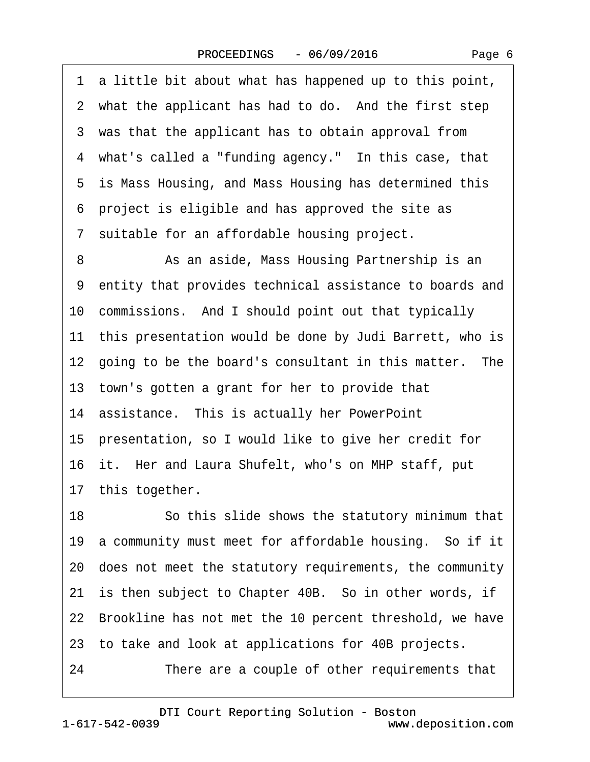| Page 6 |  |
|--------|--|
|        |  |

·1· a little bit about what has happened up to this point, 2 what the applicant has had to do. And the first step 3 was that the applicant has to obtain approval from 4 what's called a "funding agency." In this case, that 5 is Mass Housing, and Mass Housing has determined this ·6· project is eligible and has approved the site as ·7· suitable for an affordable housing project. 8 **8** As an aside, Mass Housing Partnership is an ·9· entity that provides technical assistance to boards and 10· commissions.· And I should point out that typically 11 this presentation would be done by Judi Barrett, who is 12 going to be the board's consultant in this matter. The 13· town's gotten a grant for her to provide that 14 assistance. This is actually her PowerPoint 15· presentation, so I would like to give her credit for 16 it. Her and Laura Shufelt, who's on MHP staff, put 17 this together. 18 • So this slide shows the statutory minimum that 19 a community must meet for affordable housing. So if it 20· does not meet the statutory requirements, the community 21 is then subject to Chapter 40B. So in other words, if 22 Brookline has not met the 10 percent threshold, we have 23· to take and look at applications for 40B projects. 24 There are a couple of other requirements that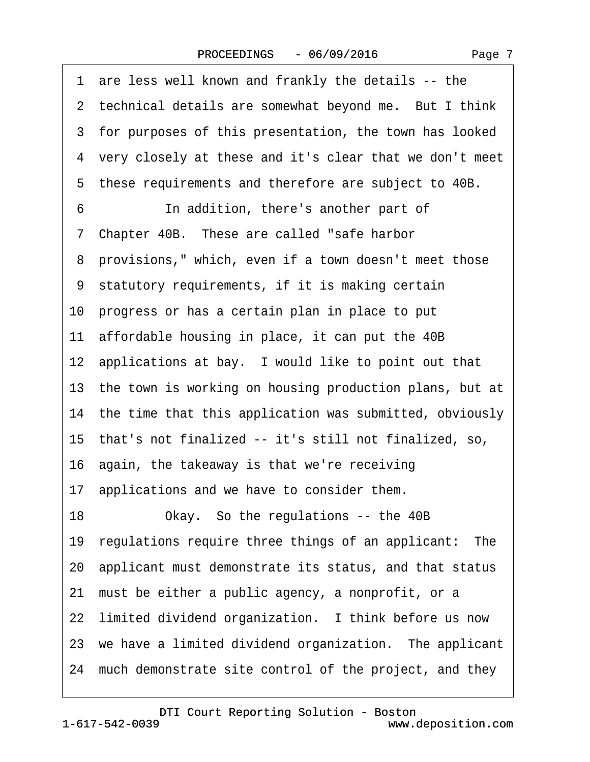| 1 are less well known and frankly the details -- the       |
|------------------------------------------------------------|
| 2 technical details are somewhat beyond me. But I think    |
| 3 for purposes of this presentation, the town has looked   |
| 4 very closely at these and it's clear that we don't meet  |
| 5 these requirements and therefore are subject to 40B.     |
| 6<br>In addition, there's another part of                  |
| 7 Chapter 40B. These are called "safe harbor               |
| 8 provisions," which, even if a town doesn't meet those    |
| 9 statutory requirements, if it is making certain          |
| 10 progress or has a certain plan in place to put          |
| 11 affordable housing in place, it can put the 40B         |
| 12 applications at bay. I would like to point out that     |
| 13 the town is working on housing production plans, but at |
| 14 the time that this application was submitted, obviously |
| 15 that's not finalized -- it's still not finalized, so,   |
| 16 again, the takeaway is that we're receiving             |
| 17 applications and we have to consider them.              |
| Okay. So the regulations -- the 40B<br>18                  |
| 19 regulations require three things of an applicant: The   |
| 20 applicant must demonstrate its status, and that status  |
| must be either a public agency, a nonprofit, or a<br>21    |
| 22 limited dividend organization. I think before us now    |
| 23 we have a limited dividend organization. The applicant  |
| 24 much demonstrate site control of the project, and they  |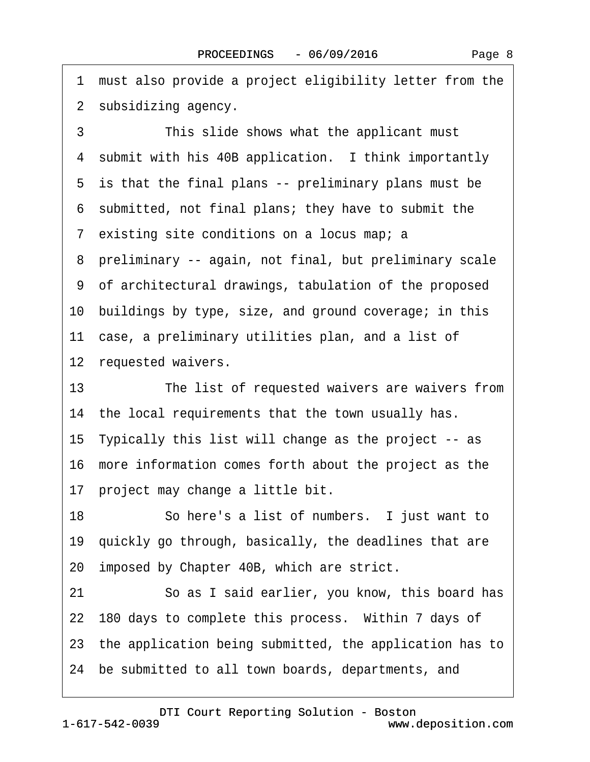1 must also provide a project eligibility letter from the 2 subsidizing agency.

3 This slide shows what the applicant must 4 submit with his 40B application. I think importantly 5 is that the final plans -- preliminary plans must be ·6· submitted, not final plans; they have to submit the 7 existing site conditions on a locus map; a ·8· preliminary -- again, not final, but preliminary scale ·9· of architectural drawings, tabulation of the proposed 10· buildings by type, size, and ground coverage; in this 11 case, a preliminary utilities plan, and a list of 12 requested waivers. 13 The list of requested waivers are waivers from

14 the local requirements that the town usually has. 15· Typically this list will change as the project -- as 16· more information comes forth about the project as the 17 project may change a little bit.

18 · · So here's a list of numbers. I just want to 19· quickly go through, basically, the deadlines that are 20 imposed by Chapter 40B, which are strict.

21 · · So as I said earlier, you know, this board has 22 180 days to complete this process. Within 7 days of 23· the application being submitted, the application has to

24· be submitted to all town boards, departments, and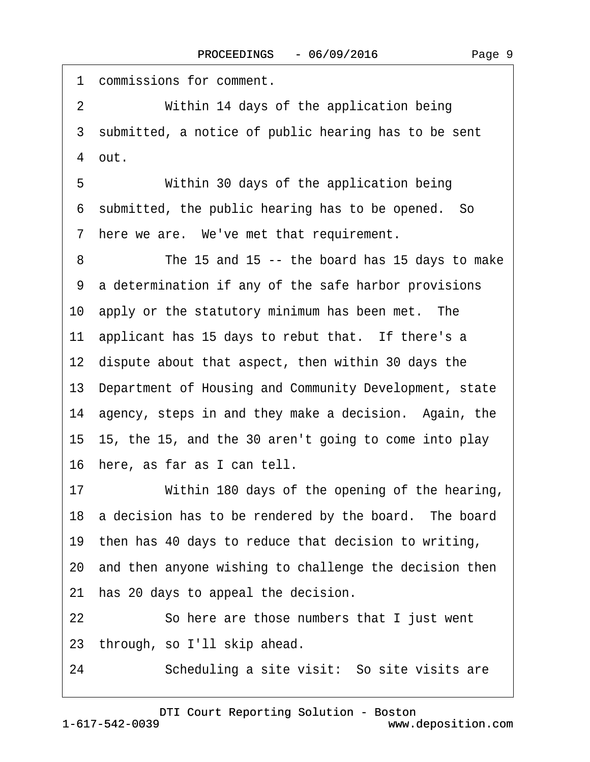1 commissions for comment. 2 Within 14 days of the application being 3 submitted, a notice of public hearing has to be sent ·4· out. 5 Within 30 days of the application being ·6· submitted, the public hearing has to be opened.· So 7 here we are. We've met that requirement. 8 The 15 and 15 -- the board has 15 days to make ·9· a determination if any of the safe harbor provisions 10 apply or the statutory minimum has been met. The 11 applicant has 15 days to rebut that. If there's a 12· dispute about that aspect, then within 30 days the 13· Department of Housing and Community Development, state 14 agency, steps in and they make a decision. Again, the 15· 15, the 15, and the 30 aren't going to come into play 16· here, as far as I can tell. 17 Within 180 days of the opening of the hearing, 18 a decision has to be rendered by the board. The board 19 then has 40 days to reduce that decision to writing, 20· and then anyone wishing to challenge the decision then 21 has 20 days to appeal the decision. 22 So here are those numbers that I just went 23· through, so I'll skip ahead. 24 • Scheduling a site visit: So site visits are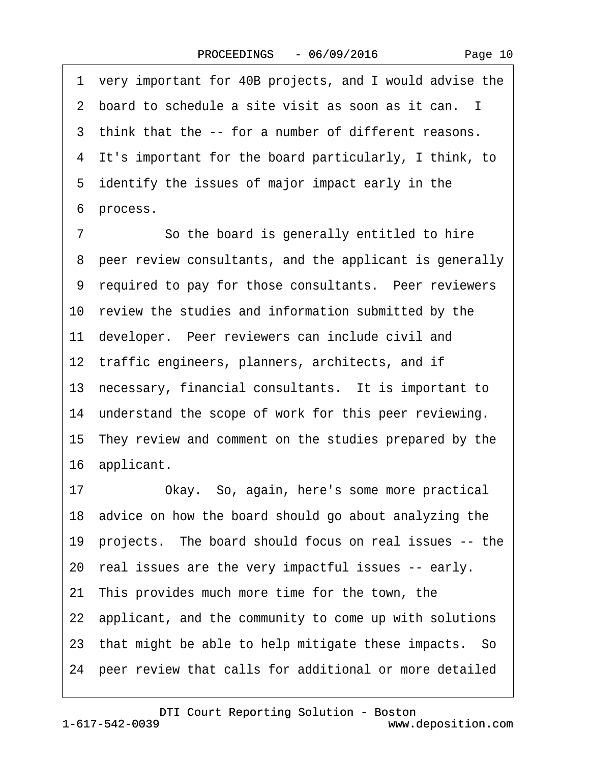Page 10

·1· very important for 40B projects, and I would advise the 2 board to schedule a site visit as soon as it can. I 3 think that the -- for a number of different reasons. ·4· It's important for the board particularly, I think, to 5 identify the issues of major impact early in the 6 process. 7 So the board is generally entitled to hire 8 peer review consultants, and the applicant is generally 9 required to pay for those consultants. Peer reviewers 10 review the studies and information submitted by the 11 developer. Peer reviewers can include civil and 12 traffic engineers, planners, architects, and if 13 necessary, financial consultants. It is important to 14 understand the scope of work for this peer reviewing. 15· They review and comment on the studies prepared by the 16 applicant. 17 Okay. So, again, here's some more practical 18· advice on how the board should go about analyzing the 19· projects.· The board should focus on real issues -- the 20· real issues are the very impactful issues -- early. 21 This provides much more time for the town, the 22· applicant, and the community to come up with solutions 23 that might be able to help mitigate these impacts. So 24· peer review that calls for additional or more detailed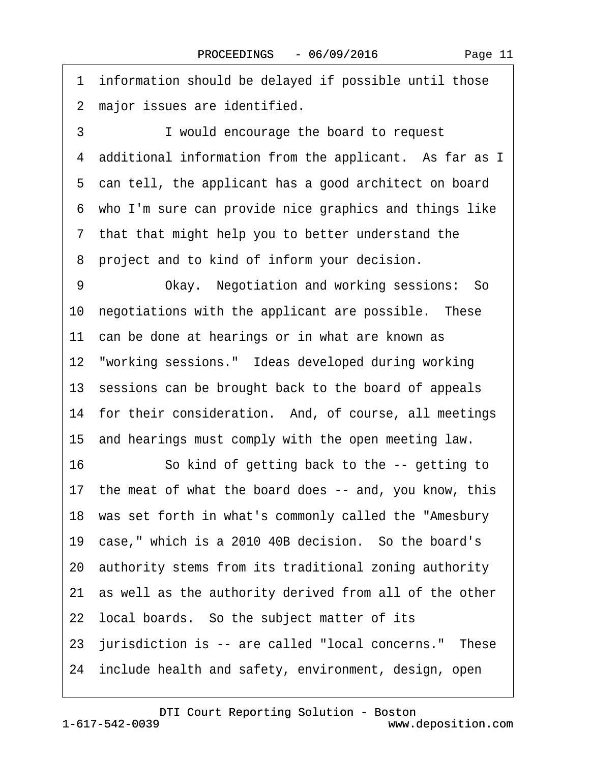1 information should be delayed if possible until those 2 major issues are identified.

3 **I** would encourage the board to request 4 additional information from the applicant. As far as I 5 can tell, the applicant has a good architect on board ·6· who I'm sure can provide nice graphics and things like ·7· that that might help you to better understand the 8 project and to kind of inform your decision.

9 • Okay. Negotiation and working sessions: So 10 negotiations with the applicant are possible. These 11 can be done at hearings or in what are known as 12 "working sessions." Ideas developed during working 13 sessions can be brought back to the board of appeals 14 for their consideration. And, of course, all meetings 15· and hearings must comply with the open meeting law. 16 So kind of getting back to the -- getting to

17 the meat of what the board does -- and, you know, this

18· was set forth in what's commonly called the "Amesbury

19 case," which is a 2010 40B decision. So the board's

20· authority stems from its traditional zoning authority

21· as well as the authority derived from all of the other

22 local boards. So the subject matter of its

23 jurisdiction is -- are called "local concerns." These

24 include health and safety, environment, design, open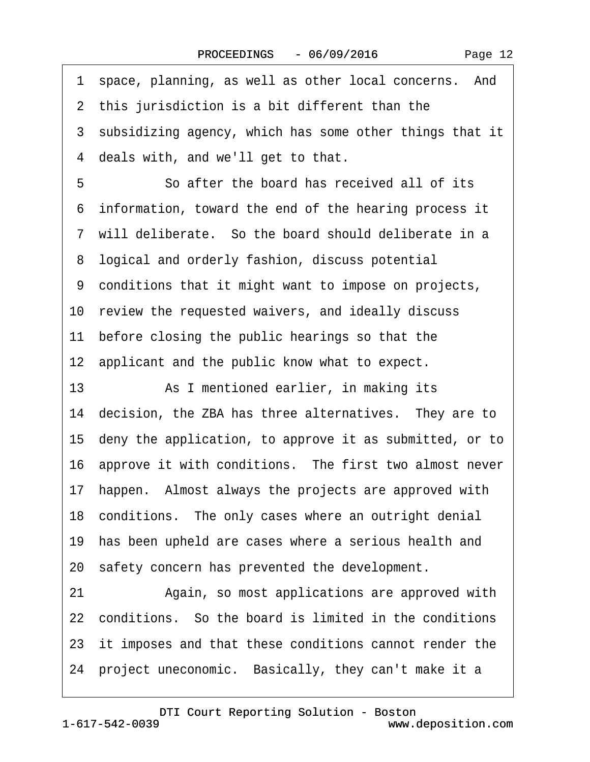|  | Page 12 |  |
|--|---------|--|
|--|---------|--|

1 space, planning, as well as other local concerns. And 2 this jurisdiction is a bit different than the 3 subsidizing agency, which has some other things that it 4 deals with, and we'll get to that. 5 **5** • So after the board has received all of its ·6· information, toward the end of the hearing process it ·7· will deliberate.· So the board should deliberate in a 8 logical and orderly fashion, discuss potential ·9· conditions that it might want to impose on projects, 10 review the requested waivers, and ideally discuss 11 before closing the public hearings so that the 12 applicant and the public know what to expect. 13· · · · · ·As I mentioned earlier, in making its 14 decision, the ZBA has three alternatives. They are to 15· deny the application, to approve it as submitted, or to 16 approve it with conditions. The first two almost never 17 happen. Almost always the projects are approved with 18 conditions. The only cases where an outright denial 19 has been upheld are cases where a serious health and 20 safety concern has prevented the development. 21 • Again, so most applications are approved with 22· conditions.· So the board is limited in the conditions 23 it imposes and that these conditions cannot render the 24 project uneconomic. Basically, they can't make it a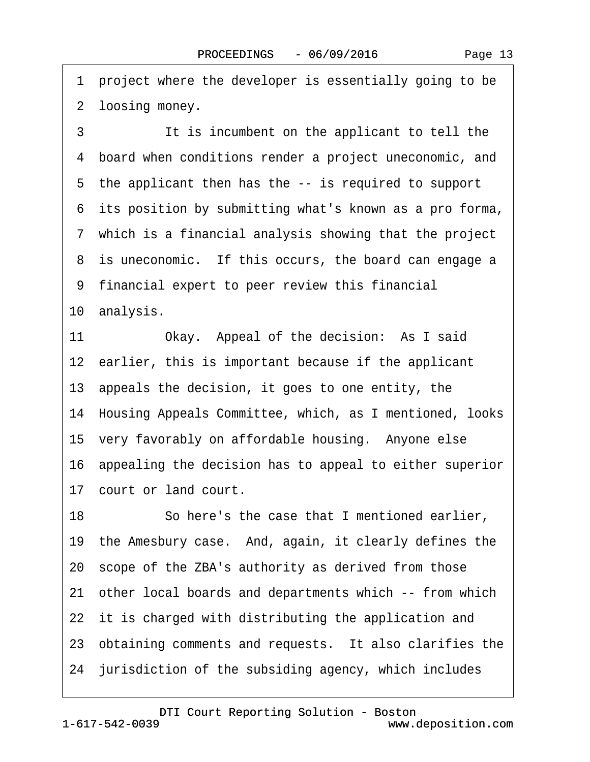Page 13

·1· project where the developer is essentially going to be 2 loosing money. 3 **It is incumbent on the applicant to tell the** ·4· board when conditions render a project uneconomic, and 5 the applicant then has the -- is required to support 6 its position by submitting what's known as a pro forma, ·7· which is a financial analysis showing that the project 8 is uneconomic. If this occurs, the board can engage a ·9· financial expert to peer review this financial 10 analysis. 11 Okay. Appeal of the decision: As I said 12 earlier, this is important because if the applicant 13· appeals the decision, it goes to one entity, the 14· Housing Appeals Committee, which, as I mentioned, looks 15 very favorably on affordable housing. Anyone else 16 appealing the decision has to appeal to either superior 17 court or land court. 18 So here's the case that I mentioned earlier, 19 the Amesbury case. And, again, it clearly defines the 20· scope of the ZBA's authority as derived from those 21· other local boards and departments which -- from which 22 it is charged with distributing the application and 23 obtaining comments and requests. It also clarifies the

24 jurisdiction of the subsiding agency, which includes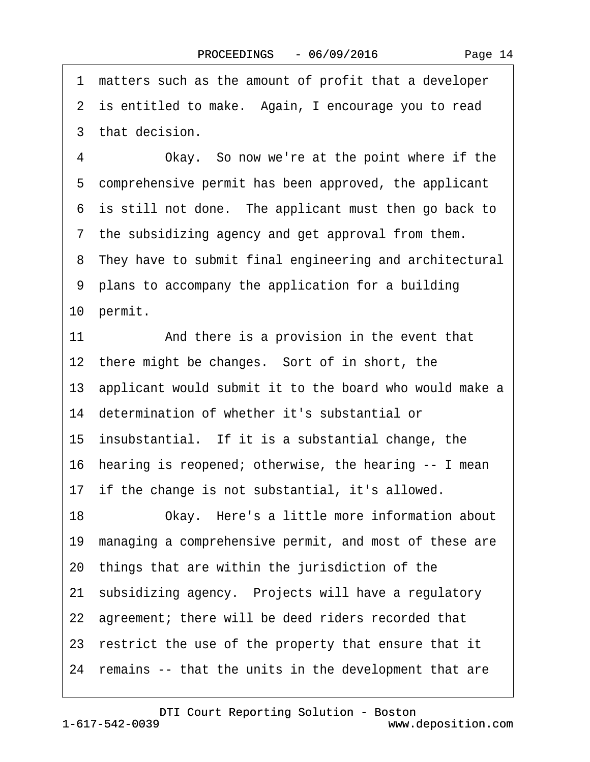·1· matters such as the amount of profit that a developer 2 is entitled to make. Again, I encourage you to read 3 that decision. 4 Okay. So now we're at the point where if the 5 comprehensive permit has been approved, the applicant 6 is still not done. The applicant must then go back to 7 the subsidizing agency and get approval from them. 8 They have to submit final engineering and architectural ·9· plans to accompany the application for a building 10 permit. 11 And there is a provision in the event that 12 there might be changes. Sort of in short, the 13· applicant would submit it to the board who would make a 14 determination of whether it's substantial or 15 insubstantial. If it is a substantial change, the 16· hearing is reopened; otherwise, the hearing -- I mean 17 if the change is not substantial, it's allowed. 18 Okay. Here's a little more information about 19· managing a comprehensive permit, and most of these are 20· things that are within the jurisdiction of the 21 subsidizing agency. Projects will have a regulatory 22 agreement; there will be deed riders recorded that 23 restrict the use of the property that ensure that it 24 remains -- that the units in the development that are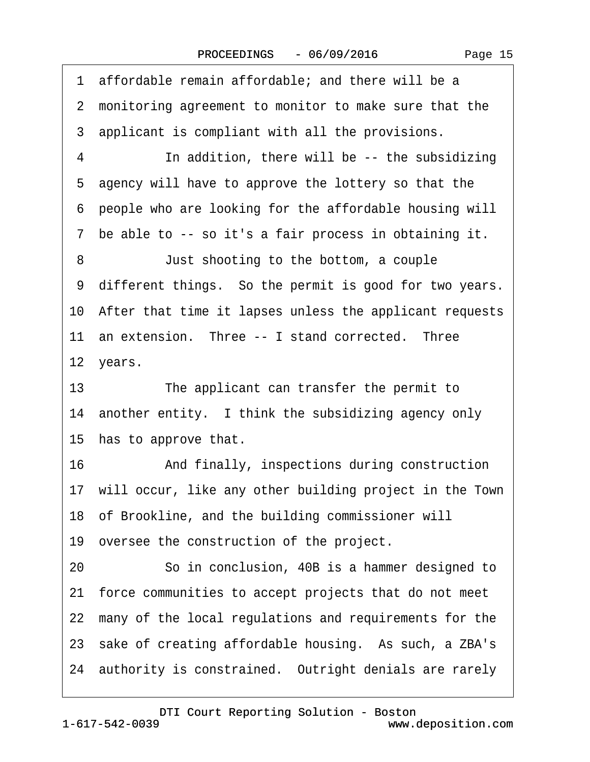·1· affordable remain affordable; and there will be a 2 monitoring agreement to monitor to make sure that the 3 applicant is compliant with all the provisions. 4 In addition, there will be -- the subsidizing ·5· agency will have to approve the lottery so that the ·6· people who are looking for the affordable housing will ·7· be able to -- so it's a fair process in obtaining it. 8 **Just shooting to the bottom, a couple** 9 different things. So the permit is good for two years. 10· After that time it lapses unless the applicant requests 11 an extension. Three -- I stand corrected. Three 12 years. 13 The applicant can transfer the permit to 14 another entity. I think the subsidizing agency only 15 has to approve that. 16 • • And finally, inspections during construction 17· will occur, like any other building project in the Town 18· of Brookline, and the building commissioner will 19 oversee the construction of the project. 20 **· · · So in conclusion, 40B is a hammer designed to** 21· force communities to accept projects that do not meet 22 many of the local regulations and requirements for the 23 sake of creating affordable housing. As such, a ZBA's 24 authority is constrained. Outright denials are rarely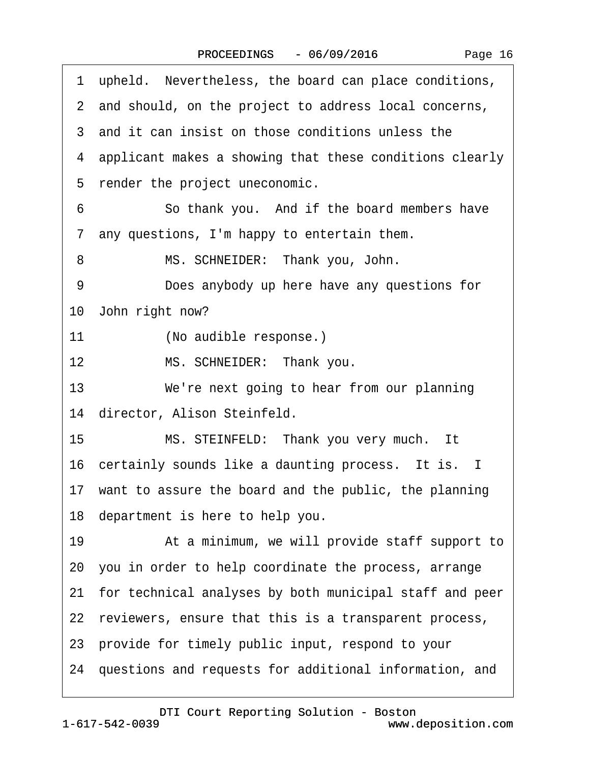|    | 1 upheld. Nevertheless, the board can place conditions,    |
|----|------------------------------------------------------------|
|    | 2 and should, on the project to address local concerns,    |
|    | 3 and it can insist on those conditions unless the         |
|    | 4 applicant makes a showing that these conditions clearly  |
|    | 5 render the project uneconomic.                           |
| 6  | So thank you. And if the board members have                |
|    | 7 any questions, I'm happy to entertain them.              |
| 8  | MS. SCHNEIDER: Thank you, John.                            |
| 9  | Does anybody up here have any questions for                |
|    | 10 John right now?                                         |
| 11 | (No audible response.)                                     |
| 12 | MS. SCHNEIDER: Thank you.                                  |
| 13 | We're next going to hear from our planning                 |
|    | 14 director, Alison Steinfeld.                             |
| 15 | MS. STEINFELD: Thank you very much. It                     |
|    | 16 certainly sounds like a daunting process. It is. I      |
|    | 17 want to assure the board and the public, the planning   |
|    | 18 department is here to help you.                         |
| 19 | At a minimum, we will provide staff support to             |
|    | 20 you in order to help coordinate the process, arrange    |
|    | 21 for technical analyses by both municipal staff and peer |
|    | 22 reviewers, ensure that this is a transparent process,   |
|    | 23 provide for timely public input, respond to your        |
|    | 24 questions and requests for additional information, and  |
|    |                                                            |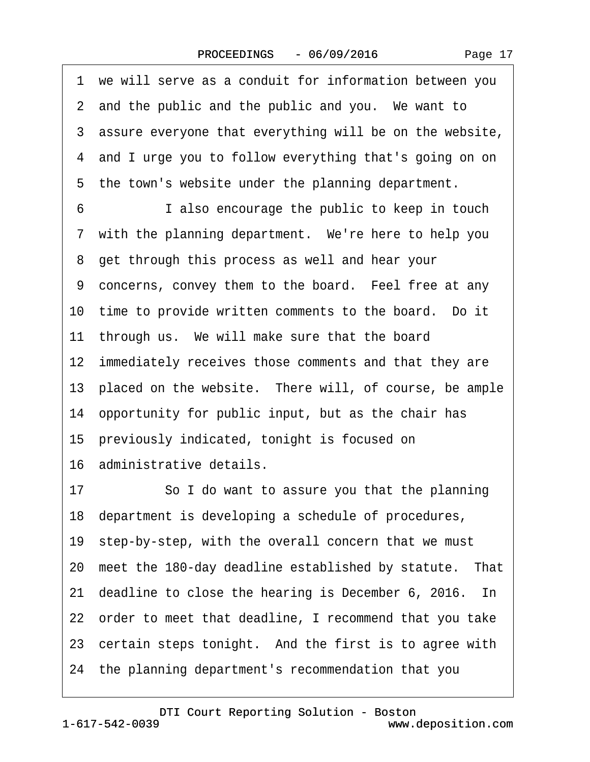|  | Page 17 |  |
|--|---------|--|
|--|---------|--|

·1· we will serve as a conduit for information between you 2 and the public and the public and you. We want to 3 assure everyone that everything will be on the website, 4 and I urge you to follow everything that's going on on 5 the town's website under the planning department. 6 **I** also encourage the public to keep in touch 7 with the planning department. We're here to help you 8 get through this process as well and hear your 9 concerns, convey them to the board. Feel free at any 10 time to provide written comments to the board. Do it 11 through us. We will make sure that the board 12 immediately receives those comments and that they are 13 placed on the website. There will, of course, be ample 14· opportunity for public input, but as the chair has 15 previously indicated, tonight is focused on 16· administrative details. 17 So I do want to assure you that the planning 18· department is developing a schedule of procedures, 19 step-by-step, with the overall concern that we must 20 meet the 180-day deadline established by statute. That 21 deadline to close the hearing is December 6, 2016. In 22· order to meet that deadline, I recommend that you take 23 certain steps tonight. And the first is to agree with 24· the planning department's recommendation that you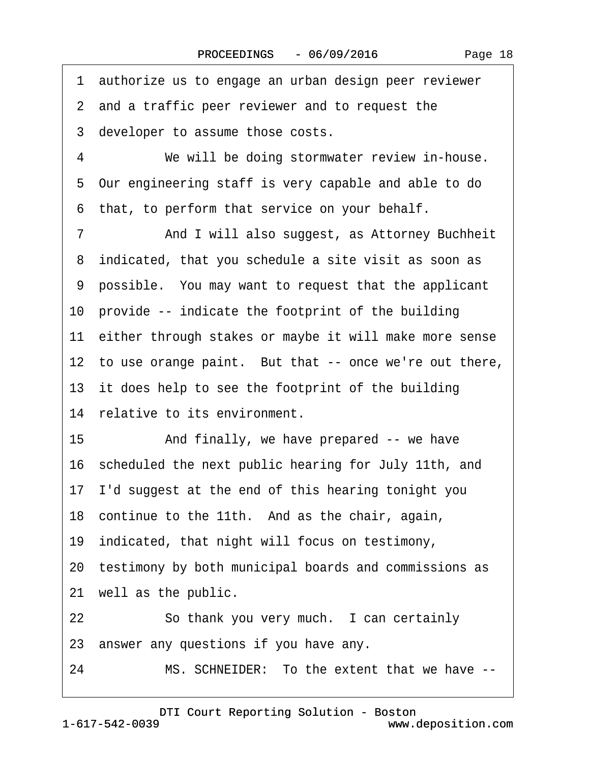·1· authorize us to engage an urban design peer reviewer 2 and a traffic peer reviewer and to request the 3 developer to assume those costs. 4 We will be doing stormwater review in-house. ·5· Our engineering staff is very capable and able to do 6 that, to perform that service on your behalf. 7 **And I will also suggest, as Attorney Buchheit** 8 indicated, that you schedule a site visit as soon as ·9· possible.· You may want to request that the applicant 10 provide -- indicate the footprint of the building 11 either through stakes or maybe it will make more sense 12 to use orange paint. But that -- once we're out there, 13 it does help to see the footprint of the building 14 relative to its environment. 15 • And finally, we have prepared -- we have 16· scheduled the next public hearing for July 11th, and 17· I'd suggest at the end of this hearing tonight you 18 continue to the 11th. And as the chair, again, 19 indicated, that night will focus on testimony, 20 testimony by both municipal boards and commissions as 21 well as the public. 22 So thank you very much. I can certainly 23· answer any questions if you have any.

24 MS. SCHNEIDER: To the extent that we have --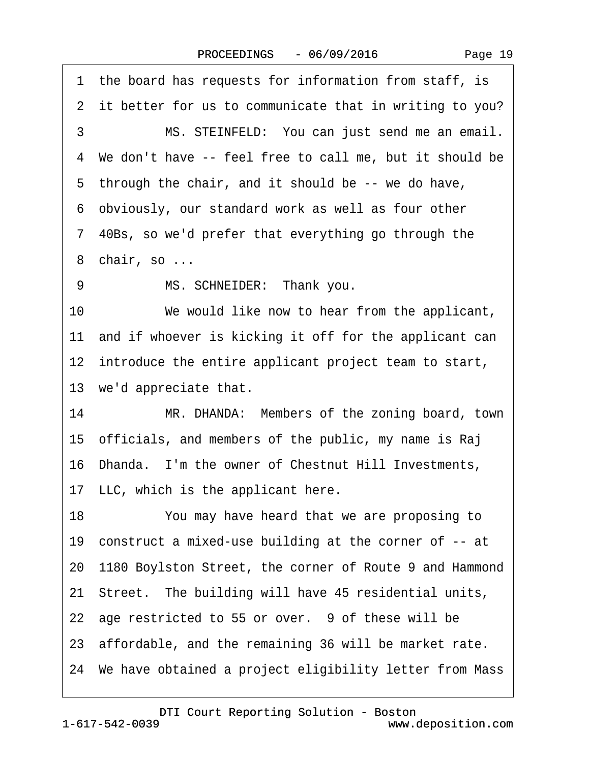Page 19

1 the board has requests for information from staff, is 2 it better for us to communicate that in writing to you? 3 MS. STEINFELD: You can just send me an email. ·4· We don't have -- feel free to call me, but it should be 5 through the chair, and it should be -- we do have, ·6· obviously, our standard work as well as four other ·7· 40Bs, so we'd prefer that everything go through the 8 chair, so ... 9 MS. SCHNEIDER: Thank you. 10 We would like now to hear from the applicant, 11 and if whoever is kicking it off for the applicant can 12 introduce the entire applicant project team to start, 13 we'd appreciate that. 14 MR. DHANDA: Members of the zoning board, town 15· officials, and members of the public, my name is Raj 16· Dhanda.· I'm the owner of Chestnut Hill Investments, 17 LLC, which is the applicant here. 18 You may have heard that we are proposing to 19 construct a mixed-use building at the corner of -- at 20· 1180 Boylston Street, the corner of Route 9 and Hammond 21· Street.· The building will have 45 residential units, 22 age restricted to 55 or over. 9 of these will be 23· affordable, and the remaining 36 will be market rate. 24· We have obtained a project eligibility letter from Mass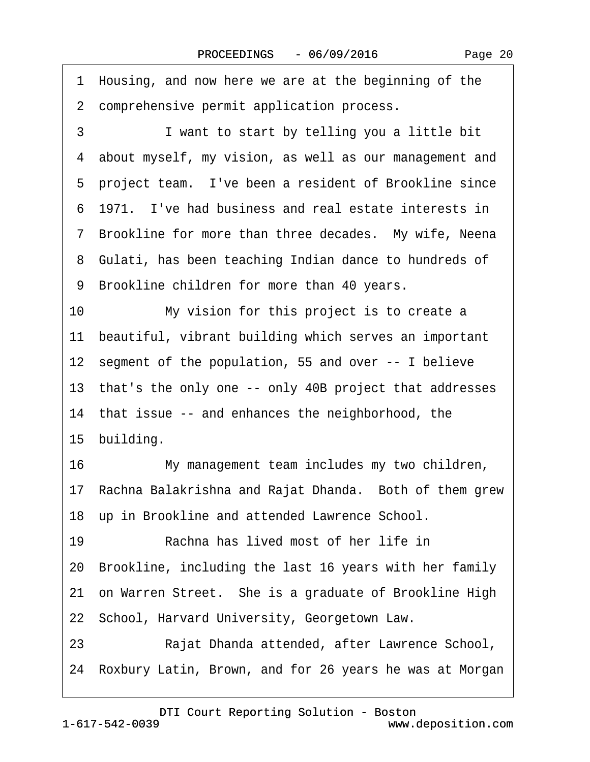|    | 1 Housing, and now here we are at the beginning of the     |
|----|------------------------------------------------------------|
|    | 2 comprehensive permit application process.                |
| 3  | I want to start by telling you a little bit                |
|    | 4 about myself, my vision, as well as our management and   |
|    | 5 project team. I've been a resident of Brookline since    |
|    | 6 1971. I've had business and real estate interests in     |
|    | 7 Brookline for more than three decades. My wife, Neena    |
|    | 8 Gulati, has been teaching Indian dance to hundreds of    |
|    | 9 Brookline children for more than 40 years.               |
| 10 | My vision for this project is to create a                  |
|    | 11 beautiful, vibrant building which serves an important   |
|    | 12 segment of the population, 55 and over -- I believe     |
|    | 13 that's the only one -- only 40B project that addresses  |
|    | 14 that issue -- and enhances the neighborhood, the        |
|    | 15 building.                                               |
| 16 | My management team includes my two children,               |
|    | 17 Rachna Balakrishna and Rajat Dhanda. Both of them grew  |
|    | 18 up in Brookline and attended Lawrence School.           |
| 19 | Rachna has lived most of her life in                       |
| 20 | Brookline, including the last 16 years with her family     |
|    | 21 on Warren Street. She is a graduate of Brookline High   |
|    | 22 School, Harvard University, Georgetown Law.             |
| 23 | Rajat Dhanda attended, after Lawrence School,              |
|    | 24 Roxbury Latin, Brown, and for 26 years he was at Morgan |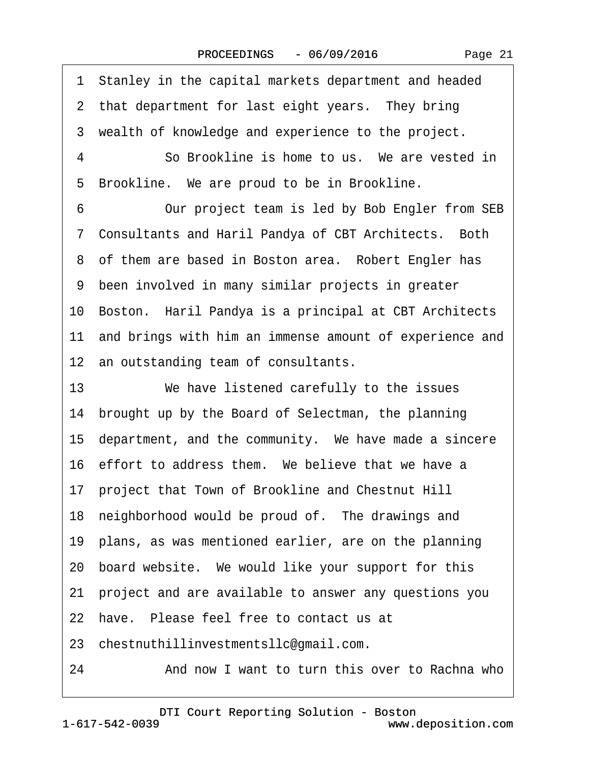Page 21

·1· Stanley in the capital markets department and headed 2 that department for last eight years. They bring 3 wealth of knowledge and experience to the project. 4 **· · · · So Brookline is home to us.** We are vested in 5 Brookline. We are proud to be in Brookline. 6 Our project team is led by Bob Engler from SEB ·7· Consultants and Haril Pandya of CBT Architects.· Both 8 of them are based in Boston area. Robert Engler has ·9· been involved in many similar projects in greater 10· Boston.· Haril Pandya is a principal at CBT Architects 11 and brings with him an immense amount of experience and 12 an outstanding team of consultants. 13 We have listened carefully to the issues 14 brought up by the Board of Selectman, the planning 15 department, and the community. We have made a sincere 16 effort to address them. We believe that we have a 17· project that Town of Brookline and Chestnut Hill 18 neighborhood would be proud of. The drawings and 19 plans, as was mentioned earlier, are on the planning 20· board website.· We would like your support for this 21· project and are available to answer any questions you 22 have. Please feel free to contact us at 23· chestnuthillinvestmentsllc@gmail.com. 24 • 24 • And now I want to turn this over to Rachna who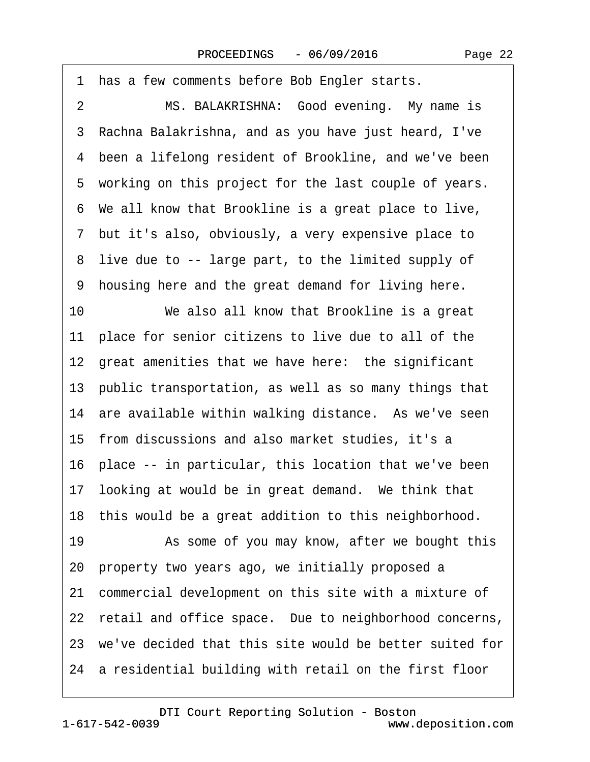1 has a few comments before Bob Engler starts. 2 MS. BALAKRISHNA: Good evening. My name is ·3· Rachna Balakrishna, and as you have just heard, I've 4 been a lifelong resident of Brookline, and we've been 5 working on this project for the last couple of years. ·6· We all know that Brookline is a great place to live, ·7· but it's also, obviously, a very expensive place to 8 live due to -- large part, to the limited supply of ·9· housing here and the great demand for living here. 10 We also all know that Brookline is a great 11 place for senior citizens to live due to all of the 12 great amenities that we have here: the significant 13· public transportation, as well as so many things that 14 are available within walking distance. As we've seen 15 from discussions and also market studies, it's a 16 place -- in particular, this location that we've been 17 looking at would be in great demand. We think that 18 this would be a great addition to this neighborhood. 19 • As some of you may know, after we bought this 20· property two years ago, we initially proposed a 21 commercial development on this site with a mixture of 22 retail and office space. Due to neighborhood concerns, 23· we've decided that this site would be better suited for 24 a residential building with retail on the first floor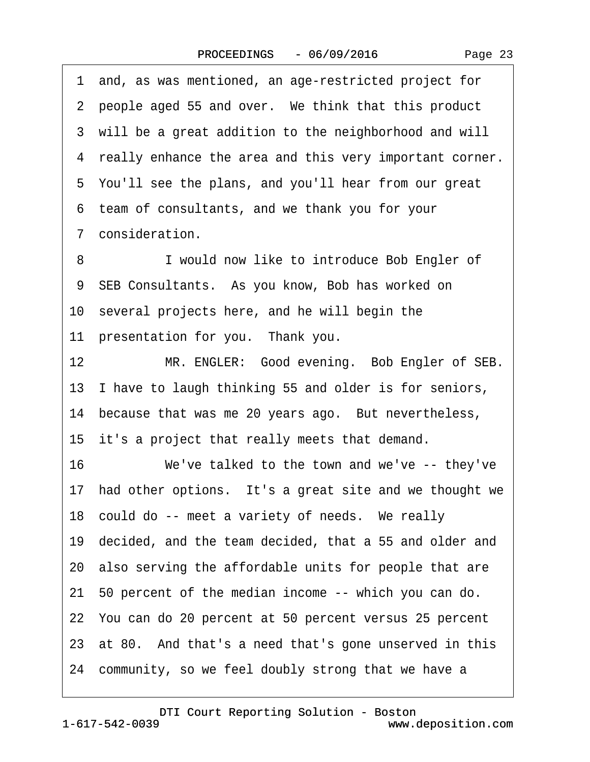| Page 23 |  |
|---------|--|
|---------|--|

·1· and, as was mentioned, an age-restricted project for 2 people aged 55 and over. We think that this product 3 will be a great addition to the neighborhood and will 4 really enhance the area and this very important corner. ·5· You'll see the plans, and you'll hear from our great ·6· team of consultants, and we thank you for your 7 consideration. 8 **I** would now like to introduce Bob Engler of 9 SEB Consultants. As you know, Bob has worked on 10· several projects here, and he will begin the 11 presentation for you. Thank you. 12 MR. ENGLER: Good evening. Bob Engler of SEB. 13 I have to laugh thinking 55 and older is for seniors, 14 because that was me 20 years ago. But nevertheless, 15 it's a project that really meets that demand. 16 We've talked to the town and we've -- they've 17 had other options. It's a great site and we thought we 18 could do -- meet a variety of needs. We really 19· decided, and the team decided, that a 55 and older and 20· also serving the affordable units for people that are 21· 50 percent of the median income -- which you can do. 22· You can do 20 percent at 50 percent versus 25 percent 23 at 80. And that's a need that's gone unserved in this 24 community, so we feel doubly strong that we have a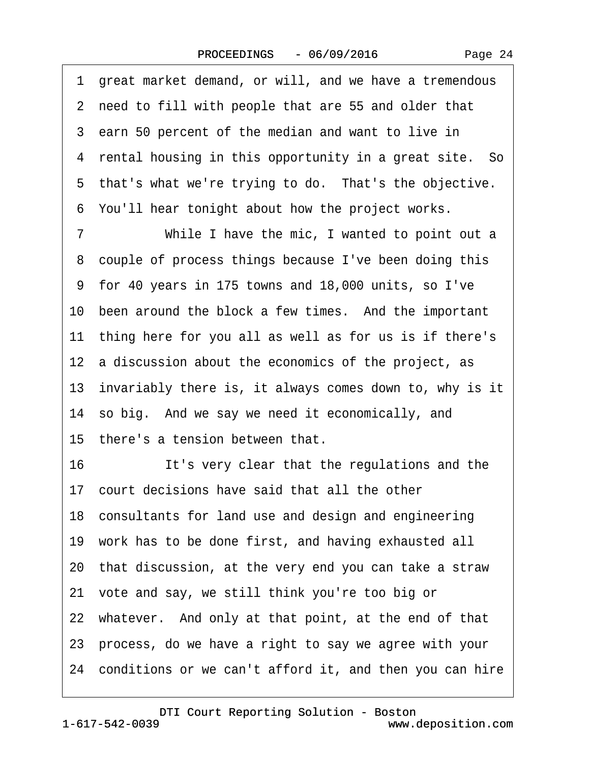·1· great market demand, or will, and we have a tremendous ·2· need to fill with people that are 55 and older that 3 earn 50 percent of the median and want to live in 4 rental housing in this opportunity in a great site. So 5 that's what we're trying to do. That's the objective. ·6· You'll hear tonight about how the project works. 7 While I have the mic, I wanted to point out a 8 couple of process things because I've been doing this ·9· for 40 years in 175 towns and 18,000 units, so I've 10 been around the block a few times. And the important 11 thing here for you all as well as for us is if there's 12 a discussion about the economics of the project, as 13· invariably there is, it always comes down to, why is it 14 so big. And we say we need it economically, and 15 there's a tension between that. 16 **It's very clear that the regulations and the** 17 court decisions have said that all the other 18 consultants for land use and design and engineering 19· work has to be done first, and having exhausted all 20· that discussion, at the very end you can take a straw 21· vote and say, we still think you're too big or 22 whatever. And only at that point, at the end of that 23· process, do we have a right to say we agree with your 24· conditions or we can't afford it, and then you can hire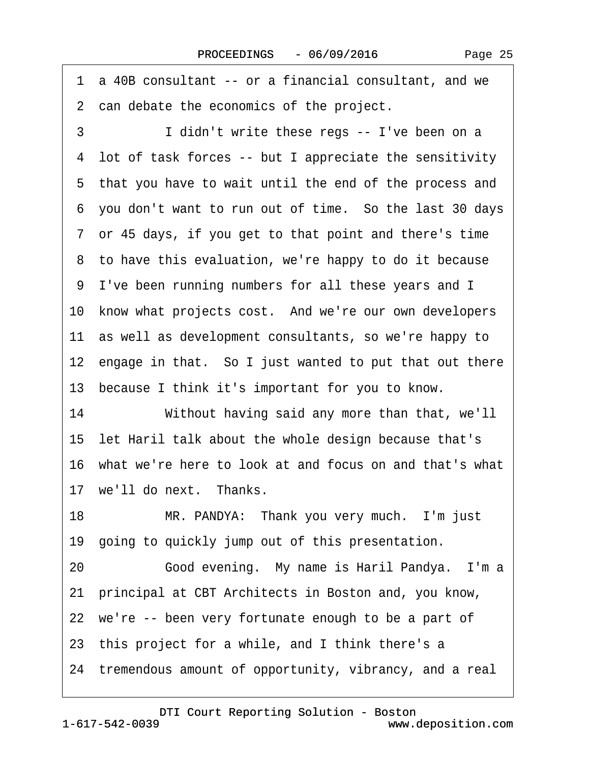| a 40B consultant -- or a financial consultant, and we<br>1 |
|------------------------------------------------------------|
| 2 can debate the economics of the project.                 |
| 3<br>I didn't write these regs -- I've been on a           |
| 4 lot of task forces -- but I appreciate the sensitivity   |
| 5 that you have to wait until the end of the process and   |
| 6 you don't want to run out of time. So the last 30 days   |
| 7 or 45 days, if you get to that point and there's time    |
| 8 to have this evaluation, we're happy to do it because    |
| 9 I've been running numbers for all these years and I      |
| 10 know what projects cost. And we're our own developers   |
| 11 as well as development consultants, so we're happy to   |
| 12 engage in that. So I just wanted to put that out there  |
| 13 because I think it's important for you to know.         |
| 14<br>Without having said any more than that, we'll        |
| 15 let Haril talk about the whole design because that's    |
| 16 what we're here to look at and focus on and that's what |
| 17 we'll do next. Thanks.                                  |
| 18<br>MR. PANDYA: Thank you very much. I'm just            |
| 19 going to quickly jump out of this presentation.         |
| Good evening. My name is Haril Pandya. I'm a<br>20         |
| 21 principal at CBT Architects in Boston and, you know,    |
| 22 we're -- been very fortunate enough to be a part of     |
| 23 this project for a while, and I think there's a         |
| 24 tremendous amount of opportunity, vibrancy, and a real  |
|                                                            |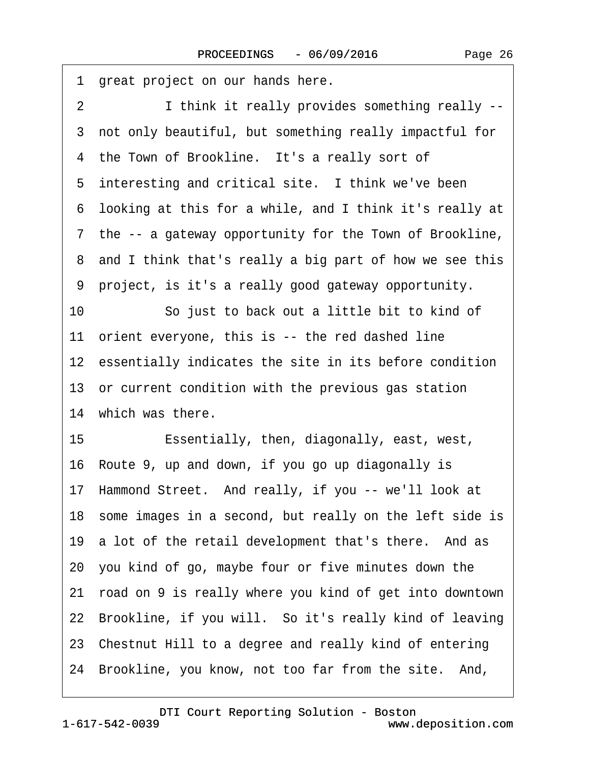| great project on our hands here.<br>1                            |
|------------------------------------------------------------------|
| $\overline{2}$<br>I think it really provides something really -- |
| 3 not only beautiful, but something really impactful for         |
| 4 the Town of Brookline. It's a really sort of                   |
| 5 interesting and critical site. I think we've been              |
| 6 looking at this for a while, and I think it's really at        |
| 7 the -- a gateway opportunity for the Town of Brookline,        |
| 8 and I think that's really a big part of how we see this        |
| 9 project, is it's a really good gateway opportunity.            |
| 10<br>So just to back out a little bit to kind of                |
| 11 orient everyone, this is -- the red dashed line               |
| 12 essentially indicates the site in its before condition        |
| 13 or current condition with the previous gas station            |
| 14 which was there.                                              |
| 15<br>Essentially, then, diagonally, east, west,                 |
| 16 Route 9, up and down, if you go up diagonally is              |
| 17 Hammond Street. And really, if you -- we'll look at           |
| 18 some images in a second, but really on the left side is       |
| 19 a lot of the retail development that's there. And as          |
| 20 you kind of go, maybe four or five minutes down the           |
| 21 road on 9 is really where you kind of get into downtown       |
| 22 Brookline, if you will. So it's really kind of leaving        |
| 23 Chestnut Hill to a degree and really kind of entering         |
| 24 Brookline, you know, not too far from the site. And,          |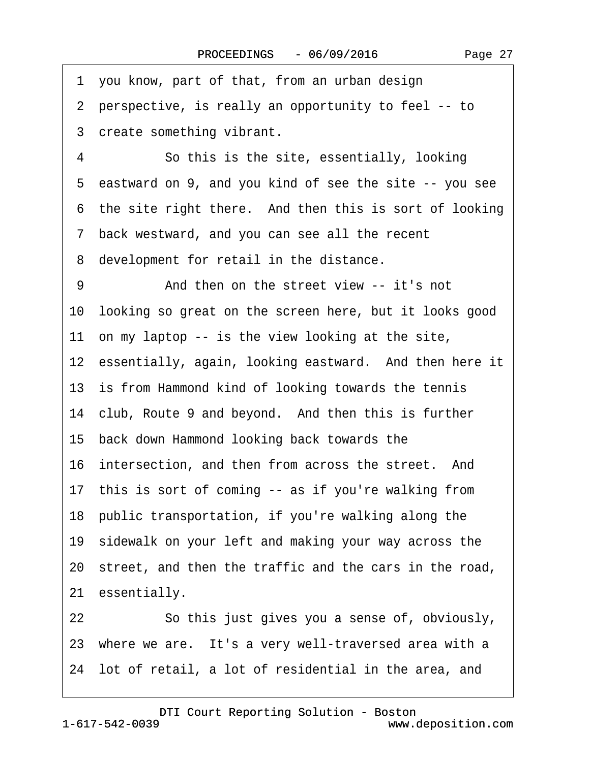·1· you know, part of that, from an urban design ·2· perspective, is really an opportunity to feel -- to 3 create something vibrant. 4 So this is the site, essentially, looking ·5· eastward on 9, and you kind of see the site -- you see 6 the site right there. And then this is sort of looking ·7· back westward, and you can see all the recent 8 development for retail in the distance. 9 And then on the street view -- it's not 10· looking so great on the screen here, but it looks good 11 on my laptop  $-$  is the view looking at the site, 12 essentially, again, looking eastward. And then here it 13 is from Hammond kind of looking towards the tennis 14 club, Route 9 and beyond. And then this is further 15· back down Hammond looking back towards the 16 intersection, and then from across the street. And 17 this is sort of coming -- as if you're walking from 18· public transportation, if you're walking along the 19 sidewalk on your left and making your way across the 20· street, and then the traffic and the cars in the road, 21 essentially. 22 So this just gives you a sense of, obviously, 23 where we are. It's a very well-traversed area with a 24· lot of retail, a lot of residential in the area, and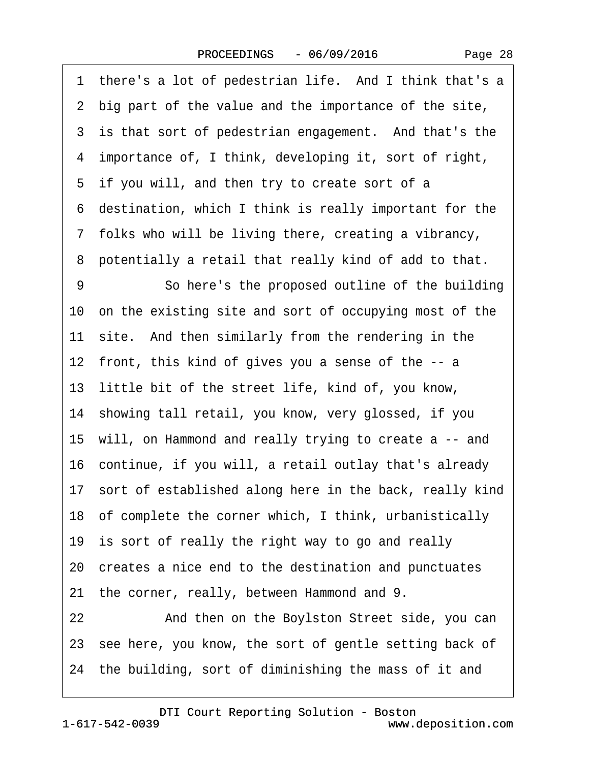Page 28

| 1  | there's a lot of pedestrian life. And I think that's a     |
|----|------------------------------------------------------------|
|    | 2 big part of the value and the importance of the site,    |
|    | 3 is that sort of pedestrian engagement. And that's the    |
|    | 4 importance of, I think, developing it, sort of right,    |
|    | 5 if you will, and then try to create sort of a            |
|    | 6 destination, which I think is really important for the   |
|    | 7 folks who will be living there, creating a vibrancy,     |
| 8  | potentially a retail that really kind of add to that.      |
| 9  | So here's the proposed outline of the building             |
|    | 10 on the existing site and sort of occupying most of the  |
|    | 11 site. And then similarly from the rendering in the      |
|    | 12 front, this kind of gives you a sense of the -- a       |
|    | 13 little bit of the street life, kind of, you know,       |
|    | 14 showing tall retail, you know, very glossed, if you     |
|    | 15 will, on Hammond and really trying to create a -- and   |
|    | 16 continue, if you will, a retail outlay that's already   |
|    | 17 sort of established along here in the back, really kind |
|    | 18 of complete the corner which, I think, urbanistically   |
|    | 19 is sort of really the right way to go and really        |
|    | 20 creates a nice end to the destination and punctuates    |
|    | 21 the corner, really, between Hammond and 9.              |
| 22 | And then on the Boylston Street side, you can              |
|    | 23 see here, you know, the sort of gentle setting back of  |
|    | 24 the building, sort of diminishing the mass of it and    |
|    |                                                            |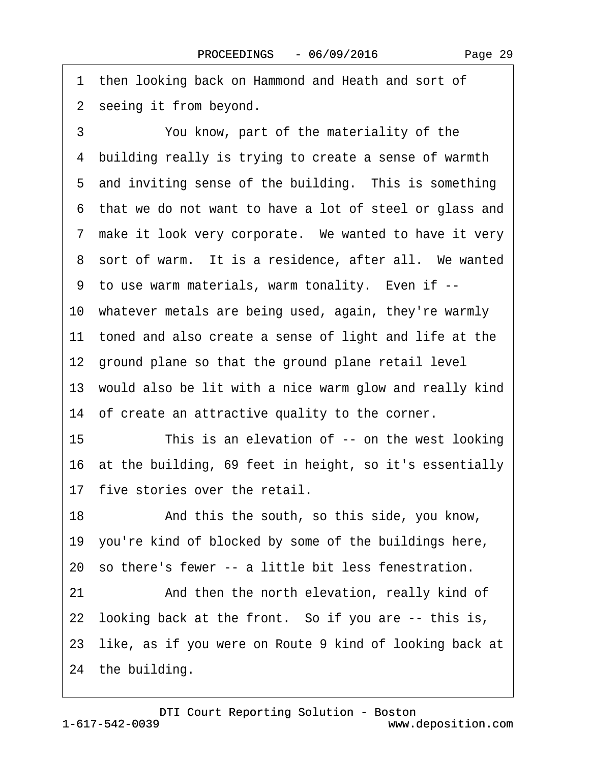Page 29

1 then looking back on Hammond and Heath and sort of 2 seeing it from beyond.

3 You know, part of the materiality of the ·4· building really is trying to create a sense of warmth 5 and inviting sense of the building. This is something 6 that we do not want to have a lot of steel or glass and 7 make it look very corporate. We wanted to have it very 8 sort of warm. It is a residence, after all. We wanted 9 to use warm materials, warm tonality. Even if --10· whatever metals are being used, again, they're warmly 11 toned and also create a sense of light and life at the 12 ground plane so that the ground plane retail level 13 would also be lit with a nice warm glow and really kind 14 of create an attractive quality to the corner. 15 This is an elevation of -- on the west looking 16· at the building, 69 feet in height, so it's essentially 17 five stories over the retail. 18 • **And this the south, so this side, you know,** 19· you're kind of blocked by some of the buildings here, 20· so there's fewer -- a little bit less fenestration. 21 • **And then the north elevation, really kind of** 22 looking back at the front. So if you are -- this is, 23 like, as if you were on Route 9 kind of looking back at 24 the building.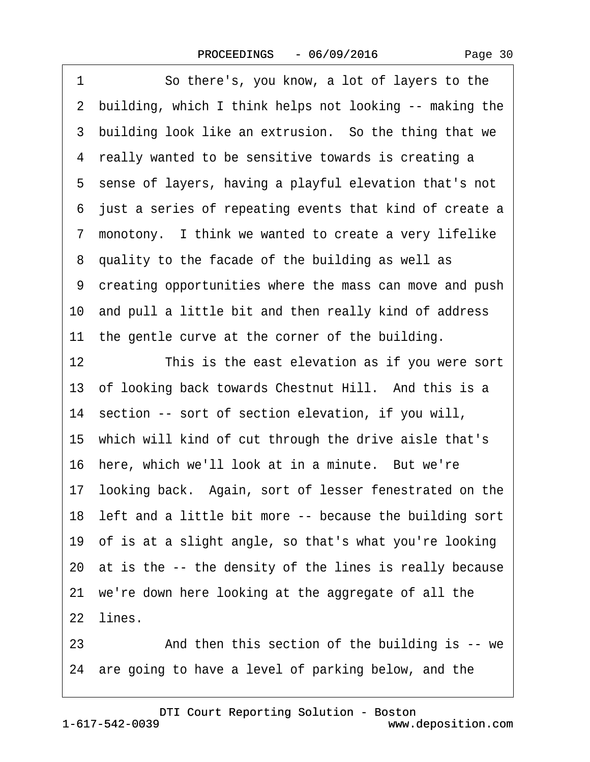| Page 30 |  |
|---------|--|
|---------|--|

1 So there's, you know, a lot of layers to the 2 building, which I think helps not looking -- making the 3 building look like an extrusion. So the thing that we 4 really wanted to be sensitive towards is creating a ·5· sense of layers, having a playful elevation that's not ·6· just a series of repeating events that kind of create a ·7· monotony.· I think we wanted to create a very lifelike ·8· quality to the facade of the building as well as ·9· creating opportunities where the mass can move and push 10 and pull a little bit and then really kind of address 11 the gentle curve at the corner of the building. 12 This is the east elevation as if you were sort 13 of looking back towards Chestnut Hill. And this is a 14· section -- sort of section elevation, if you will, 15· which will kind of cut through the drive aisle that's 16 here, which we'll look at in a minute. But we're 17· looking back.· Again, sort of lesser fenestrated on the 18 left and a little bit more -- because the building sort 19· of is at a slight angle, so that's what you're looking 20· at is the -- the density of the lines is really because 21 we're down here looking at the aggregate of all the 22 lines.

23 And then this section of the building is -- we 24 are going to have a level of parking below, and the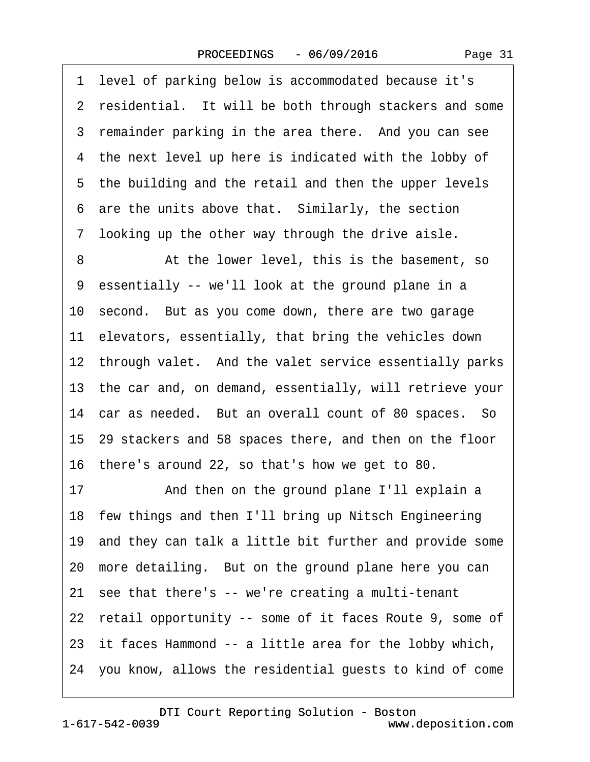·1· level of parking below is accommodated because it's 2 residential. It will be both through stackers and some 3 remainder parking in the area there. And you can see 4 the next level up here is indicated with the lobby of 5 the building and the retail and then the upper levels 6 are the units above that. Similarly, the section 7 looking up the other way through the drive aisle.

8 At the lower level, this is the basement, so ·9· essentially -- we'll look at the ground plane in a 10· second.· But as you come down, there are two garage 11 elevators, essentially, that bring the vehicles down 12 through valet. And the valet service essentially parks 13· the car and, on demand, essentially, will retrieve your 14 car as needed. But an overall count of 80 spaces. So 15· 29 stackers and 58 spaces there, and then on the floor 16· there's around 22, so that's how we get to 80.

17 • And then on the ground plane I'll explain a 18 few things and then I'll bring up Nitsch Engineering 19· and they can talk a little bit further and provide some 20 more detailing. But on the ground plane here you can 21 see that there's -- we're creating a multi-tenant 22 retail opportunity -- some of it faces Route 9, some of 23 it faces Hammond -- a little area for the lobby which, 24· you know, allows the residential guests to kind of come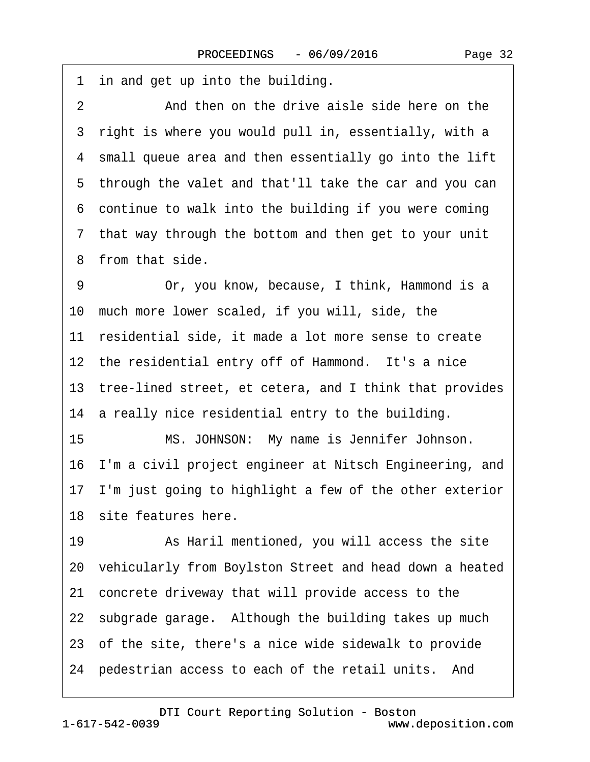1 in and get up into the building.

2 **2** And then on the drive aisle side here on the 3 right is where you would pull in, essentially, with a ·4· small queue area and then essentially go into the lift 5 through the valet and that'll take the car and you can ·6· continue to walk into the building if you were coming ·7· that way through the bottom and then get to your unit ·8· from that side.

9 Or, you know, because, I think, Hammond is a 10 much more lower scaled, if you will, side, the 11 residential side, it made a lot more sense to create 12 the residential entry off of Hammond. It's a nice 13· tree-lined street, et cetera, and I think that provides 14 a really nice residential entry to the building.

15 MS. JOHNSON: My name is Jennifer Johnson. 16· I'm a civil project engineer at Nitsch Engineering, and 17 I'm just going to highlight a few of the other exterior 18 site features here.

19 • As Haril mentioned, you will access the site 20· vehicularly from Boylston Street and head down a heated 21· concrete driveway that will provide access to the 22 subgrade garage. Although the building takes up much 23· of the site, there's a nice wide sidewalk to provide 24 pedestrian access to each of the retail units. And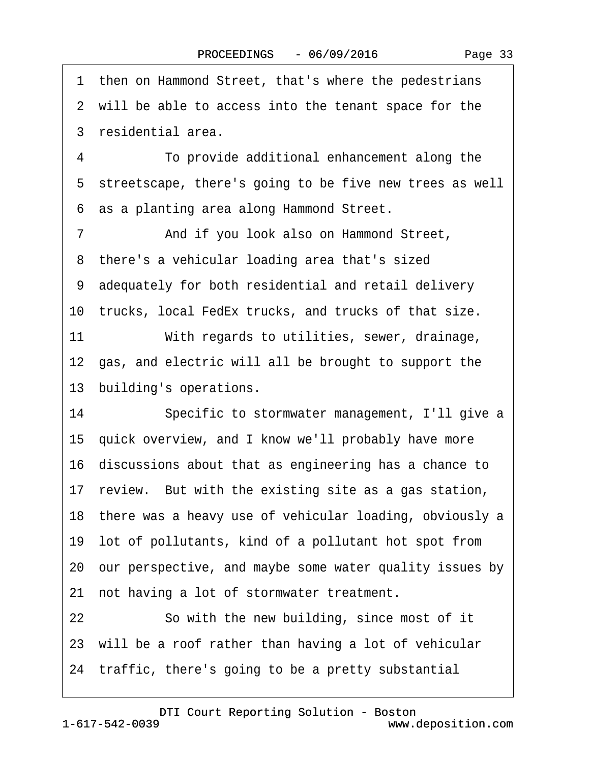·1· then on Hammond Street, that's where the pedestrians 2 will be able to access into the tenant space for the ·3· residential area. ·4· · · · · ·To provide additional enhancement along the 5 streetscape, there's going to be five new trees as well ·6· as a planting area along Hammond Street. 7 **••** And if you look also on Hammond Street, 8 there's a vehicular loading area that's sized ·9· adequately for both residential and retail delivery 10 trucks, local FedEx trucks, and trucks of that size. 11 With regards to utilities, sewer, drainage, 12 gas, and electric will all be brought to support the 13 building's operations. 14 Specific to stormwater management, I'll give a 15· quick overview, and I know we'll probably have more 16· discussions about that as engineering has a chance to 17 review. But with the existing site as a gas station, 18 there was a heavy use of vehicular loading, obviously a 19· lot of pollutants, kind of a pollutant hot spot from 20· our perspective, and maybe some water quality issues by 21 not having a lot of stormwater treatment. 22 So with the new building, since most of it 23 will be a roof rather than having a lot of vehicular 24· traffic, there's going to be a pretty substantial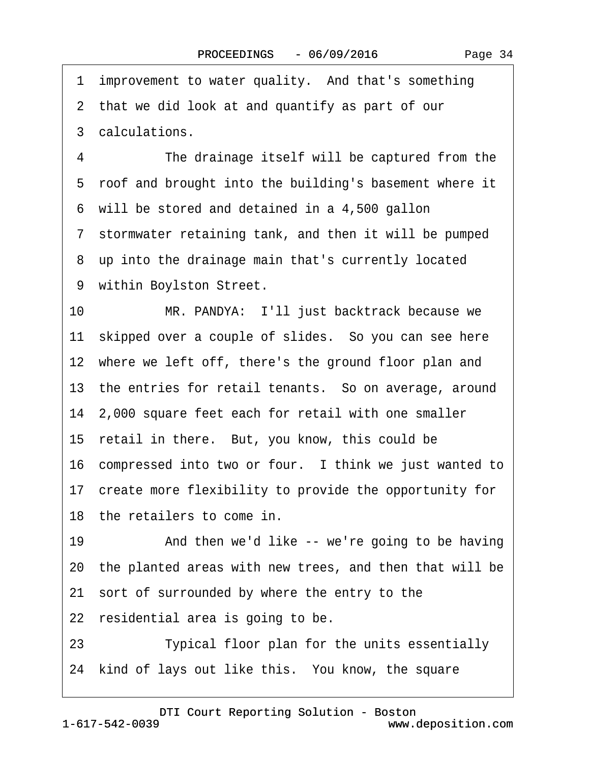1 improvement to water quality. And that's something 2 that we did look at and quantify as part of our 3 calculations. 4 The drainage itself will be captured from the 5 roof and brought into the building's basement where it 6 will be stored and detained in a 4,500 gallon 7 stormwater retaining tank, and then it will be pumped 8 up into the drainage main that's currently located 9 within Boylston Street. 10 MR. PANDYA: I'll just backtrack because we 11 skipped over a couple of slides. So you can see here 12 where we left off, there's the ground floor plan and 13 the entries for retail tenants. So on average, around 14· 2,000 square feet each for retail with one smaller 15 retail in there. But, you know, this could be 16 compressed into two or four. I think we just wanted to 17 create more flexibility to provide the opportunity for 18 the retailers to come in. 19 • And then we'd like -- we're going to be having 20· the planted areas with new trees, and then that will be 21· sort of surrounded by where the entry to the 22 residential area is going to be. 23 **I** Typical floor plan for the units essentially 24 kind of lays out like this. You know, the square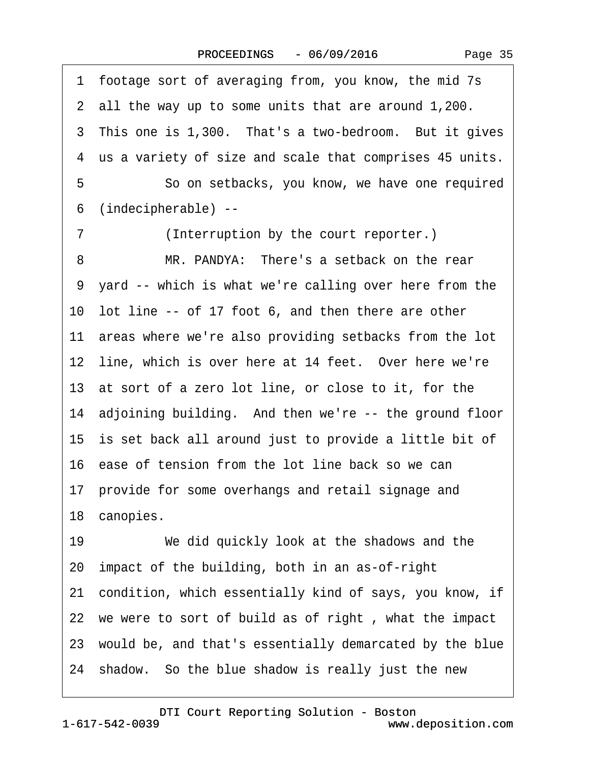·1· footage sort of averaging from, you know, the mid 7s ·2· all the way up to some units that are around 1,200. 3 This one is 1,300. That's a two-bedroom. But it gives ·4· us a variety of size and scale that comprises 45 units. 5 **· · · · So on setbacks, you know, we have one required** ·6· (indecipherable) -- 7 (Interruption by the court reporter.) 8 MR. PANDYA: There's a setback on the rear 9 yard -- which is what we're calling over here from the 10 lot line -- of 17 foot 6, and then there are other 11 areas where we're also providing setbacks from the lot 12 line, which is over here at 14 feet. Over here we're 13 at sort of a zero lot line, or close to it, for the 14 adjoining building. And then we're -- the ground floor 15· is set back all around just to provide a little bit of 16· ease of tension from the lot line back so we can 17 provide for some overhangs and retail signage and 18 canopies. 19 We did quickly look at the shadows and the 20· impact of the building, both in an as-of-right 21· condition, which essentially kind of says, you know, if 22 we were to sort of build as of right, what the impact 23· would be, and that's essentially demarcated by the blue 24· shadow.· So the blue shadow is really just the new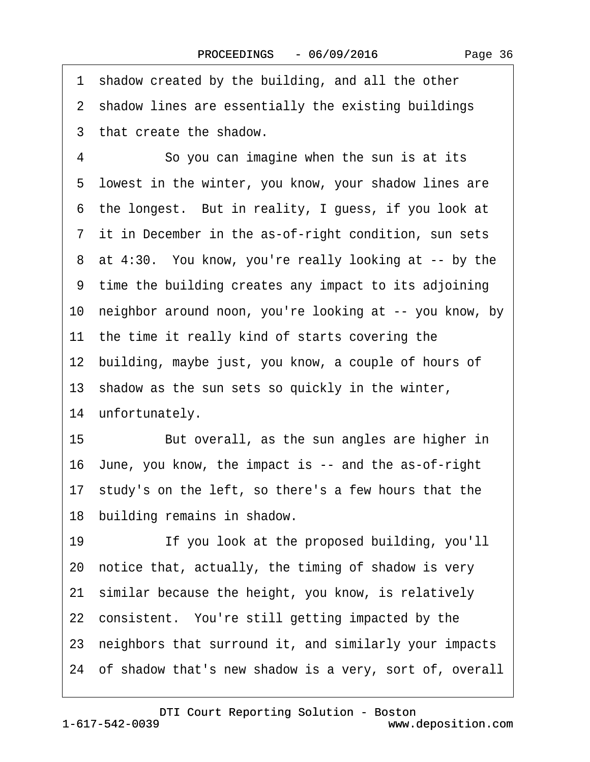1 shadow created by the building, and all the other 2 shadow lines are essentially the existing buildings ·3· that create the shadow. 4 So you can imagine when the sun is at its 5 lowest in the winter, you know, your shadow lines are 6 the longest. But in reality, I guess, if you look at 7 it in December in the as-of-right condition, sun sets 8 at 4:30. You know, you're really looking at -- by the ·9· time the building creates any impact to its adjoining 10· neighbor around noon, you're looking at -- you know, by 11 the time it really kind of starts covering the 12 building, maybe just, you know, a couple of hours of 13· shadow as the sun sets so quickly in the winter, 14 unfortunately. 15 But overall, as the sun angles are higher in 16· June, you know, the impact is -- and the as-of-right 17 study's on the left, so there's a few hours that the 18 building remains in shadow. 19 **If you look at the proposed building, you'll** 20· notice that, actually, the timing of shadow is very 21· similar because the height, you know, is relatively 22 consistent. You're still getting impacted by the 23· neighbors that surround it, and similarly your impacts 24· of shadow that's new shadow is a very, sort of, overall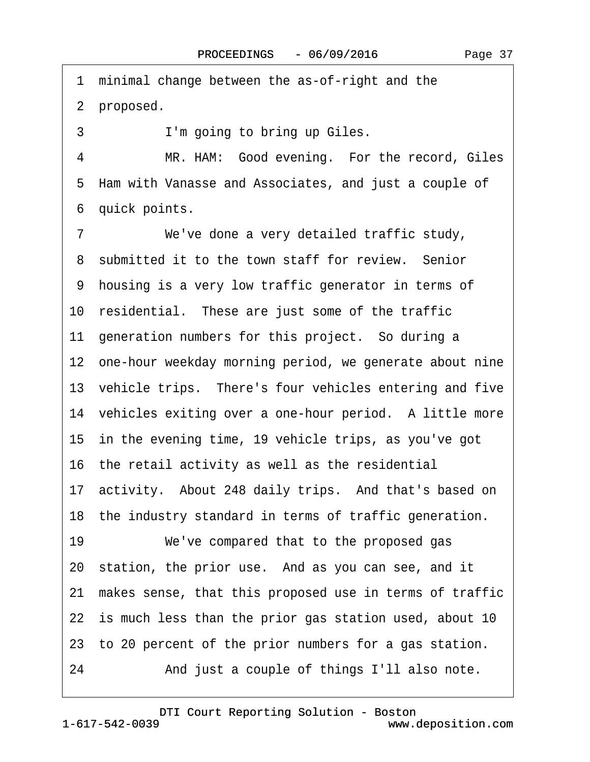Page 37

<span id="page-36-0"></span>1 minimal change between the as-of-right and the 2 proposed. 3 I'm going to bring up Giles. 4 MR. HAM: Good evening. For the record, Giles ·5· Ham with Vanasse and Associates, and just a couple of 6 quick points. 7 We've done a very detailed traffic study, 8 submitted it to the town staff for review. Senior ·9· housing is a very low traffic generator in terms of 10 residential. These are just some of the traffic 11 generation numbers for this project. So during a 12 one-hour weekday morning period, we generate about nine 13 vehicle trips. There's four vehicles entering and five 14 vehicles exiting over a one-hour period. A little more 15 in the evening time, 19 vehicle trips, as you've got 16 the retail activity as well as the residential 17 activity. About 248 daily trips. And that's based on 18 the industry standard in terms of traffic generation. 19 We've compared that to the proposed gas 20 station, the prior use. And as you can see, and it 21· makes sense, that this proposed use in terms of traffic 22 is much less than the prior gas station used, about 10 23· to 20 percent of the prior numbers for a gas station. 24 • And just a couple of things I'll also note.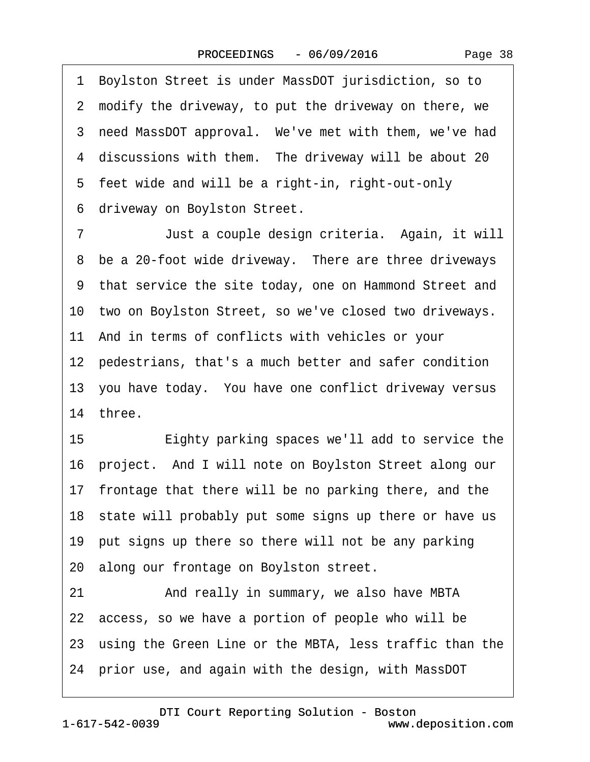Page 38

<span id="page-37-0"></span>·1· Boylston Street is under MassDOT jurisdiction, so to 2 modify the driveway, to put the driveway on there, we 3 need MassDOT approval. We've met with them, we've had 4 discussions with them. The driveway will be about 20 5 feet wide and will be a right-in, right-out-only ·6· driveway on Boylston Street. 7 Just a couple design criteria. Again, it will 8 be a 20-foot wide driveway. There are three driveways 9 that service the site today, one on Hammond Street and 10 two on Boylston Street, so we've closed two driveways. 11· And in terms of conflicts with vehicles or your 12 pedestrians, that's a much better and safer condition 13· you have today.· You have one conflict driveway versus 14 three. 15 • Eighty parking spaces we'll add to service the 16 project. And I will note on Boylston Street along our 17 frontage that there will be no parking there, and the 18 state will probably put some signs up there or have us 19 put signs up there so there will not be any parking 20· along our frontage on Boylston street. 21 And really in summary, we also have MBTA 22 access, so we have a portion of people who will be 23 using the Green Line or the MBTA, less traffic than the

24· prior use, and again with the design, with MassDOT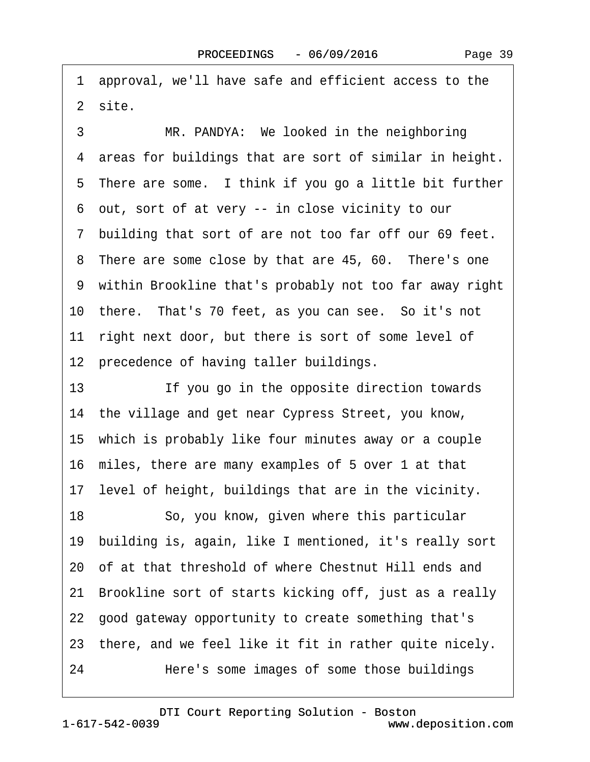<span id="page-38-0"></span>·1· approval, we'll have safe and efficient access to the 2 site.

3 MR. PANDYA: We looked in the neighboring 4 areas for buildings that are sort of similar in height. 5 There are some. I think if you go a little bit further ·6· out, sort of at very -- in close vicinity to our ·7· building that sort of are not too far off our 69 feet. 8 There are some close by that are 45, 60. There's one ·9· within Brookline that's probably not too far away right 10 there. That's 70 feet, as you can see. So it's not 11 right next door, but there is sort of some level of 12 precedence of having taller buildings.

13 **If you go in the opposite direction towards** 14 the village and get near Cypress Street, you know, 15 which is probably like four minutes away or a couple 16· miles, there are many examples of 5 over 1 at that 17 level of height, buildings that are in the vicinity.

18 · · So, you know, given where this particular 19· building is, again, like I mentioned, it's really sort 20· of at that threshold of where Chestnut Hill ends and 21· Brookline sort of starts kicking off, just as a really 22· good gateway opportunity to create something that's 23 there, and we feel like it fit in rather quite nicely. 24 • Here's some images of some those buildings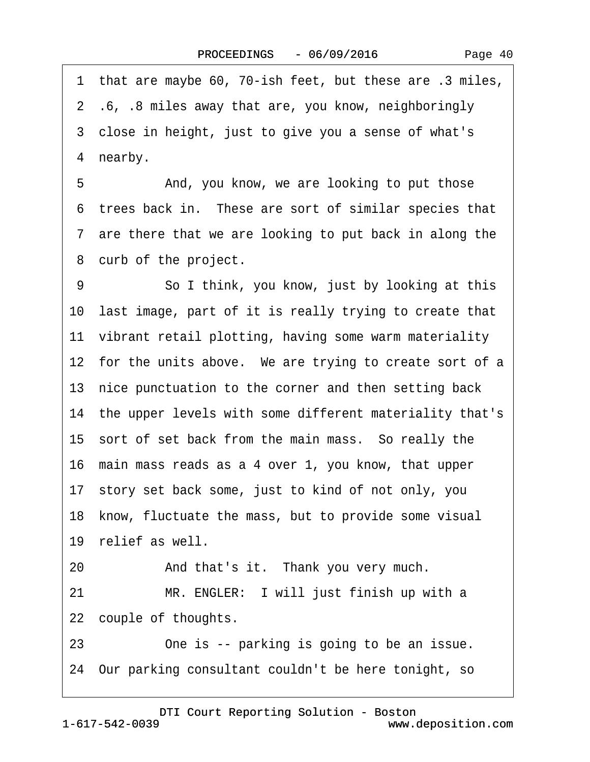Page 40

<span id="page-39-0"></span>1 that are maybe 60, 70-ish feet, but these are .3 miles, ·2· .6, .8 miles away that are, you know, neighboringly 3 close in height, just to give you a sense of what's 4 nearby.

5 • • And, you know, we are looking to put those ·6· trees back in.· These are sort of similar species that 7 are there that we are looking to put back in along the 8 curb of the project.

9 **· · · · So I think, you know, just by looking at this** 10· last image, part of it is really trying to create that 11 vibrant retail plotting, having some warm materiality 12 for the units above. We are trying to create sort of a 13 nice punctuation to the corner and then setting back 14 the upper levels with some different materiality that's 15 sort of set back from the main mass. So really the 16· main mass reads as a 4 over 1, you know, that upper 17· story set back some, just to kind of not only, you 18 know, fluctuate the mass, but to provide some visual 19 relief as well. 20 • And that's it. Thank you very much.

21 MR. ENGLER: I will just finish up with a 22 couple of thoughts.

23 One is -- parking is going to be an issue.

24· Our parking consultant couldn't be here tonight, so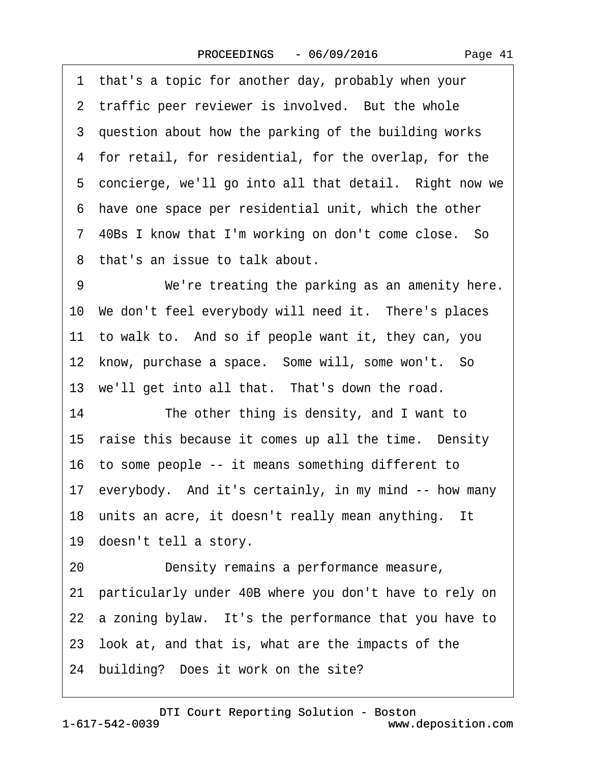<span id="page-40-0"></span>·1· that's a topic for another day, probably when your 2 traffic peer reviewer is involved. But the whole 3 question about how the parking of the building works 4 for retail, for residential, for the overlap, for the 5 concierge, we'll go into all that detail. Right now we ·6· have one space per residential unit, which the other 7 40Bs I know that I'm working on don't come close. So ·8· that's an issue to talk about. 9 We're treating the parking as an amenity here.

10 We don't feel everybody will need it. There's places 11 to walk to. And so if people want it, they can, you 12 know, purchase a space. Some will, some won't. So 13 we'll get into all that. That's down the road.

14 The other thing is density, and I want to 15 raise this because it comes up all the time. Density 16 to some people -- it means something different to 17· everybody.· And it's certainly, in my mind -- how many 18 units an acre, it doesn't really mean anything. It 19 doesn't tell a story.

20 Density remains a performance measure, 21· particularly under 40B where you don't have to rely on 22 a zoning bylaw. It's the performance that you have to 23· look at, and that is, what are the impacts of the 24 building? Does it work on the site?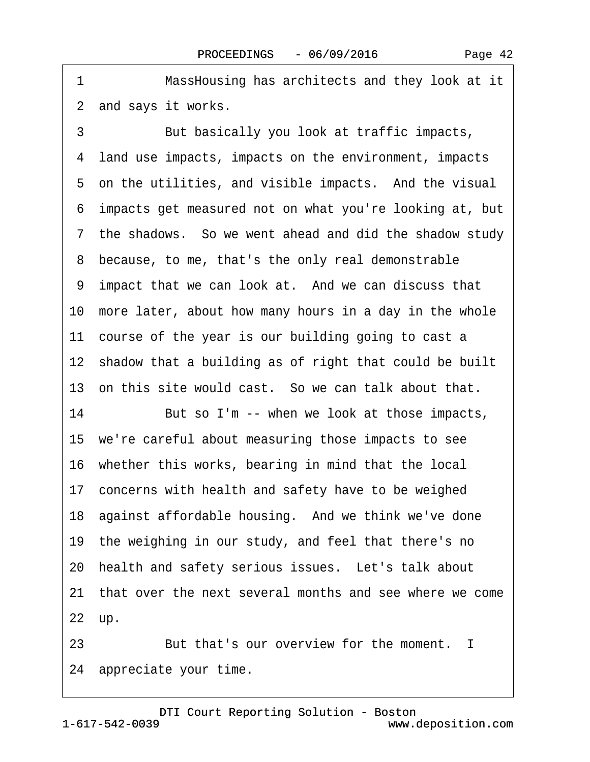<span id="page-41-0"></span>1 MassHousing has architects and they look at it 2 and says it works.

3 But basically you look at traffic impacts, ·4· land use impacts, impacts on the environment, impacts 5 on the utilities, and visible impacts. And the visual ·6· impacts get measured not on what you're looking at, but ·7· the shadows.· So we went ahead and did the shadow study ·8· because, to me, that's the only real demonstrable 9 impact that we can look at. And we can discuss that 10· more later, about how many hours in a day in the whole 11 course of the year is our building going to cast a 12 shadow that a building as of right that could be built 13 on this site would cast. So we can talk about that. 14 But so I'm -- when we look at those impacts, 15· we're careful about measuring those impacts to see 16· whether this works, bearing in mind that the local 17 concerns with health and safety have to be weighed 18 against affordable housing. And we think we've done 19 the weighing in our study, and feel that there's no 20 health and safety serious issues. Let's talk about 21· that over the next several months and see where we come 22 up. 23 **But that's our overview for the moment.** I

24 appreciate your time.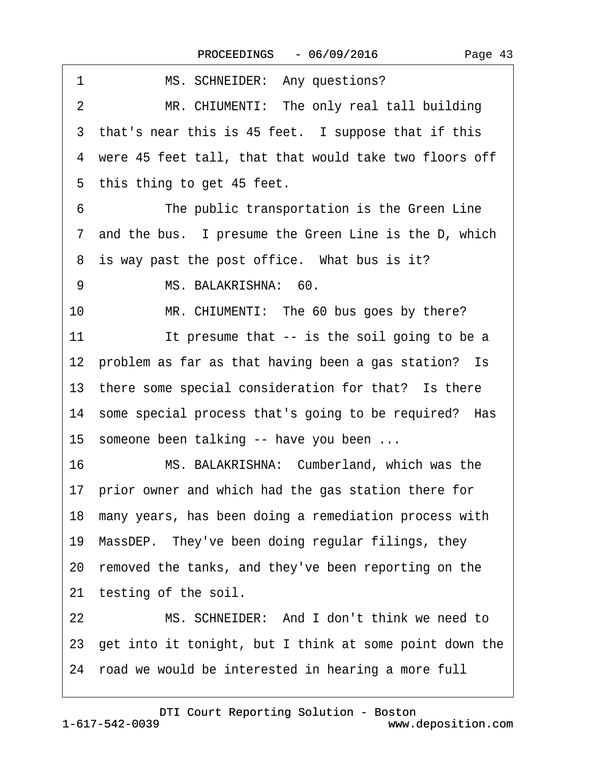<span id="page-42-0"></span>

| MS. SCHNEIDER: Any questions?<br>1                         |
|------------------------------------------------------------|
| MR. CHIUMENTI: The only real tall building<br>2            |
| 3 that's near this is 45 feet. I suppose that if this      |
| 4 were 45 feet tall, that that would take two floors off   |
| 5 this thing to get 45 feet.                               |
| 6<br>The public transportation is the Green Line           |
| 7 and the bus. I presume the Green Line is the D, which    |
| 8 is way past the post office. What bus is it?             |
| MS. BALAKRISHNA: 60.<br>9                                  |
| MR. CHIUMENTI: The 60 bus goes by there?<br>10             |
| It presume that -- is the soil going to be a<br>11         |
| 12 problem as far as that having been a gas station? Is    |
| 13 there some special consideration for that? Is there     |
| 14 some special process that's going to be required? Has   |
| 15 someone been talking -- have you been                   |
| MS. BALAKRISHNA: Cumberland, which was the<br>16           |
| 17 prior owner and which had the gas station there for     |
| 18 many years, has been doing a remediation process with   |
| 19 MassDEP. They've been doing regular filings, they       |
| 20 removed the tanks, and they've been reporting on the    |
| 21 testing of the soil.                                    |
| MS. SCHNEIDER: And I don't think we need to<br>22          |
| 23 get into it tonight, but I think at some point down the |
| 24 road we would be interested in hearing a more full      |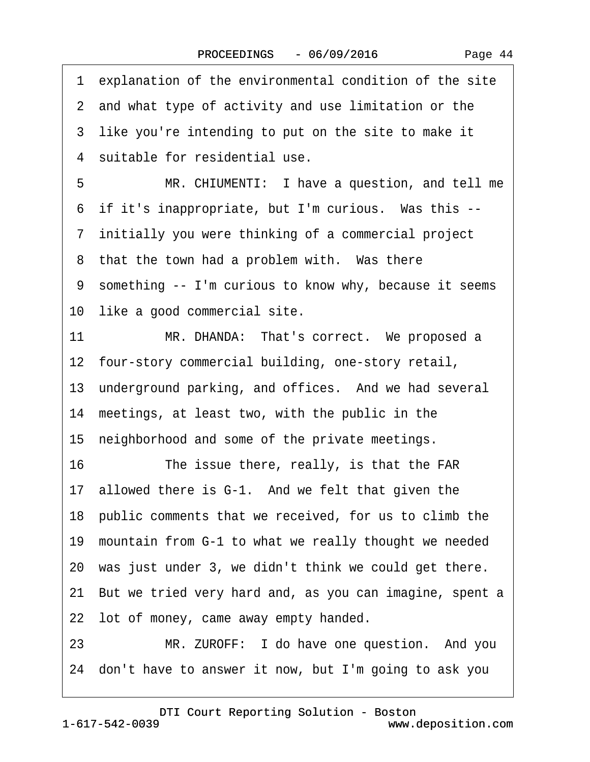<span id="page-43-0"></span>·1· explanation of the environmental condition of the site 2 and what type of activity and use limitation or the 3 like you're intending to put on the site to make it 4 suitable for residential use. 5 MR. CHIUMENTI: I have a question, and tell me 6 if it's inappropriate, but I'm curious. Was this --·7· initially you were thinking of a commercial project 8 that the town had a problem with. Was there ·9· something -- I'm curious to know why, because it seems 10 like a good commercial site. 11 MR. DHANDA: That's correct. We proposed a 12 four-story commercial building, one-story retail, 13 underground parking, and offices. And we had several 14 meetings, at least two, with the public in the 15 neighborhood and some of the private meetings. 16 The issue there, really, is that the FAR 17 allowed there is G-1. And we felt that given the 18 public comments that we received, for us to climb the 19 mountain from G-1 to what we really thought we needed 20 was just under 3, we didn't think we could get there. 21· But we tried very hard and, as you can imagine, spent a 22 lot of money, came away empty handed. 23 MR. ZUROFF: I do have one question. And you 24· don't have to answer it now, but I'm going to ask you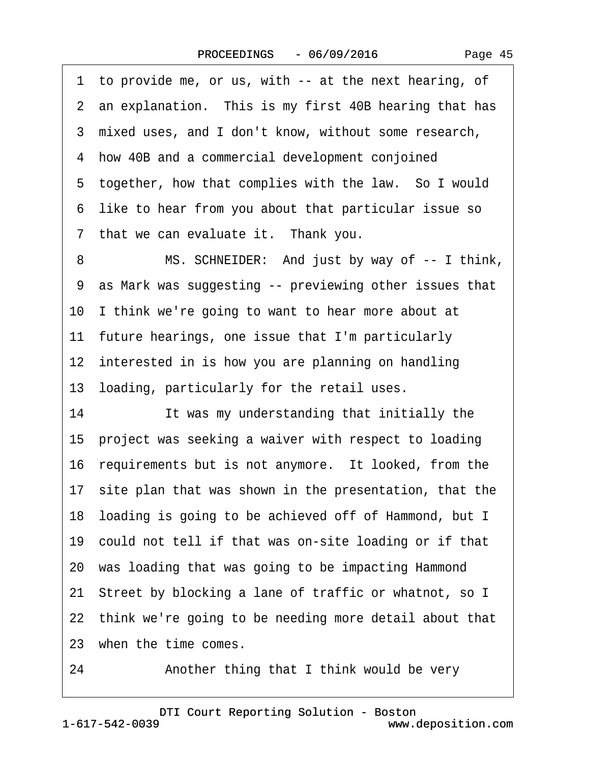Page 45

<span id="page-44-0"></span>·1· to provide me, or us, with -- at the next hearing, of 2 an explanation. This is my first 40B hearing that has ·3· mixed uses, and I don't know, without some research, 4 how 40B and a commercial development conjoined 5 together, how that complies with the law. So I would ·6· like to hear from you about that particular issue so 7 that we can evaluate it. Thank you. 8 MS. SCHNEIDER: And just by way of -- I think, ·9· as Mark was suggesting -- previewing other issues that 10 I think we're going to want to hear more about at 11 future hearings, one issue that I'm particularly 12 interested in is how you are planning on handling 13 loading, particularly for the retail uses. 14 **It was my understanding that initially the** 15· project was seeking a waiver with respect to loading 16 requirements but is not anymore. It looked, from the 17 site plan that was shown in the presentation, that the 18 loading is going to be achieved off of Hammond, but I 19· could not tell if that was on-site loading or if that 20· was loading that was going to be impacting Hammond 21· Street by blocking a lane of traffic or whatnot, so I 22· think we're going to be needing more detail about that 23 when the time comes. 24 • **Another thing that I think would be very** 

1-617-542-0039 [DTI Court Reporting Solution - Boston](http://www.deposition.com) www.deposition.com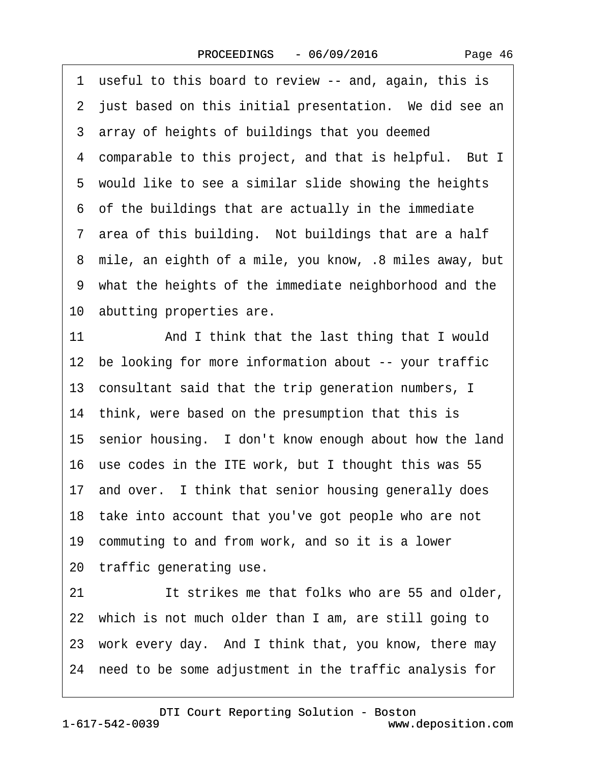<span id="page-45-0"></span>·1· useful to this board to review -- and, again, this is 2 just based on this initial presentation. We did see an 3 array of heights of buildings that you deemed 4 comparable to this project, and that is helpful. But I 5 would like to see a similar slide showing the heights ·6· of the buildings that are actually in the immediate 7 area of this building. Not buildings that are a half ·8· mile, an eighth of a mile, you know, .8 miles away, but 9 what the heights of the immediate neighborhood and the 10 abutting properties are. 11 And I think that the last thing that I would

12 be looking for more information about -- your traffic 13 consultant said that the trip generation numbers, I 14 think, were based on the presumption that this is 15· senior housing.· I don't know enough about how the land 16· use codes in the ITE work, but I thought this was 55 17 and over. I think that senior housing generally does 18 take into account that you've got people who are not 19 commuting to and from work, and so it is a lower 20 traffic generating use. 21 It strikes me that folks who are 55 and older, 22 which is not much older than I am, are still going to 23 work every day. And I think that, you know, there may 24· need to be some adjustment in the traffic analysis for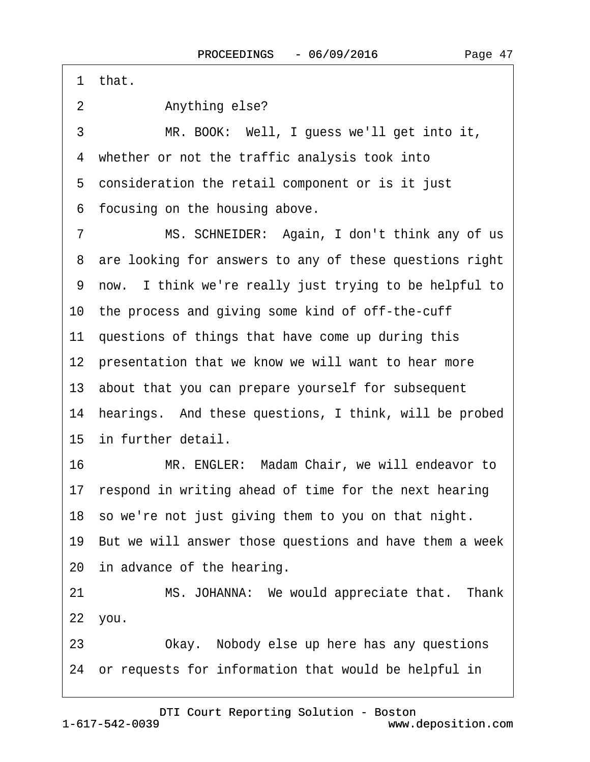<span id="page-46-0"></span>·1· that.

2 Anything else?

3 MR. BOOK: Well, I guess we'll get into it, 4 whether or not the traffic analysis took into 5 consideration the retail component or is it just 6 focusing on the housing above.

7 MS. SCHNEIDER: Again, I don't think any of us 8 are looking for answers to any of these questions right ·9· now.· I think we're really just trying to be helpful to 10· the process and giving some kind of off-the-cuff 11 questions of things that have come up during this 12 presentation that we know we will want to hear more 13· about that you can prepare yourself for subsequent 14 hearings. And these questions, I think, will be probed 15 in further detail. 16 MR. ENGLER: Madam Chair, we will endeavor to 17 respond in writing ahead of time for the next hearing 18· so we're not just giving them to you on that night.

19· But we will answer those questions and have them a week 20 in advance of the hearing.

21 MS. JOHANNA: We would appreciate that. Thank 22· you.

23 • Okay. Nobody else up here has any questions 24· or requests for information that would be helpful in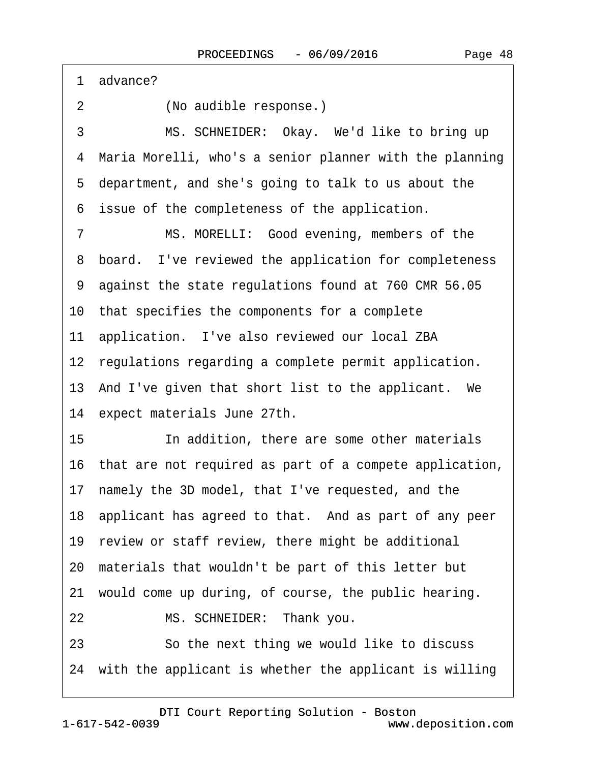<span id="page-47-0"></span>1 advance?

2 (No audible response.)

3 MS. SCHNEIDER: Okay. We'd like to bring up 4 Maria Morelli, who's a senior planner with the planning ·5· department, and she's going to talk to us about the 6 issue of the completeness of the application.

7 MS. MORELLI: Good evening, members of the 8 board. I've reviewed the application for completeness ·9· against the state regulations found at 760 CMR 56.05 10· that specifies the components for a complete 11 application. I've also reviewed our local ZBA 12 regulations regarding a complete permit application. 13 And I've given that short list to the applicant. We 14 expect materials June 27th. 15 **In addition, there are some other materials** 16· that are not required as part of a compete application, 17· namely the 3D model, that I've requested, and the 18· applicant has agreed to that.· And as part of any peer 19 review or staff review, there might be additional 20· materials that wouldn't be part of this letter but

21· would come up during, of course, the public hearing.

22 MS. SCHNEIDER: Thank you.

23 **So the next thing we would like to discuss** 

24· with the applicant is whether the applicant is willing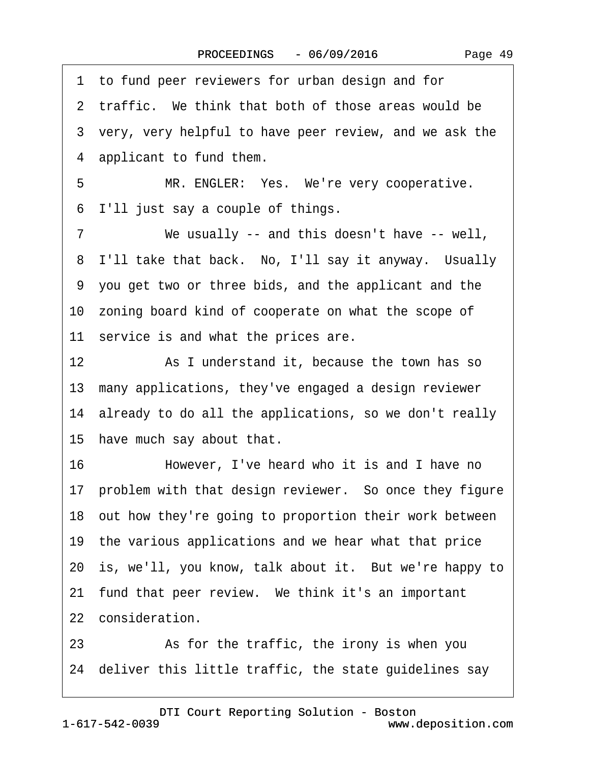Page 49

|    | 1 to fund peer reviewers for urban design and for         |
|----|-----------------------------------------------------------|
|    | 2 traffic. We think that both of those areas would be     |
|    | 3 very, very helpful to have peer review, and we ask the  |
|    | 4 applicant to fund them.                                 |
| 5  | MR. ENGLER: Yes. We're very cooperative.                  |
| 6  | I'll just say a couple of things.                         |
| 7  | We usually -- and this doesn't have -- well,              |
|    | 8 I'll take that back. No, I'll say it anyway. Usually    |
|    | 9 you get two or three bids, and the applicant and the    |
|    | 10 zoning board kind of cooperate on what the scope of    |
|    | 11 service is and what the prices are.                    |
| 12 | As I understand it, because the town has so               |
|    | 13 many applications, they've engaged a design reviewer   |
|    | 14 already to do all the applications, so we don't really |
|    | 15 have much say about that.                              |
| 16 | However, I've heard who it is and I have no               |
|    | 17 problem with that design reviewer. So once they figure |
|    | 18 out how they're going to proportion their work between |
|    | 19 the various applications and we hear what that price   |
|    | 20 is, we'll, you know, talk about it. But we're happy to |
|    | 21 fund that peer review. We think it's an important      |
|    | 22 consideration.                                         |
| 23 | As for the traffic, the irony is when you                 |
|    |                                                           |

24 deliver this little traffic, the state guidelines say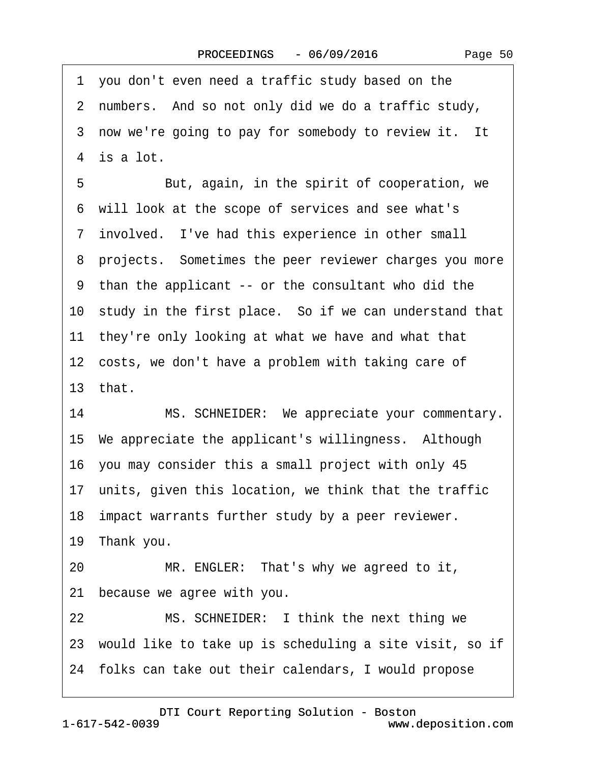·1· you don't even need a traffic study based on the 2 numbers. And so not only did we do a traffic study, 3 now we're going to pay for somebody to review it. It 4 is a lot. 5 **But, again, in the spirit of cooperation, we** ·6· will look at the scope of services and see what's 7 involved. I've had this experience in other small 8 projects. Sometimes the peer reviewer charges you more ·9· than the applicant -- or the consultant who did the 10 study in the first place. So if we can understand that 11 they're only looking at what we have and what that 12 costs, we don't have a problem with taking care of 13 $that$ 14 MS. SCHNEIDER: We appreciate your commentary. 15 We appreciate the applicant's willingness. Although 16· you may consider this a small project with only 45 17 units, given this location, we think that the traffic 18 impact warrants further study by a peer reviewer. 19 Thank you. 20 MR. ENGLER: That's why we agreed to it, 21 because we agree with you. 22 MS. SCHNEIDER: I think the next thing we 23· would like to take up is scheduling a site visit, so if 24· folks can take out their calendars, I would propose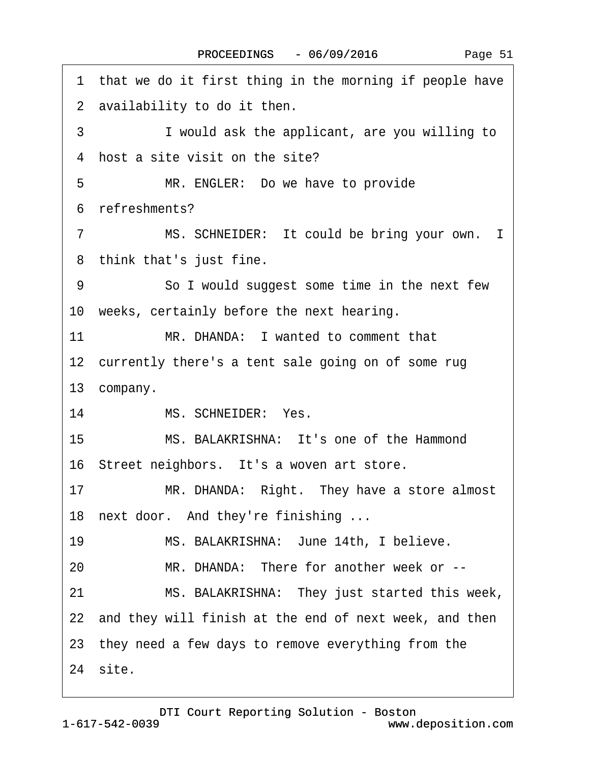1 that we do it first thing in the morning if people have 2 availability to do it then. 3 I would ask the applicant, are you willing to 4 host a site visit on the site? 5 MR. ENGLER: Do we have to provide ·6· refreshments? 7 MS. SCHNEIDER: It could be bring your own. I 8 think that's just fine. 9 **· · · · So I would suggest some time in the next few** 10 weeks, certainly before the next hearing. 11 MR. DHANDA: I wanted to comment that 12 currently there's a tent sale going on of some rug 13 company. 14 MS. SCHNEIDER: Yes. 15· · · · · ·MS. BALAKRISHNA:· It's one of the Hammond 16 Street neighbors. It's a woven art store. 17 MR. DHANDA: Right. They have a store almost 18 next door. And they're finishing ... 19 MS. BALAKRISHNA: June 14th, I believe. 20 MR. DHANDA: There for another week or --21 MS. BALAKRISHNA: They just started this week, 22 and they will finish at the end of next week, and then 23· they need a few days to remove everything from the 24 site.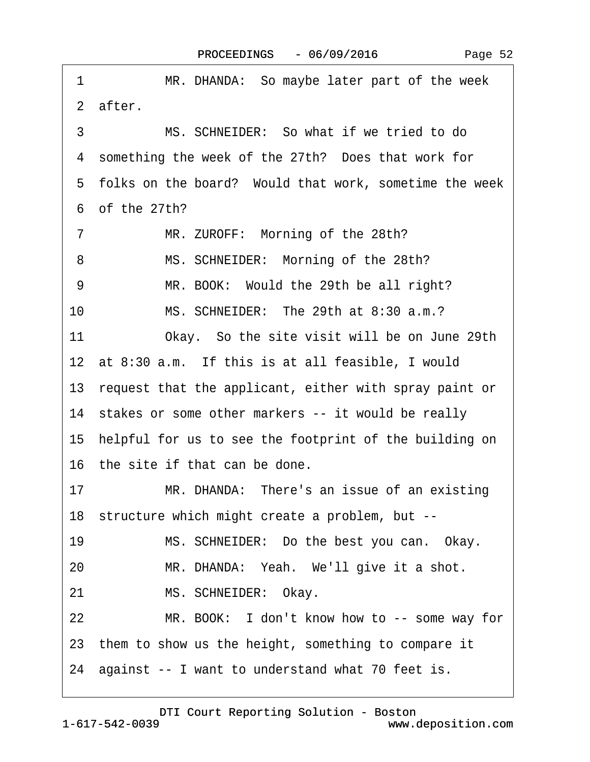| 1<br>MR. DHANDA: So maybe later part of the week          |
|-----------------------------------------------------------|
| 2 after.                                                  |
| MS. SCHNEIDER: So what if we tried to do<br>3             |
| 4 something the week of the 27th? Does that work for      |
| 5 folks on the board? Would that work, sometime the week  |
| 6 of the 27th?                                            |
| MR. ZUROFF: Morning of the 28th?<br>7                     |
| MS. SCHNEIDER: Morning of the 28th?<br>8                  |
| 9<br>MR. BOOK: Would the 29th be all right?               |
| 10<br>MS. SCHNEIDER: The 29th at 8:30 a.m.?               |
| 11<br>Okay. So the site visit will be on June 29th        |
| 12 at 8:30 a.m. If this is at all feasible, I would       |
| 13 request that the applicant, either with spray paint or |
| 14 stakes or some other markers -- it would be really     |
| 15 helpful for us to see the footprint of the building on |
| 16 the site if that can be done.                          |
| 17<br>MR. DHANDA: There's an issue of an existing         |
| 18 structure which might create a problem, but --         |
| MS. SCHNEIDER: Do the best you can. Okay.<br>19           |
| MR. DHANDA: Yeah. We'll give it a shot.<br>20             |
| MS. SCHNEIDER: Okay.<br>21                                |
| MR. BOOK: I don't know how to -- some way for<br>22       |
| 23 them to show us the height, something to compare it    |
| 24 against -- I want to understand what 70 feet is.       |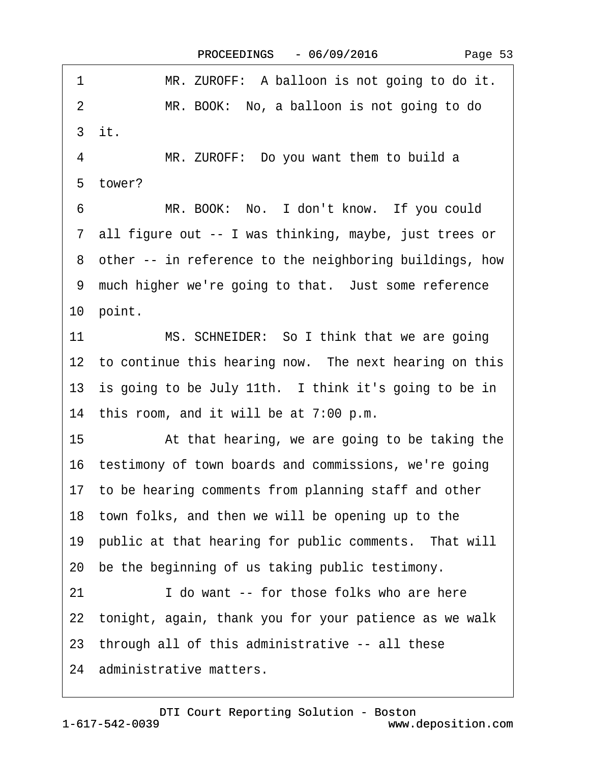| 1<br>MR. ZUROFF: A balloon is not going to do it.            |
|--------------------------------------------------------------|
| MR. BOOK: No, a balloon is not going to do<br>$\overline{2}$ |
| 3 it.                                                        |
| MR. ZUROFF: Do you want them to build a<br>4                 |
| 5 tower?                                                     |
| MR. BOOK: No. I don't know. If you could<br>6                |
| 7 all figure out -- I was thinking, maybe, just trees or     |
| 8 other -- in reference to the neighboring buildings, how    |
| 9 much higher we're going to that. Just some reference       |
| 10 point.                                                    |
| 11<br>MS. SCHNEIDER: So I think that we are going            |
| 12 to continue this hearing now. The next hearing on this    |
| 13 is going to be July 11th. I think it's going to be in     |
| 14 this room, and it will be at 7:00 p.m.                    |
| 15<br>At that hearing, we are going to be taking the         |
| 16 testimony of town boards and commissions, we're going     |
| 17 to be hearing comments from planning staff and other      |
| 18 town folks, and then we will be opening up to the         |
| 19 public at that hearing for public comments. That will     |
| 20 be the beginning of us taking public testimony.           |
| I do want -- for those folks who are here<br>21              |
| 22 tonight, again, thank you for your patience as we walk    |
| 23 through all of this administrative -- all these           |
| 24 administrative matters.                                   |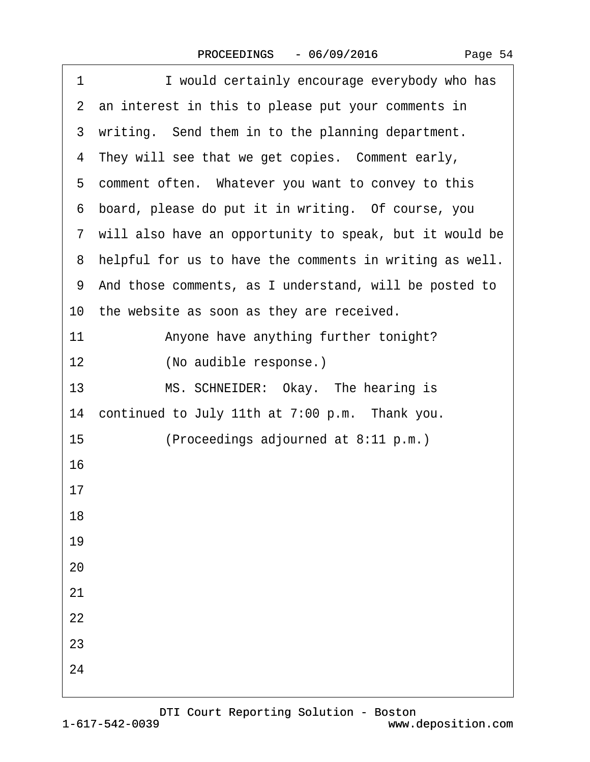| Page 54 |
|---------|
|         |

| I would certainly encourage everybody who has<br>1        |
|-----------------------------------------------------------|
| 2 an interest in this to please put your comments in      |
| 3 writing. Send them in to the planning department.       |
| 4 They will see that we get copies. Comment early,        |
| 5 comment often. Whatever you want to convey to this      |
| 6 board, please do put it in writing. Of course, you      |
| 7 will also have an opportunity to speak, but it would be |
| 8 helpful for us to have the comments in writing as well. |
| 9 And those comments, as I understand, will be posted to  |
| 10 the website as soon as they are received.              |
| 11<br>Anyone have anything further tonight?               |
| (No audible response.)<br>12                              |
| 13<br>MS. SCHNEIDER: Okay. The hearing is                 |
| 14 continued to July 11th at 7:00 p.m. Thank you.         |
| 15<br>(Proceedings adjourned at 8:11 p.m.)                |
| 16                                                        |
| 17                                                        |
| 18                                                        |
| 19                                                        |
| 20                                                        |
| 21                                                        |
| 22                                                        |
| 23                                                        |
| 24                                                        |
|                                                           |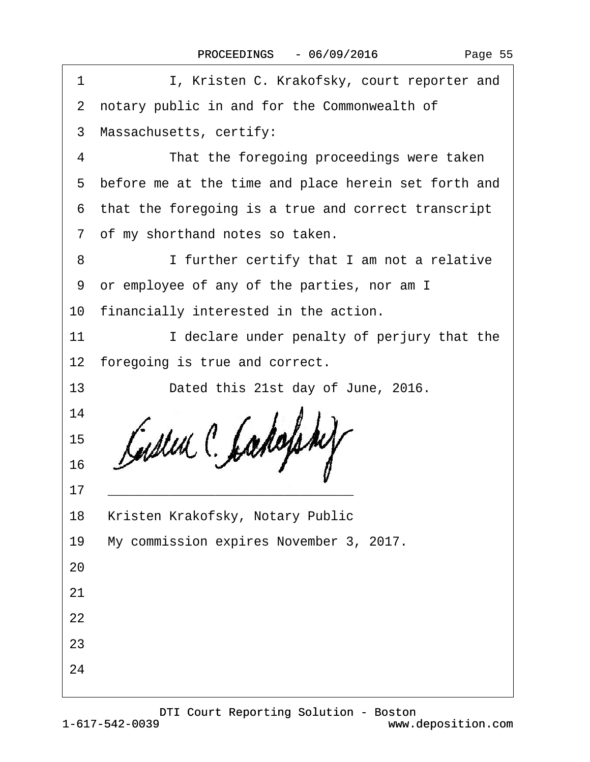|  | Page 55 |  |
|--|---------|--|
|--|---------|--|

| 1  | I, Kristen C. Krakofsky, court reporter and            |
|----|--------------------------------------------------------|
|    | 2 notary public in and for the Commonwealth of         |
|    | 3 Massachusetts, certify:                              |
| 4  | That the foregoing proceedings were taken              |
|    | 5 before me at the time and place herein set forth and |
|    | 6 that the foregoing is a true and correct transcript  |
|    | 7 of my shorthand notes so taken.                      |
| 8  | I further certify that I am not a relative             |
|    | 9 or employee of any of the parties, nor am I          |
|    | 10 financially interested in the action.               |
| 11 | I declare under penalty of perjury that the            |
|    | 12 foregoing is true and correct.                      |
| 13 | Dated this 21st day of June, 2016.                     |
| 14 |                                                        |
| 15 |                                                        |
| 16 |                                                        |
| 17 |                                                        |
| 18 | Kristen Krakofsky, Notary Public                       |
| 19 | My commission expires November 3, 2017.                |
| 20 |                                                        |
| 21 |                                                        |
| 22 |                                                        |
| 23 |                                                        |
| 24 |                                                        |
|    |                                                        |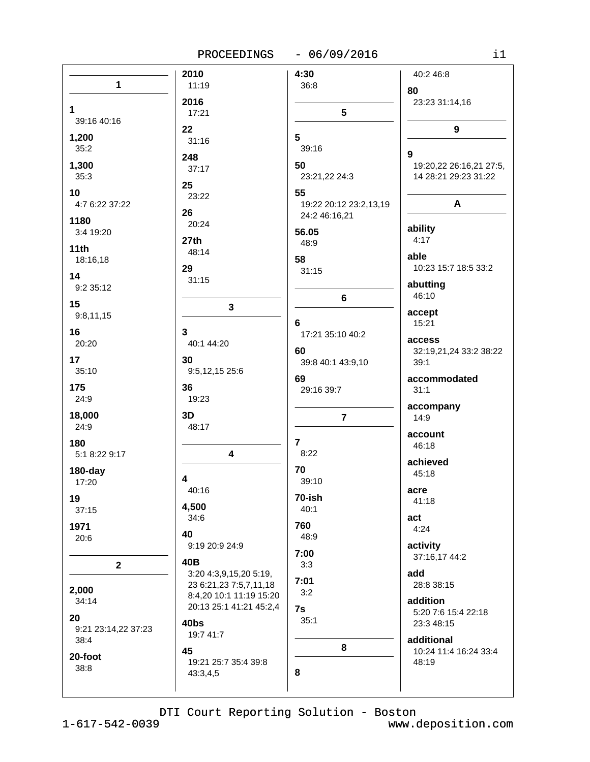PROCEEDINGS - 06/09/2016

| n e s |  |
|-------|--|
|       |  |
|       |  |

|                             | 2010                    | 4:30                    | 40:2 46:8               |
|-----------------------------|-------------------------|-------------------------|-------------------------|
| 1                           | 11:19                   | 36:8                    | 80                      |
|                             | 2016                    |                         | 23:23 31:14,16          |
| 1                           | 17:21                   | $5\phantom{1}$          |                         |
| 39:16 40:16                 |                         |                         |                         |
| 1,200                       | 22<br>31:16             | 5                       | 9                       |
| 35:2                        |                         | 39:16                   | 9                       |
| 1,300                       | 248                     | 50                      | 19:20,22 26:16,21 27:5, |
| 35:3                        | 37:17                   | 23:21,22 24:3           | 14 28:21 29:23 31:22    |
| 10                          | 25                      | 55                      |                         |
| 4:7 6:22 37:22              | 23:22                   | 19:22 20:12 23:2,13,19  | A                       |
|                             | 26                      | 24:2 46:16,21           |                         |
| 1180                        | 20:24                   |                         | ability                 |
| 3:4 19:20                   | 27th                    | 56.05<br>48:9           | 4:17                    |
| 11th                        | 48:14                   |                         | able                    |
| 18:16,18                    | 29                      | 58                      | 10:23 15:7 18:5 33:2    |
| 14                          | 31:15                   | 31:15                   |                         |
| 9:2 35:12                   |                         |                         | abutting<br>46:10       |
| 15                          | $\mathbf 3$             | 6                       |                         |
| 9:8,11,15                   |                         |                         | accept                  |
| 16                          | 3                       | 6                       | 15:21                   |
| 20:20                       | 40:1 44:20              | 17:21 35:10 40:2        | access                  |
|                             |                         | 60                      | 32:19,21,24 33:2 38:22  |
| 17<br>35:10                 | 30<br>9:5,12,15 25:6    | 39:8 40:1 43:9,10       | 39:1                    |
|                             |                         | 69                      | accommodated            |
| 175                         | 36                      | 29:16 39:7              | 31:1                    |
| 24:9                        | 19:23                   |                         | accompany               |
| 18,000                      | 3D                      | $\overline{7}$          | 14:9                    |
| 24:9                        | 48:17                   |                         | account                 |
| 180                         |                         | $\overline{\mathbf{r}}$ | 46:18                   |
| 5:1 8:22 9:17               | 4                       | 8:22                    | achieved                |
| 180-day                     |                         | 70                      | 45:18                   |
| 17:20                       | 4                       | 39:10                   |                         |
| 19                          | 40:16                   | 70-ish                  | acre                    |
| 37:15                       | 4,500                   | 40:1                    | 41:18                   |
| 1971                        | 34:6                    | 760                     | act                     |
| 20:6                        | 40                      | 48:9                    | 4:24                    |
|                             | 9:19 20:9 24:9          |                         | activity                |
|                             | 40B                     | 7:00                    | 37:16,17 44:2           |
| $\overline{2}$              | 3:20 4:3,9,15,20 5:19,  | 3:3                     | add                     |
|                             | 23 6:21,23 7:5,7,11,18  | 7:01                    | 28:8 38:15              |
| 2,000<br>34:14              | 8:4,20 10:1 11:19 15:20 | 3:2                     | addition                |
|                             | 20:13 25:1 41:21 45:2,4 | 7s                      | 5:20 7:6 15:4 22:18     |
| 20                          | 40bs                    | 35:1                    | 23:3 48:15              |
| 9:21 23:14,22 37:23<br>38:4 | 19:7 41:7               |                         | additional              |
|                             | 45                      | 8                       | 10:24 11:4 16:24 33:4   |
| 20-foot                     | 19:21 25:7 35:4 39:8    |                         | 48:19                   |
| 38:8                        | 43:3,4,5                | 8                       |                         |
|                             |                         |                         |                         |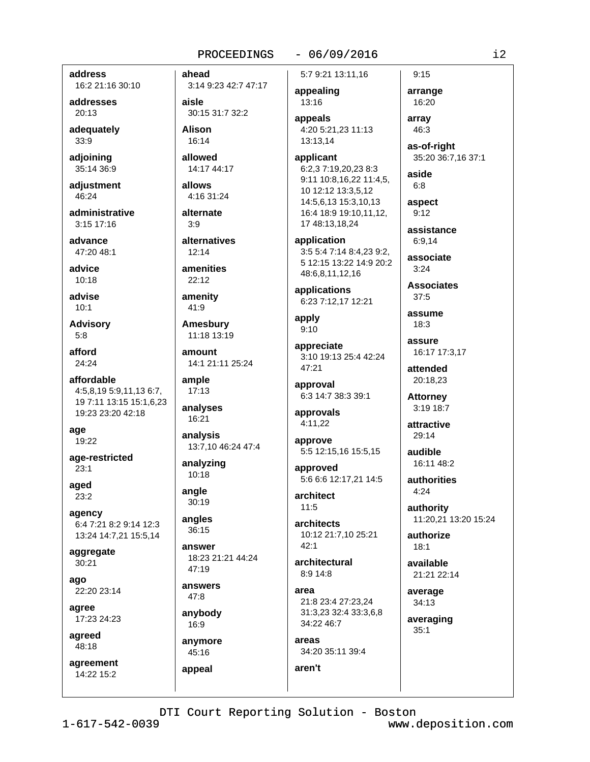### $-06/09/2016$

address

16:2 21:16 30:10

addresses 20:13

adequately 33:9

adjoining 35:14 36:9

adjustment 46:24

administrative  $3:15$  17:16

advance 47:20 48:1

advice  $10:18$ 

advise  $10:1$ 

**Advisory**  $5:8$ 

afford 24:24

affordable 4:5,8,19 5:9,11,13 6:7, 19 7:11 13:15 15:1,6,23 19:23 23:20 42:18

age 19:22

age-restricted  $23:1$ 

aged  $23:2$ 

agency 6:4 7:21 8:2 9:14 12:3 13:24 14:7,21 15:5,14

aggregate 30:21

ago 22:20 23:14

agree 17:23 24:23

agreed 48:18

agreement  $14:22$  15:2

ahead

3:14 9:23 42:7 47:17 aisle 30:15 31:7 32:2

**Alison** 16:14

allowed 14:17 44:17

allows 4:16 31:24

alternate  $3:9$ 

alternatives  $12:14$ 

amenities  $22:12$ 

amenity 41:9

**Amesbury** 11:18 13:19

amount 14:1 21:11 25:24

ample  $17:13$ 

analyses 16:21 analysis

13:7,10 46:24 47:4

analyzing 10:18

angle 30:19

angles 36:15

answer 18:23 21:21 44:24 47:19

answers  $47:8$ 

anybody 16:9

anymore 45:16

appeal

5:7 9:21 13:11,16

appealing 13:16

appeals 4:20 5:21,23 11:13 13:13,14

applicant 6:2,37:19,20,238:3 9:11 10:8,16,22 11:4,5, 10 12:12 13:3,5,12 14:5,6,13 15:3,10,13 16:4 18:9 19:10,11,12, 17 48:13,18,24

application 3:5 5:4 7:14 8:4.23 9:2. 5 12:15 13:22 14:9 20:2 48:6,8,11,12,16

applications 6:23 7:12,17 12:21

apply  $9:10$ 

appreciate 3:10 19:13 25:4 42:24 47:21

approval 6:3 14:7 38:3 39:1

approvals 4:11.22

approve 5:5 12:15,16 15:5,15

approved 5:6 6:6 12:17,21 14:5

architect  $11:5$ 

architects 10:12 21:7,10 25:21  $42:1$ 

architectural 8:9 14:8

area 21:8 23:4 27:23,24 31:3.23 32:4 33:3.6.8 34:22 46:7

areas 34:20 35:11 39:4

aren't

 $9:15$ arrange 16:20

array 46:3

as-of-right 35:20 36:7,16 37:1

aside  $6:8$ 

aspect  $9:12$ 

assistance 6:9.14

associate  $3:24$ 

**Associates**  $37:5$ 

assume  $18:3$ 

assure 16:17 17:3,17

attended 20:18,23

**Attorney** 3:19 18:7

attractive 29:14

audible 16:11 48:2

**authorities**  $4:24$ 

authority 11:20,21 13:20 15:24

authorize  $18:1$ 

available 21:21 22:14

average 34:13

averaging  $35:1$ 

DTI Court Reporting Solution - Boston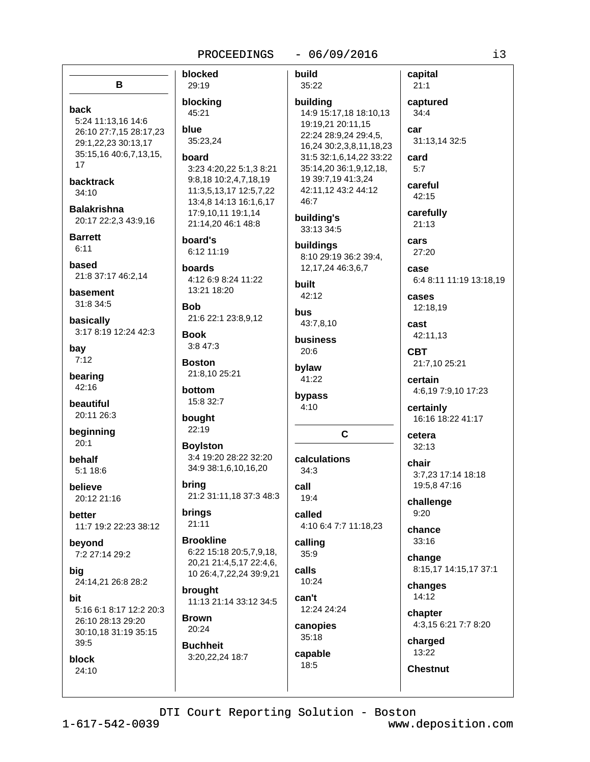### $-06/09/2016$

blocked B 29:19 blocking back 45:21 5:24 11:13,16 14:6 blue 26:10 27:7,15 28:17,23 35:23,24 29:1,22,23 30:13,17 35:15,16 40:6,7,13,15, board 17 3:23 4:20,22 5:1,3 8:21 9:8,18 10:2,4,7,18,19 **backtrack** 11:3,5,13,17 12:5,7,22  $34:10$ 13:4,8 14:13 16:1,6,17 **Balakrishna** 17:9,10,11 19:1,14 20:17 22:2,3 43:9,16 21:14,20 46:1 48:8 **Barrett** board's  $6:11$ 6:12 11:19 based **boards** 21:8 37:17 46:2,14 4:12 6:9 8:24 11:22 13:21 18:20 basement 31:8 34:5 **Bob** 21:6 22:1 23:8,9,12 basically 3:17 8:19 12:24 42:3 **Book**  $3:847:3$ bav  $7:12$ **Boston** 21:8.10 25:21 bearing 42:16 bottom 15:8 32:7 beautiful 20:11 26:3 bought 22:19 beginning  $20.1$ **Boylston** 3:4 19:20 28:22 32:20 behalf 34:9 38:1,6,10,16,20  $5:118:6$ bring believe 21:2 31:11,18 37:3 48:3 20:12 21:16 brings better  $21:11$ 11:7 19:2 22:23 38:12 **Brookline** bevond 6:22 15:18 20:5.7.9.18. 7:2 27:14 29:2 20,21 21:4,5,17 22:4,6, 10 26:4,7,22,24 39:9,21 24:14,21 26:8 28:2 brought 11:13 21:14 33:12 34:5 5:16 6:1 8:17 12:2 20:3 **Brown** 26:10 28:13 29:20 20:24 30:10,18 31:19 35:15  $39:5$ **Buchheit** 3:20,22,24 18:7 block 24:10

build capital 35:22  $21:1$ captured building 14:9 15:17,18 18:10,13  $34:4$ 19:19,21 20:11,15 car 22:24 28:9,24 29:4,5, 31:13,14 32:5 16,24 30:2,3,8,11,18,23 31:5 32:1,6,14,22 33:22 card 35:14,20 36:1,9,12,18,  $5:7$ 19 39:7,19 41:3,24 careful 42:11,12 43:2 44:12 42:15 46:7 carefully building's  $21:13$ 33:13 34:5 cars buildings  $27:20$ 8:10 29:19 36:2 39:4. 12, 17, 24 46: 3, 6, 7 case 6:4 8:11 11:19 13:18,19 built 42:12 cases 12:18,19 bus 43:7,8,10 cast 42:11.13 business  $20:6$ **CBT** 21:7,10 25:21 bvlaw 41:22 certain 4:6,19 7:9,10 17:23 bypass  $4:10$ certainly 16:16 18:22 41:17  $\mathbf{C}$ cetera  $32:13$ calculations chair  $34:3$ 3:7,23 17:14 18:18 19:5,8 47:16 call 19:4 challenge  $9:20$ called 4:10 6:4 7:7 11:18.23 chance 33:16 calling 35:9 change calls 8:15,17 14:15,17 37:1 10:24 changes  $14:12$ can't 12:24 24:24 chapter 4:3,15 6:21 7:7 8:20 canopies  $35:18$ charged 13:22 capable 18:5 **Chestnut** 

i3

big

hit

DTI Court Reporting Solution - Boston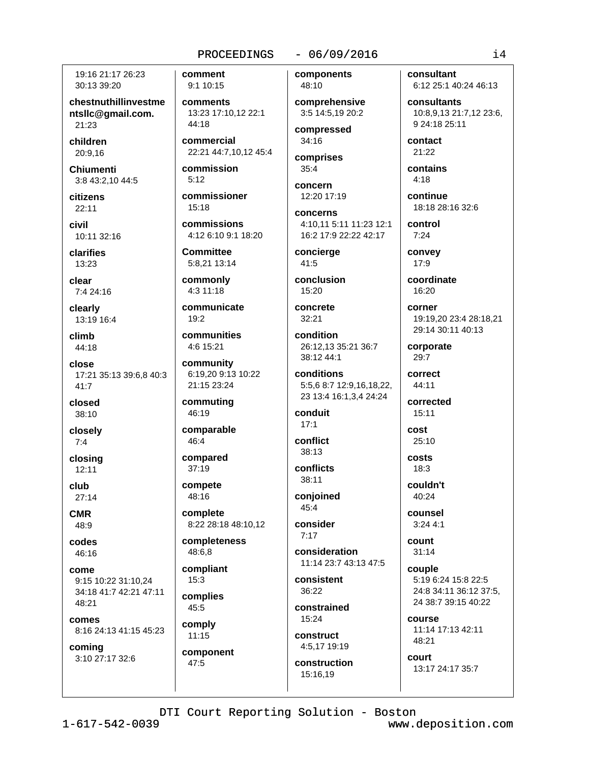19:16 21:17 26:23 30:13 39:20

chestnuthillinvestme ntslic@qmail.com. 21:23

children 20:9.16

**Chiumenti** 3:8 43:2,10 44:5

citizens  $22:11$ 

civil 10:11 32:16

clarifies 13:23

clear 7:4 24:16

clearly 13:19 16:4

climb 44:18

close 17:21 35:13 39:6,8 40:3  $41:7$ 

closed 38:10

closely  $7:4$ 

closing  $12:11$ 

club  $27:14$ 

**CMR** 48:9

codes 46:16

come 9:15 10:22 31:10,24 34:18 41:7 42:21 47:11 48:21

comes 8:16 24:13 41:15 45:23

coming 3:10 27:17 32:6 comment 9:1 10:15

comments 13:23 17:10.12 22:1  $44.18$ 

commercial 22:21 44:7,10,12 45:4

commission  $5:12$ 

commissioner  $15.18$ 

commissions 4:12 6:10 9:1 18:20

**Committee** 5:8,21 13:14

commonly  $4:311:18$ 

communicate  $19:2$ 

communities 4:6 15:21

community 6:19,20 9:13 10:22 21:15 23:24

commuting 46:19

comparable  $46:4$ 

compared  $37:19$ 

compete 48:16

complete 8:22 28:18 48:10,12

completeness 48:6.8

compliant  $15:3$ 

complies 45:5

comply

 $11:15$ component 47:5

# $-06/09/2016$

components

48:10 comprehensive 3:5 14:5.19 20:2

compressed 34:16

comprises  $35:4$ 

concern 12:20 17:19

concerns

4:10.11 5:11 11:23 12:1 16:2 17:9 22:22 42:17

concierge 41:5

conclusion  $15:20$ 

concrete  $32:21$ 

38:12 44:1

condition 26:12,13 35:21 36:7

conditions 5:5.6 8:7 12:9.16.18.22. 23 13:4 16:1,3,4 24:24

conduit  $17:1$ 

conflict  $38:13$ 

conflicts 38:11

conjoined 45:4

consider  $7.17$ 

consideration 11:14 23:7 43:13 47:5

consistent 36:22

constrained 15:24

construct 4:5,17 19:19

construction 15:16.19

consultant 6:12 25:1 40:24 46:13

consultants 10:8,9,13 21:7,12 23:6, 9 24:18 25:11

contact 21:22

contains  $4:18$ 

continue 18:18 28:16 32:6

control  $7:24$ 

convey 17:9

coordinate  $16:20$ 

corner 19:19.20 23:4 28:18.21 29:14 30:11 40:13

corporate 29:7

correct 44:11

corrected  $15:11$ 

cost  $25:10$ costs

 $18:3$ 

couldn't  $40.24$ 

counsel  $3:244:1$ 

count  $31:14$ 

couple 5:19 6:24 15:8 22:5 24:8 34:11 36:12 37:5, 24 38:7 39:15 40:22

course 11:14 17:13 42:11 48:21

court 13:17 24:17 35:7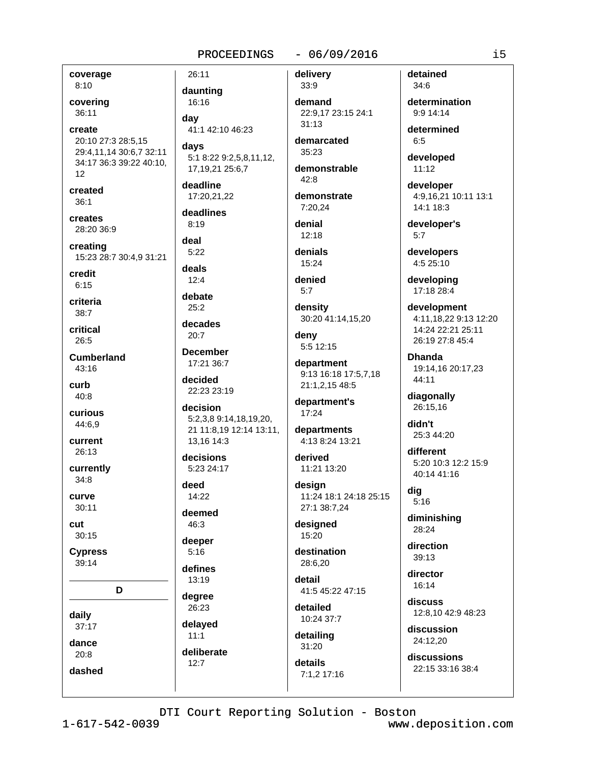coverage

 $8:10$ covering

36:11 create 20:10 27:3 28:5,15 29:4,11,14 30:6,7 32:11 34:17 36:3 39:22 40:10.  $12<sup>12</sup>$ 

created  $36:1$ 

creates 28:20 36:9

creating 15:23 28:7 30:4,9 31:21

credit  $6:15$ 

criteria  $38:7$ 

critical  $26:5$ 

**Cumberland**  $43:16$ 

curb 40:8

curious 44:6,9

current 26:13

currently  $34:8$ 

**CULTVe** 

 $30:11$ cut

 $30:15$ 

**Cypress**  $39:14$ 

D.

daily

 $37:17$ 

dance

 $20:8$ dashed

26:11 daunting 16:16 dav 41:1 42:10 46:23 days

5:1 8:22 9:2,5,8,11,12, 17, 19, 21 25: 6, 7

deadline 17:20,21,22

deadlines  $8:19$ 

deal  $5:22$ 

deals

 $12:4$ debate

 $25:2$ 

decades  $20:7$ 

**December** 17:21 36:7

decided 22:23 23:19

decision 5:2,3,8 9:14,18,19,20, 21 11:8,19 12:14 13:11, 13.16 14:3

decisions 5:23 24:17

deed  $14.22$ 

deemed 46:3

deeper  $5:16$ 

defines 13:19

degree 26:23

delaved  $11:1$ 

deliberate  $12:7$ 

 $-06/09/2016$ 

delivery

33:9 demand 22:9.17 23:15 24:1  $31.13$ 

demarcated 35:23

demonstrable  $42.8$ 

demonstrate 7:20,24

denial  $12:18$ 

denials 15:24

denied  $5.7$ 

density 30:20 41:14,15,20

denv 5:5 12:15

department 9:13 16:18 17:5,7,18 21:1,2,15 48:5

department's  $17:24$ 

departments 4:13 8:24 13:21

derived 11:21 13:20

desian 11:24 18:1 24:18 25:15 27:1 38:7,24

designed 15:20

destination 28:6.20

detail 41:5 45:22 47:15

detailed 10:24 37:7

detailing  $31:20$ 

details 7:1.2 17:16 detained  $34:6$ 

determination  $9:914:14$ 

determined  $6:5$ 

developed  $11:12$ 

developer 4:9,16,21 10:11 13:1 14:1 18:3

developer's  $5:7$ 

developers 4:5 25:10

developing 17:18 28:4

development 4:11,18,22 9:13 12:20 14:24 22:21 25:11 26:19 27:8 45:4

**Dhanda** 19:14.16 20:17.23 44:11

diagonally 26:15.16

didn't 25:3 44:20

different 5:20 10:3 12:2 15:9 40:14 41:16

dig  $5:16$ 

diminishing 28:24

direction 39:13

director  $16.14$ 

discuss 12:8.10 42:9 48:23

discussion 24:12.20

discussions 22:15 33:16 38:4

DTI Court Reporting Solution - Boston

 $1 - 617 - 542 - 0039$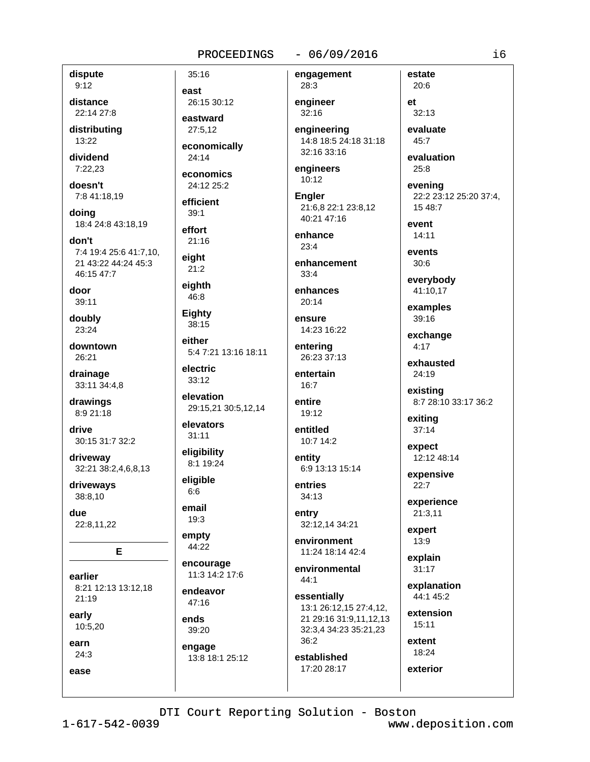### $-06/09/2016$

engagement

28:3

dispute  $9:12$ 

distance 22:14 27:8

distributing 13:22

dividend  $7:22.23$ 

doesn't 7:8 41:18,19

doina 18:4 24:8 43:18.19

don't 7:4 19:4 25:6 41:7,10, 21 43:22 44:24 45:3 46:15 47:7

door 39:11

doubly 23:24

downtown 26:21

drainage 33:11 34:4,8

drawings 8:9 21:18

drive 30:15 31:7 32:2

driveway 32:21 38:2,4,6,8,13

driveways 38:8,10

due 22:8,11,22

E

earlier 8:21 12:13 13:12,18 21:19

early 10:5,20

earn  $24:3$ 

ease

 $35:16$ east 26:15 30:12 eastward  $27:5.12$ economically

 $24:14$ economics

24:12 25:2

efficient  $39:1$ 

effort  $21:16$ 

eight  $21:2$ 

eighth 46:8

Eighty

38:15 either 5:4 7:21 13:16 18:11

electric  $33:12$ 

elevation 29:15,21 30:5,12,14

elevators  $31:11$ 

eligibility 8:1 19:24

eligible  $6:6$ 

email 19:3

empty 44:22

encourage 11:3 14:2 17:6

endeavor  $47:16$ 

ends 39:20

engage 13:8 18:1 25:12 engineer  $32:16$ 

engineering 14:8 18:5 24:18 31:18 32:16 33:16

engineers  $10:12$ 

**Engler** 21:6,8 22:1 23:8,12 40:21 47:16

enhance  $23:4$ 

enhancement  $33:4$ 

enhances  $20:14$ 

ensure 14:23 16:22

entering 26:23 37:13

entertain  $16:7$ 

entire 19:12

entitled 10:7 14:2

entity 6:9 13:13 15:14

entries  $34:13$ 

entry 32:12,14 34:21

environment 11:24 18:14 42:4

environmental  $44:1$ 

essentially 13:1 26:12,15 27:4,12, 21 29:16 31:9,11,12,13 32:3,4 34:23 35:21,23  $36:2$ 

established 17:20 28:17

 $et$  $32:13$ 

estate

20:6

evaluate 45:7 evaluation

 $25:8$ 

evening 22:2 23:12 25:20 37:4, 15 48:7

event  $14:11$ 

events  $30:6$ 

everybody 41:10,17

examples 39:16

exchange  $4:17$ 

exhausted  $24:19$ 

existing 8:7 28:10 33:17 36:2

exiting  $37:14$ 

expect 12:12 48:14

expensive  $22:7$ 

experience  $21:3,11$ 

expert 13:9

> explain  $31:17$

explanation 44:1 45:2

extension  $15:11$ 

extent 18:24

exterior

DTI Court Reporting Solution - Boston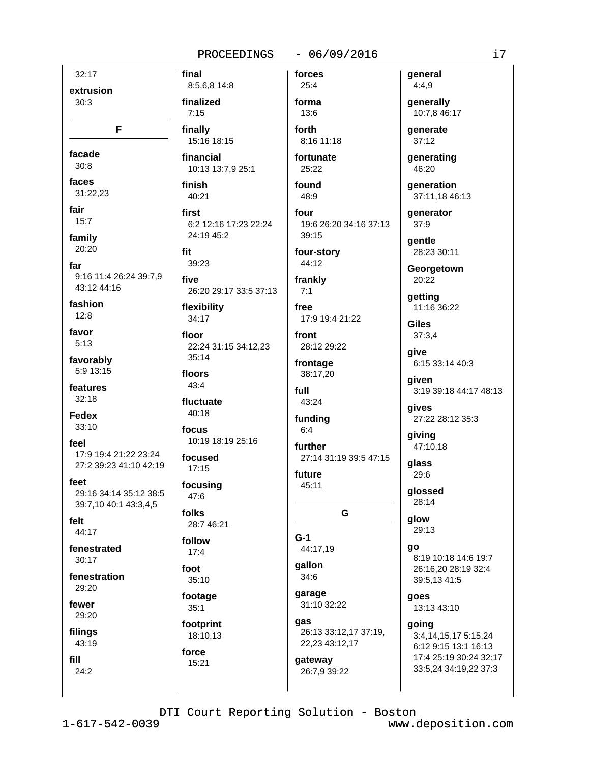#### $-06/09/2016$ PROCEEDINGS

 $32:17$ extrusion  $30:3$ F

facade  $30:8$ 

faces 31:22.23

fair  $15:7$ 

family 20:20

far 9:16 11:4 26:24 39:7.9 43:12 44:16

fashion  $12:8$ 

favor  $5:13$ 

favorably 5:9 13:15

features  $32:18$ 

**Fedex** 33:10

feel 17:9 19:4 21:22 23:24 27:2 39:23 41:10 42:19

feet 29:16 34:14 35:12 38:5 39:7,10 40:1 43:3,4,5

felt  $44:17$ 

fenestrated  $30.17$ 

fenestration 29:20

fewer 29:20

filings 43:19

fill  $24:2$ 

8:5,6,8 14:8 finalized  $7:15$ finally

final

15:16 18:15

financial 10:13 13:7,9 25:1

finish 40:21

first 6:2 12:16 17:23 22:24 24:19 45:2

fit 39:23

five 26:20 29:17 33:5 37:13

flexibility 34:17

floor 22:24 31:15 34:12,23  $35:14$ 

floors  $43:4$ 

fluctuate

40:18 focus

10:19 18:19 25:16

focused  $17:15$ 

focusing  $47:6$ 

folks 28:7 46:21

follow  $17:4$ 

foot 35:10

footage  $35:1$ 

footprint 18:10,13 force

15:21

 $25:4$ forma 13:6

forces

forth 8:16 11:18

fortunate 25:22

found 48:9

four 19:6 26:20 34:16 37:13  $39:15$ 

four-story 44:12

frankly  $7:1$ 

free 17:9 19:4 21:22

front 28:12 29:22

frontage 38:17,20

full

43:24 funding

 $6:4$ 

further 27:14 31:19 39:5 47:15

future 45:11

G

 $G-1$ 44:17,19

qallon 34:6

garage 31:10 32:22

qas 26:13 33:12,17 37:19,

22,23 43:12,17 gateway

26:7,9 39:22

general  $4:4,9$ generally

10:7,8 46:17 **generate** 

37:12

generating 46:20

qeneration 37:11,18 46:13

**generator**  $37:9$ 

qentle 28:23 30:11

Georgetown 20:22

qetting 11:16 36:22

**Giles**  $37:3.4$ 

give 6:15 33:14 40:3

aiven 3:19 39:18 44:17 48:13

gives 27:22 28:12 35:3

giving 47:10.18

glass 29:6

glossed 28:14

glow 29:13

qo 8:19 10:18 14:6 19:7 26:16.20 28:19 32:4 39:5,13 41:5

qoes 13:13 43:10

going 3:4,14,15,17 5:15,24 6:12 9:15 13:1 16:13 17:4 25:19 30:24 32:17 33:5,24 34:19,22 37:3

DTI Court Reporting Solution - Boston

 $1 - 617 - 542 - 0039$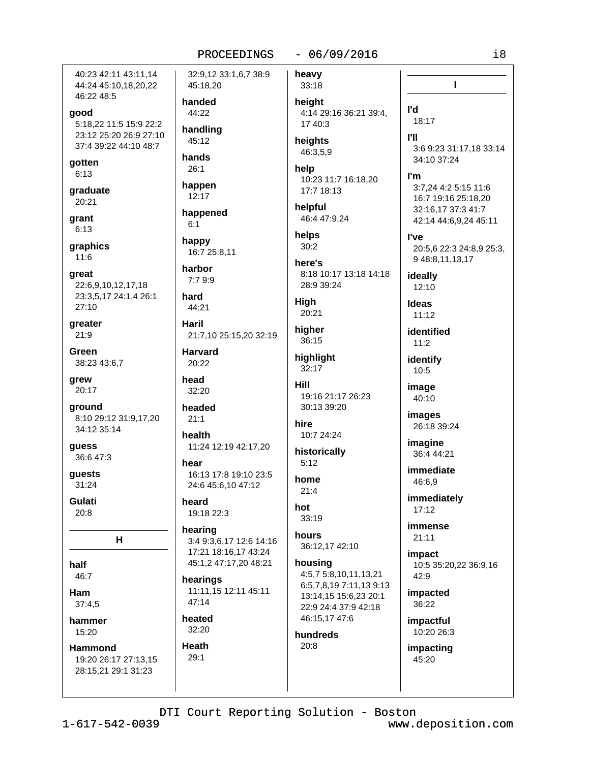40:23 42:11 43:11.14 44:24 45:10,18,20,22 46:22 48:5

### good

5:18.22 11:5 15:9 22:2 23:12 25:20 26:9 27:10 37:4 39:22 44:10 48:7

gotten  $6:13$ 

graduate 20:21

grant  $6:13$ 

graphics  $11:6$ 

qreat 22:6,9,10,12,17,18 23:3,5,17 24:1,4 26:1 27:10

greater 21:9

Green 38:23 43:6,7

qrew 20:17

ground 8:10 29:12 31:9,17,20 34:12 35:14

guess 36:6 47:3

guests  $31:24$ 

Gulati  $20:8$ 

н

half

46:7 Ham

 $37:4.5$ 

hammer 15:20

Hammond 19:20 26:17 27:13,15 28:15,21 29:1 31:23

32:9,12 33:1,6,7 38:9 45:18,20 handed 44:22 handling 45:12 hands  $26:1$ happen 12:17 happened  $6:1$ happy 16:7 25:8,11

harbor  $7:79:9$ 

hard 44:21

**Haril** 21:7.10 25:15.20 32:19

**Harvard** 20:22

head  $32:20$ 

headed

 $21:1$ health

11:24 12:19 42:17,20

hear 16:13 17:8 19:10 23:5 24:6 45:6,10 47:12

heard 19:18 22:3

hearing 3:4 9:3,6,17 12:6 14:16 17:21 18:16,17 43:24 45:1,2 47:17,20 48:21

hearings 11:11,15 12:11 45:11 47:14

heated 32:20

Heath

 $29:1$ 

 $-06/09/2016$ 

heavy

33:18 height 4:14 29:16 36:21 39:4, 17 40:3

heights 46:3,5,9

help 10:23 11:7 16:18,20 17:7 18:13

helpful 46:4 47:9.24

helps  $30:2$ 

here's 8:18 10:17 13:18 14:18 28:9 39:24

High 20:21

higher 36:15

highlight  $32:17$ 

Hill 19:16 21:17 26:23 30:13 39:20

hire 10:7 24:24

historically  $5:12$ 

home  $21:4$ 

 $33:19$ 

hot

hours 36:12,17 42:10

> housing 4:5,7 5:8,10,11,13,21 6:5,7,8,19 7:11,13 9:13 13:14,15 15:6,23 20:1 22:9 24:4 37:9 42:18 46:15,17 47:6

hundreds  $20:8$ 

 $i8$ 

**I'll** 3:6 9:23 31:17,18 33:14 34:10 37:24

 $\mathbf{I}$ 

I'm

l'd

18:17

3:7.24 4:2 5:15 11:6 16:7 19:16 25:18.20 32:16,17 37:3 41:7 42:14 44:6,9,24 45:11

**I've** 

20:5,6 22:3 24:8,9 25:3, 9 48:8,11,13,17

ideally  $12:10$ 

**Ideas**  $11:12$ 

identified  $11:2$ 

identify 10:5

image 40:10

images 26:18 39:24

imagine 36:4 44:21

immediate 46:6,9

immediately  $17:12$ 

immense  $21:11$ 

impact 10:5 35:20,22 36:9,16 42:9

impacted 36:22

impactful 10:20 26:3

impacting 45:20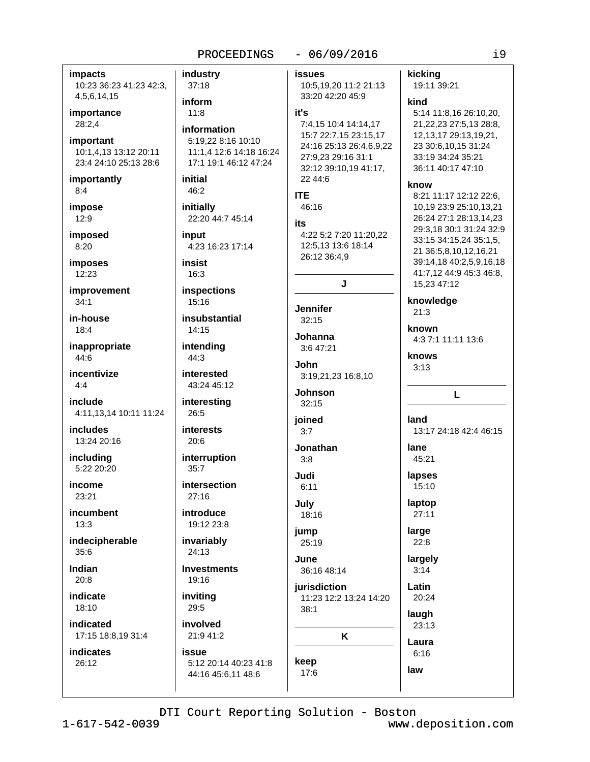### $-06/09/2016$

**impacts** 10:23 36:23 41:23 42:3, 4,5,6,14,15

importance 28:2.4

important 10:1,4,13 13:12 20:11 23:4 24:10 25:13 28:6

importantly  $8:4$ 

impose  $12:9$ 

**imposed** 8:20

imposes

 $12:23$ 

improvement  $34:1$ 

in-house  $18.4$ 

inappropriate 44:6

incentivize  $4:4$ 

include 4:11,13,14 10:11 11:24

**includes** 13:24 20:16

including 5:22 20:20

income  $23.21$ 

incumbent  $13:3$ 

indecipherable  $35:6$ 

Indian  $20:8$ 

indicate 18:10

indicated

17:15 18:8.19 31:4

**indicates**  $26:12$ 

industry  $37:18$ inform  $11:8$ information 5:19,22 8:16 10:10 11:1.4 12:6 14:18 16:24 17:1 19:1 46:12 47:24 initial 46:2 **ITE** 46:16 initially 22:20 44:7 45:14 its input 4:23 16:23 17:14 insist  $16:3$ inspections  $15:16$ insubstantial  $14.15$ intending 44:3 interested 43:24 45:12 interesting 26:5 ioined **interests**  $20:6$ interruption  $35:7$ Judi  $27.16$ July 19:12 23:8 iump invariably  $25:19$  $24:13$ June 19:16 inviting 29:5  $38:1$ 

involved 21:9 41:2 **issue** 

5:12 20:14 40:23 41:8 44:16 45:6,11 48:6

**issues** 10:5,19,20 11:2 21:13 33:20 42:20 45:9

### it's

7:4,15 10:4 14:14,17 15:7 22:7,15 23:15,17 24:16 25:13 26:4,6,9,22 27:9,23 29:16 31:1 32:12 39:10.19 41:17. 22 44:6

intersection

introduce

**Investments** 

4:22 5:2 7:20 11:20,22 12:5.13 13:6 18:14 26:12 36:4.9 J

**Jennifer** 

 $32:15$ Johanna

3:6 47:21 .John

3:19,21,23 16:8,10 Johnson

 $32:15$ 

 $3.7$ 

Jonathan  $3:8$ 

 $6:11$ 

18:16

36:16 48:14

iurisdiction 11:23 12:2 13:24 14:20

K

keep

17:6

### 12, 13, 17 29: 13, 19, 21, 23 30:6,10,15 31:24

kind

kicking

19:11 39:21

33:19 34:24 35:21 36:11 40:17 47:10

5:14 11:8,16 26:10,20,

21, 22, 23 27: 5, 13 28: 8,

### know

8:21 11:17 12:12 22:6. 10,19 23:9 25:10,13,21 26:24 27:1 28:13,14,23 29:3,18 30:1 31:24 32:9 33:15 34:15,24 35:1,5, 21 36:5,8,10,12,16,21 39:14.18 40:2.5.9.16.18 41:7,12 44:9 45:3 46:8, 15,23 47:12

knowledge  $21:3$ 

known

4:3 7:1 11:11 13:6

### knows

 $3:13$ 

### L

land

13:17 24:18 42:4 46:15

lane 45:21

lapses

15:10 laptop

 $27:11$ 

large

# $22:8$ largely

 $3:14$ 

# Latin 20:24

laugh  $23:13$ 

Laura  $6:16$ 

law

DTI Court Reporting Solution - Boston www.deposition.com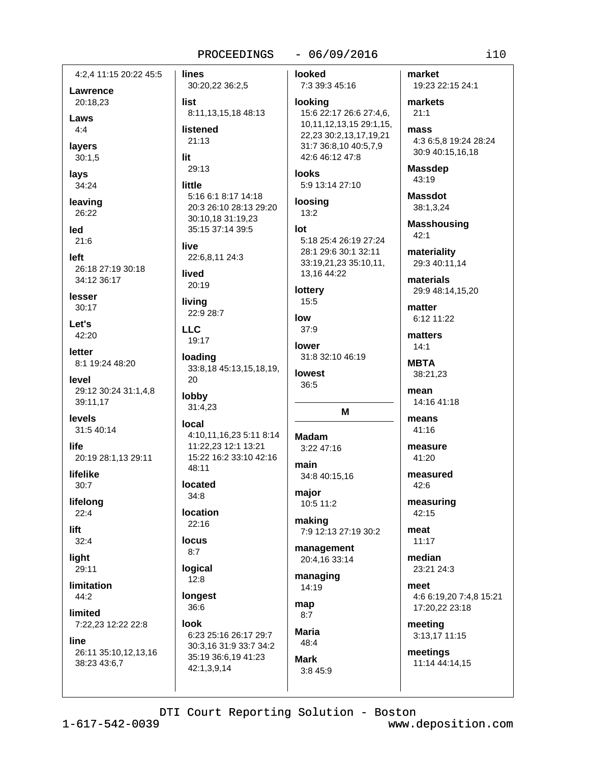4:2.4 11:15 20:22 45:5

Lawrence 20:18,23

Laws  $4.4$ 

layers  $30:1,5$ 

lays 34:24

leaving 26:22

led  $21:6$ 

left 26:18 27:19 30:18 34:12 36:17

lesser 30:17

Let's 42:20

letter 8:1 19:24 48:20

level 29:12 30:24 31:1,4,8 39:11,17

levels 31:5 40:14

life 20:19 28:1,13 29:11

lifelike  $30:7$ 

lifelong  $22:4$ 

lift  $32:4$ 

liaht

29:11 limitation

 $44:2$ 

limited 7:22,23 12:22 22:8

### line

26:11 35:10,12,13,16 38:23 43:6,7

**lines** 30:20,22 36:2,5 list 8:11,13,15,18 48:13 listened

21:13 lit

29:13

little 5:16 6:1 8:17 14:18 20:3 26:10 28:13 29:20 30:10,18 31:19,23 35:15 37:14 39:5

live 22:6.8.11 24:3

lived  $20:19$ 

living 22:9 28:7

LLC. 19:17

loading 33:8,18 45:13,15,18,19, 20

lobby 31:4,23

local 4:10,11,16,23 5:11 8:14 11:22,23 12:1 13:21 15:22 16:2 33:10 42:16 48:11

located  $34:8$ 

**location**  $22:16$ 

**locus**  $8:7$ 

logical

 $12:8$ longest

36:6 **Innk** 

6:23 25:16 26:17 29:7 30:3,16 31:9 33:7 34:2 35:19 36:6,19 41:23 42:1,3,9,14

 $-06/09/2016$ 

looked 7:3 39:3 45:16

looking 15:6 22:17 26:6 27:4,6, 10,11,12,13,15 29:1,15, 22,23 30:2,13,17,19,21 31:7 36:8,10 40:5,7,9 42:6 46:12 47:8

**looks** 5:9 13:14 27:10

loosing  $13:2$ 

### $Int$ 5:18 25:4 26:19 27:24 28:1 29:6 30:1 32:11 33:19,21,23 35:10,11, 13,16 44:22

lottery 15:5

low

37:9 lower 31:8 32:10 46:19

**lowest** 36:5

# M

**Madam**  $3:2247:16$ main

34:8 40:15,16 major 10:5 11:2

making 7:9 12:13 27:19 30:2

management 20:4,16 33:14

managing 14:19

map  $8:7$ 

**Maria**  $48:4$ Mark

3:8 45:9

market 19:23 22:15 24:1

markets  $21:1$ mass 4:3 6:5,8 19:24 28:24

30:9 40:15,16,18

**Massdep**  $43:19$ 

**Massdot** 38:1,3,24

**Masshousing**  $42:1$ 

materiality 29:3 40:11,14

materials 29:9 48:14,15,20

matter 6:12 11:22

matters  $14:1$ 

**MBTA** 38:21.23

mean 14:16 41:18

means 41:16

measure 41:20

measured  $42:6$ 

measuring 42:15

meat  $11:17$ 

median 23:21 24:3

meet 4:6 6:19,20 7:4,8 15:21 17:20,22 23:18

meeting 3:13,17 11:15

meetings 11:14 44:14,15

DTI Court Reporting Solution - Boston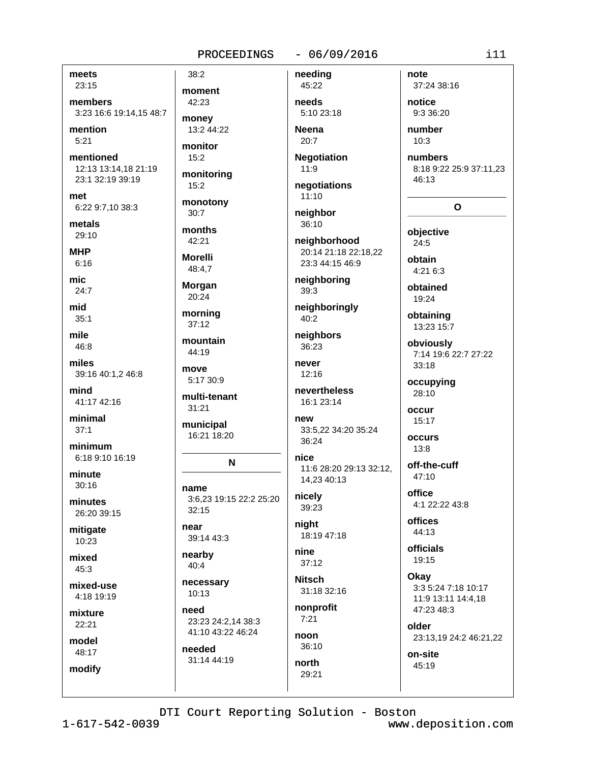### $-06/09/2016$

meets 23:15

members 3:23 16:6 19:14.15 48:7

mention  $5:21$ 

mentioned 12:13 13:14,18 21:19 23:1 32:19 39:19

met 6:22 9:7,10 38:3

metals  $29:10$ 

**MHP**  $6:16$ 

mic.  $24.7$ 

mid  $35:1$ 

mile 46:8

miles 39:16 40:1,2 46:8

mind 41:17 42:16

minimal  $37:1$ 

minimum 6:18 9:10 16:19

minute  $30:16$ 

minutes 26:20 39:15

mitigate 10:23

mixed 45:3

mixed-use 4:18 19:19

mixture 22:21

model

48:17 modify moment 42:23 money

 $38:2$ 

13:2 44:22 monitor  $15:2$ 

monitoring  $15:2$ 

monotony  $30:7$ 

months 42:21

**Morelli** 48:4.7

Morgan 20:24

morning

 $37:12$ mountain

44:19 move 5:17 30:9

multi-tenant

31:21 municipal 16:21 18:20

### N

name 3:6,23 19:15 22:2 25:20  $32.15$ 

near 39:14 43:3

nearby 40:4

necessary 10:13

need 23:23 24:2.14 38:3 41:10 43:22 46:24

needed 31:14 44:19 needs 5:10 23:18 **Neena** 

needing

45:22

20:7 **Negotiation** 

 $11:9$ 

negotiations  $11:10$ 

neighbor

36:10 neighborhood

20:14 21:18 22:18,22 23:3 44:15 46:9

neighboring  $39:3$ 

neighboringly 40:2

neighbors 36:23

never  $12:16$ 

nevertheless 16:1 23:14

new 33:5.22 34:20 35:24 36:24

nice 11:6 28:20 29:13 32:12, 14,23 40:13

nicely 39:23

night 18:19 47:18

nine  $37:12$ 

**Nitsch** 31:18 32:16

nonprofit  $7:21$ 

noon  $36:10$ 

north 29:21

37:24 38:16 notice

9:3 36:20 number

note

 $10:3$ 

numbers 8:18 9:22 25:9 37:11,23 46:13

## $\mathbf{o}$

objective  $24:5$ obtain  $4:216:3$ 

obtained 19:24

obtaining 13:23 15:7

obviously 7:14 19:6 22:7 27:22 33:18

occupying 28:10

occur 15:17

occurs  $13:8$ 

off-the-cuff 47:10 office

4:1 22:22 43:8

**offices**  $44:13$ 

**officials** 19:15

Okay 3:3 5:24 7:18 10:17 11:9 13:11 14:4,18 47:23 48:3

older 23:13,19 24:2 46:21,22

on-site 45:19

DTI Court Reporting Solution - Boston

 $1 - 617 - 542 - 0039$ 

www.deposition.com

 $111$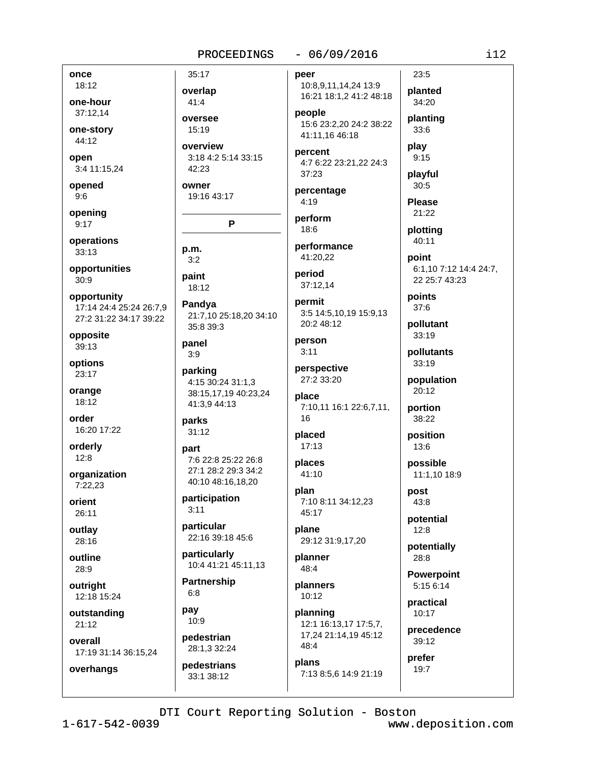### $-06/09/2016$

once 18:12

one-hour 37:12.14

one-story 44:12

open 3:4 11:15,24

opened

 $9:6$ 

opening  $9:17$ 

operations  $33:13$ 

opportunities  $30:9$ 

opportunity 17:14 24:4 25:24 26:7.9 27:2 31:22 34:17 39:22

opposite 39:13

options 23:17

orange 18:12

order 16:20 17:22

orderly  $12:8$ 

organization 7:22.23

orient 26:11

outlay 28:16

outline 28:9

outright 12:18 15:24

outstanding  $21:12$ 

overhangs

overall 17:19 31:14 36:15,24 overlap oversee overview

3:18 4:2 5:14 33:15 42:23

P

owner 19:16 43:17

35:17

41:4

15:19

p.m.  $3:2$ 

paint 18:12

Pandya 21:7,10 25:18,20 34:10 35:8 39:3

panel  $3:9$ 

parking 4:15 30:24 31:1,3 38:15,17,19 40:23,24 41:3.9 44:13

parks  $31:12$ 

### part 7:6 22:8 25:22 26:8 27:1 28:2 29:3 34:2 40:10 48:16,18,20

participation  $3:11$ 

particular 22:16 39:18 45:6

particularly 10:4 41:21 45:11,13

**Partnership**  $6:8$ 

pay 10:9

pedestrian 28:1,3 32:24

pedestrians 33:1 38:12

peer

10:8,9,11,14,24 13:9 planted 16:21 18:1,2 41:2 48:18 people

15:6 23:2,20 24:2 38:22 41:11,16 46:18

percent 4:7 6:22 23:21.22 24:3 37:23

percentage  $4:19$ 

perform 18:6

performance 41:20.22

period 37:12.14

permit 3:5 14:5,10,19 15:9,13 20:2 48:12

person  $3:11$ 

perspective 27:2 33:20

place 7:10,11 16:1 22:6,7,11, 16

placed  $17:13$ 

places 41:10

plan 7:10 8:11 34:12,23 45:17

plane 29:12 31:9,17,20

planner 48:4

planners 10:12

planning 12:1 16:13,17 17:5,7, 17,24 21:14,19 45:12 48:4

plans 7:13 8:5,6 14:9 21:19

34:20 planting  $33:6$ play  $9:15$ 

 $23:5$ 

playful  $30:5$ 

**Please** 21:22

plotting  $40:11$ 

point 6:1,10 7:12 14:4 24:7, 22 25:7 43:23

points 37:6

pollutant 33:19

pollutants 33:19

population  $20:12$ 

portion 38:22

position  $13:6$ 

possible 11:1,10 18:9

post 43:8

potential  $12:8$ 

potentially 28:8

**Powerpoint** 5:15 6:14

practical 10:17

precedence 39:12

prefer 19:7

DTI Court Reporting Solution - Boston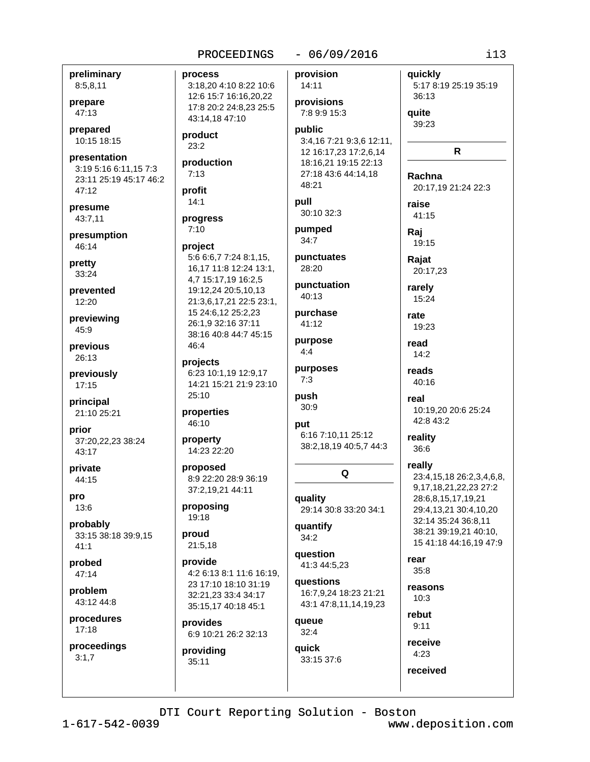| 8:5,8,11                                                               | 3:18,20 4:10 8:22 10:6                                             | 14:11                                                       |
|------------------------------------------------------------------------|--------------------------------------------------------------------|-------------------------------------------------------------|
| orepare                                                                | 12:6 15:7 16:16,20,22<br>17:8 20:2 24:8,23 25:5                    | provisions                                                  |
| 47:13                                                                  | 43:14,18 47:10                                                     | 7:8 9:9 15:3                                                |
| orepared<br>10:15 18:15                                                | product<br>23:2                                                    | public<br>3:4,16 7:21 9:3,6 12:1<br>12 16:17,23 17:2,6,14   |
| <b>presentation</b><br>3:19 5:16 6:11,15 7:3<br>23:11 25:19 45:17 46:2 | production<br>7:13                                                 | 18:16,21 19:15 22:13<br>27:18 43:6 44:14,18<br>48:21        |
| 47:12                                                                  | profit<br>14:1                                                     | pull                                                        |
| <b>resume</b>                                                          |                                                                    | 30:10 32:3                                                  |
| 43:7,11                                                                | progress<br>7:10                                                   | pumped                                                      |
| oresumption                                                            |                                                                    | 34:7                                                        |
| 46:14<br><b>pretty</b>                                                 | project<br>5:6 6:6,7 7:24 8:1,15,<br>16,17 11:8 12:24 13:1,        | punctuates<br>28:20                                         |
| 33:24                                                                  | 4,7 15:17,19 16:2,5                                                | punctuation                                                 |
| งrevented<br>12:20                                                     | 19:12,24 20:5,10,13<br>21:3,6,17,21 22:5 23:1,                     | 40:13                                                       |
| previewing<br>45.9                                                     | 15 24:6,12 25:2,23<br>26:1,9 32:16 37:11<br>38:16 40:8 44:7 45:15  | purchase<br>41:12                                           |
| <b>previous</b><br>26:13                                               | 46:4                                                               | purpose<br>4:4                                              |
| previously<br>17:15                                                    | projects<br>6:23 10:1,19 12:9,17<br>14:21 15:21 21:9 23:10         | purposes<br>7:3                                             |
| <b>principal</b><br>21:10 25:21                                        | 25:10<br>properties<br>46:10                                       | push<br>30:9                                                |
| orior.<br>37:20,22,23 38:24<br>43:17                                   | property<br>14:23 22:20                                            | put<br>6:16 7:10,11 25:12<br>38:2,18,19 40:5,7 44:          |
| <b>private</b><br>44:15                                                | proposed<br>8:9 22:20 28:9 36:19                                   | Q                                                           |
| on(<br>13:6                                                            | 37:2,19,21 44:11<br>proposing                                      | quality<br>29:14 30:8 33:20 34:1                            |
| <b>probably</b><br>33:15 38:18 39:9,15<br>41:1                         | 19:18<br>proud<br>21:5,18                                          | quantify<br>34:2                                            |
| orobed<br>47:14                                                        | provide<br>4:2 6:13 8:1 11:6 16:19,                                | question<br>41:3 44:5,23                                    |
| problem.<br>43:12 44:8                                                 | 23 17:10 18:10 31:19<br>32:21,23 33:4 34:17<br>35:15,17 40:18 45:1 | questions<br>16:7,9,24 18:23 21:21<br>43:1 47:8,11,14,19,23 |
| procedures<br>17:18                                                    | provides<br>6:9 10:21 26:2 32:13                                   | queue<br>32:4                                               |
| proceedings<br>3:1,7                                                   | providing<br>35:11                                                 | quick<br>33:15 37:6                                         |
|                                                                        | DTI Court Reporting Solution - Bo                                  |                                                             |

1, 3

 $-06/09/2016$ 

provision

PROCEEDINGS

process

preliminary

prepare

prepared 10:15 18:15

presume

pretty

previous

previously

principal

prior

private

probed

problem

procedures

proceedings

probably

pro

prevented

previewing

presumption

presentation

quickly 5:17 8:19 25:19 35:19 36:13 quite 39:23  $\mathsf{R}$ Rachna 20:17,19 21:24 22:3 raise 41:15 Raj 19:15 Rajat 20:17,23 rarely 15:24 rate 19:23 read  $14:2$ reads 40:16 real 10:19.20 20:6 25:24 42:8 43:2 reality 36:6 really 23:4,15,18 26:2,3,4,6,8, 9, 17, 18, 21, 22, 23 27: 2 28:6,8,15,17,19,21 29:4,13,21 30:4,10,20 32:14 35:24 36:8.11 38:21 39:19,21 40:10, 15 41:18 44:16,19 47:9 rear  $35:8$ reasons  $10:3$ rebut  $9:11$ receive  $4:23$ 

 $i13$ 

oston

received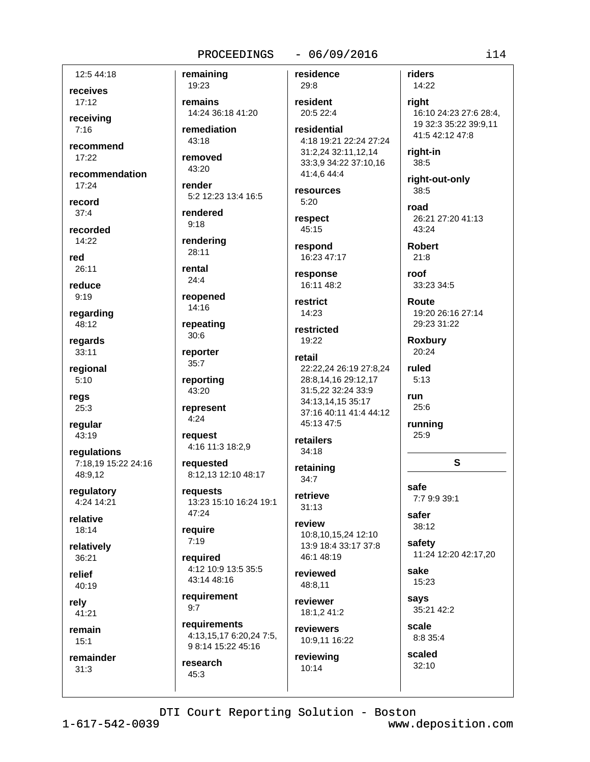### $-06/09/2016$

12:5 44:18

receives  $17:12$ 

receivina  $7:16$ 

recommend 17:22

recommendation  $17:24$ 

record  $37:4$ 

recorded 14:22

red 26:11

reduce

 $9:19$ 

regarding 48:12

regards 33:11

regional  $5:10$ 

regs 25:3

regular 43:19

regulations 7:18,19 15:22 24:16 48:9.12

regulatory 4:24 14:21

relative 18:14

relatively 36:21

relief 40:19

relv

41:21 remain

 $15:1$ 

remainder  $31:3$ 

residence remaining 19:23 29:8 remains resident 14:24 36:18 41:20 20:5 22:4 remediation 43:18 removed  $43:20$ render 5:2 12:23 13:4 16:5 rendered  $9:18$ rendering 28:11 rental  $24:4$ reopened 14:16 repeating  $30:6$ reporter retail 35:7 reporting 43:20 represent  $4:24$ request 4:16 11:3 18:2,9 requested 8:12,13 12:10 48:17 requests 13:23 15:10 16:24 19:1 47:24 require  $7:19$ reauired 4:12 10:9 13:5 35:5 43:14 48:16 requirement requirements 4:13,15,17 6:20,24 7:5,

residential 4:18 19:21 22:24 27:24 31:2,24 32:11,12,14 33:3,9 34:22 37:10,16 41:4,6 44:4 resources  $5:20$ respect 45:15 respond 16:23 47:17 response 16:11 48:2 restrict 14:23 restricted 19:22 22:22.24 26:19 27:8.24 28:8.14,16 29:12,17 31:5,22 32:24 33:9 34:13.14.15 35:17 37:16 40:11 41:4 44:12 45:13 47:5 retailers  $34:18$ retaining  $34:7$  $31:13$ review 10:8.10,15,24 12:10 13:9 18:4 33:17 37:8 46:1 48:19 reviewed 48:8.11 reviewer 18:1.2 41:2

reviewing 10:14

riders 14:22

right 16:10 24:23 27:6 28:4, 19 32:3 35:22 39:9,11 41:5 42:12 47:8

right-in 38:5

right-out-only 38:5

road 26:21 27:20 41:13 43:24

**Robert**  $21:8$ 

roof 33:23 34:5

> Route 19:20 26:16 27:14 29:23 31:22

**Roxbury** 20:24

ruled  $5.13$ 

run 25:6

running 25:9

safe

safer

38:12

safety

sake

says

15:23

7:7 9:9 39:1

S

11:24 12:20 42:17,20

retrieve

reviewers 10:9,11 16:22

35:21 42:2 scale 8:8 35:4

scaled 32:10

DTI Court Reporting Solution - Boston

 $1 - 617 - 542 - 0039$ 

 $9:7$ 

research

 $45:3$ 

9 8:14 15:22 45:16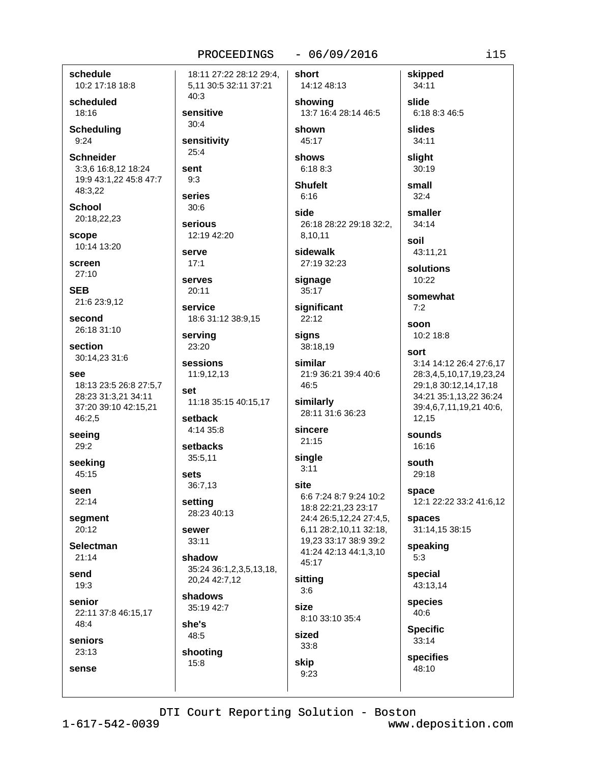### $-06/09/2016$

schedule 10:2 17:18 18:8

scheduled 18:16

**Scheduling**  $9:24$ 

**Schneider** 3:3.6 16:8.12 18:24 19:9 43:1,22 45:8 47:7 48:3,22

**School** 20:18,22,23

scope 10:14 13:20

screen  $27:10$ 

**SEB** 21:6 23:9,12

second 26:18 31:10

section 30:14,23 31:6

- See 18:13 23:5 26:8 27:5,7 28:23 31:3,21 34:11 37:20 39:10 42:15,21 46:2,5
- seeing 29:2

seeking 45:15

seen 22:14

segment  $20:12$ 

**Selectman**  $21:14$ 

send  $19.3$ 

senior 22:11 37:8 46:15,17 48:4

she's

48:5

15:8

shooting

# seniors 23:13 sense

PROCEEDINGS 18:11 27:22 28:12 29:4. 5,11 30:5 32:11 37:21 40:3 sensitive  $30:4$ sensitivity  $25:4$ sent  $9:3$ series  $30:6$ serious 12:19 42:20 serve  $17:1$ serves  $20:11$ service 18:6 31:12 38:9,15 servina 23:20 sessions 11:9,12,13 set 11:18 35:15 40:15,17 setback 4:14 35:8 setbacks 35:5,11 sets 36:7,13 setting 28:23 40:13 sewer 33:11 shadow 35:24 36:1,2,3,5,13,18, 20,24 42:7,12 shadows 35:19 42:7

short 14:12 48:13 showing 13:7 16:4 28:14 46:5 shown 45:17 shows  $6:18.8:3$ **Shufelt**  $6:16$ side 26:18 28:22 29:18 32:2. 8.10.11 sidewalk 27:19 32:23 signage  $35:17$ significant 22:12 sians 38:18,19 similar 21:9 36:21 39:4 40:6 46:5 similarly 28:11 31:6 36:23

sincere  $21:15$ 

```
single
3:11
```
site 6:6 7:24 8:7 9:24 10:2 18:8 22:21,23 23:17 24:4 26:5,12,24 27:4,5, 6,11 28:2,10,11 32:18, 19,23 33:17 38:9 39:2 41:24 42:13 44:1,3,10 45:17 sittina  $3:6$ size 8:10 33:10 35:4 sized  $33:8$ 

34:11 slide 6:18 8:3 46:5 slides 34:11 sliaht  $30:19$ small

skipped

 $32:4$ smaller

 $34:14$ soil

43:11,21

solutions  $10:22$ 

somewhat  $7:2$ 

soon 10:2 18:8

sort 3:14 14:12 26:4 27:6,17 28:3,4,5,10,17,19,23,24 29:1.8 30:12.14.17.18 34:21 35:1,13,22 36:24 39:4,6,7,11,19,21 40:6, 12,15

sounds 16:16

south 29:18

space 12:1 22:22 33:2 41:6,12

spaces 31:14,15 38:15

speaking  $5:3$ 

special 43:13.14

species 40:6

**Specific**  $33:14$ 

specifies 48:10

DTI Court Reporting Solution - Boston

skip

 $9:23$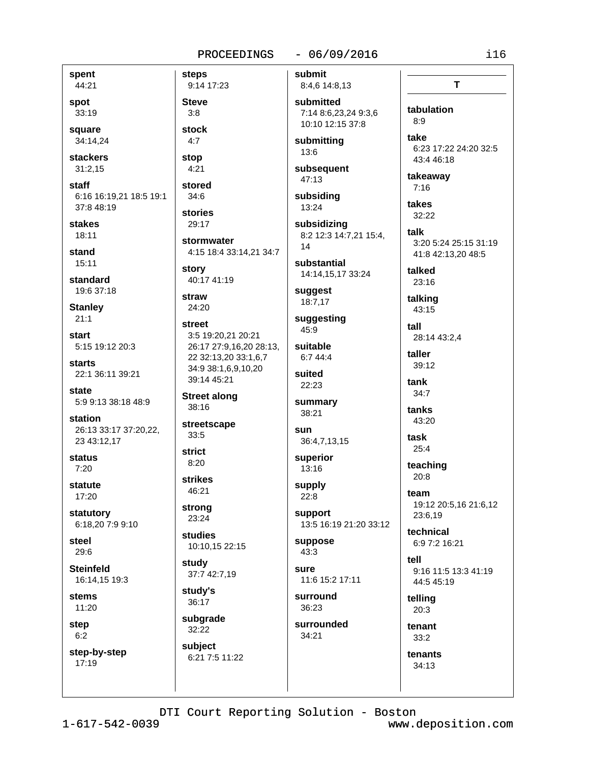### $-06/09/2016$

spent 44:21 spot 33:19 square

34:14,24 **stackers** 

 $31:2.15$ staff

6:16 16:19,21 18:5 19:1 37:8 48:19

**stakes**  $18:11$ 

stand  $15:11$ 

standard 19:6 37:18

**Stanley**  $21:1$ 

start 5:15 19:12 20:3

**starts** 22:1 36:11 39:21

state 5:9 9:13 38:18 48:9

station 26:13 33:17 37:20,22, 23 43:12,17

status  $7:20$ 

statute  $17:20$ 

statutory 6:18.20 7:9 9:10

steel 29:6

**Steinfeld** 16:14.15 19:3

**stems** 11:20

step  $6:2$ 

step-by-step  $17:19$ 

9:14 17:23 **Steve**  $3:8$ stock  $4:7$ 

**steps** 

stop  $4:21$ stored

 $34:6$ 

stories 29:17

stormwater 4:15 18:4 33:14,21 34:7 story

40:17 41:19

straw 24:20

street 3:5 19:20.21 20:21 26:17 27:9,16,20 28:13, 22 32:13,20 33:1,6,7 34:9 38:1,6,9,10,20 39:14 45:21

**Street along** 38:16

streetscape  $33:5$ 

**strict**  $8:20$ 

**strikes** 46:21

strong 23:24

studies 10:10,15 22:15

study 37:7 42:7,19

study's 36:17

subgrade 32:22 subject

6:21 7:5 11:22

submit 8:4,6 14:8,13 submitted

7:14 8:6.23.24 9:3.6 10:10 12:15 37:8

submitting 13:6

subsequent 47:13

subsiding 13:24

subsidizing 8:2 12:3 14:7,21 15:4, 14

substantial 14:14,15,17 33:24

suggest 18:7,17

suggesting 45:9

suitable 6:7 44:4 suited

22:23 summary

38:21 sun

36:4,7,13,15 superior

13:16

supply  $22:8$ 

support 13:5 16:19 21:20 33:12

suppose  $43:3$ 

sure 11:6 15:2 17:11

surround 36:23

surrounded 34:21

take 6:23 17:22 24:20 32:5 43:4 46:18 takeaway  $7:16$ 

tabulation

 $8:9$ 

 $\mathbf{T}$ 

takes 32:22

talk 3:20 5:24 25:15 31:19 41:8 42:13,20 48:5

talked 23:16

talking 43:15

 $f<sub>all</sub>$ 28:14 43:2,4

taller 39:12

tank  $34:7$ 

tanks 43:20

task  $25:4$ 

teaching 20:8

team 19:12 20:5,16 21:6,12 23:6,19

technical 6:9 7:2 16:21

tell 9:16 11:5 13:3 41:19 44:5 45:19

telling  $20:3$ 

tenant  $33:2$ 

> tenants 34:13

DTI Court Reporting Solution - Boston

 $1 - 617 - 542 - 0039$ 

www.deposition.com

 $i16$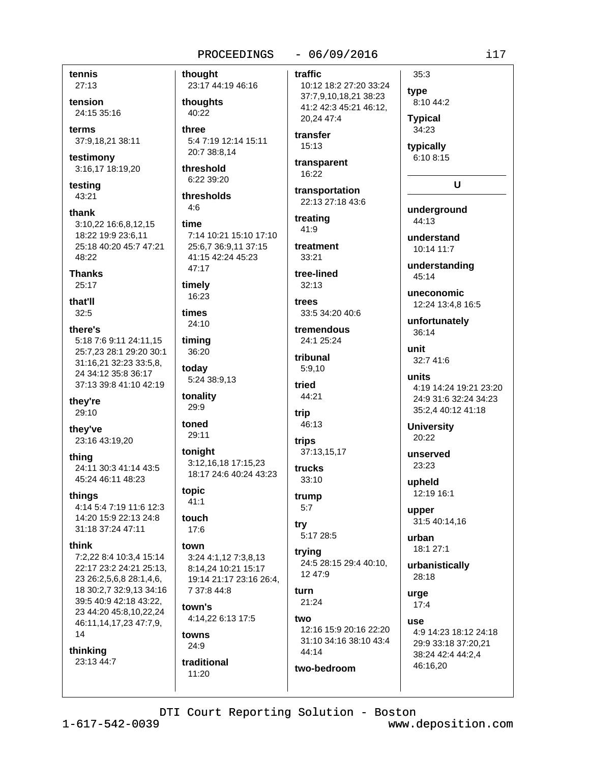tennis  $27:13$ 

tension 24:15 35:16

terms 37:9,18,21 38:11

testimony 3:16,17 18:19,20

testing 43:21

thank 3:10.22 16:6.8.12.15 18:22 19:9 23:6,11 25:18 40:20 45:7 47:21 48:22

**Thanks**  $25:17$ 

that'll  $32:5$ 

there's 5:18 7:6 9:11 24:11.15 25:7,23 28:1 29:20 30:1 31:16,21 32:23 33:5,8, 24 34:12 35:8 36:17 37:13 39:8 41:10 42:19

thev're 29:10

they've 23:16 43:19,20

thina 24:11 30:3 41:14 43:5 45:24 46:11 48:23

things 4:14 5:4 7:19 11:6 12:3 14:20 15:9 22:13 24:8 31:18 37:24 47:11

### think

7:2.22 8:4 10:3.4 15:14 22:17 23:2 24:21 25:13, 23 26:2,5,6,8 28:1,4,6, 18 30:2,7 32:9,13 34:16 39:5 40:9 42:18 43:22, 23 44:20 45:8,10,22,24 46:11,14,17,23 47:7,9, 14

thinking 23:13 44:7 thought 23:17 44:19 46:16

thoughts 40:22

three 5:4 7:19 12:14 15:11 20:7 38:8.14

threshold 6:22 39:20

thresholds  $4:6$ 

# time

7:14 10:21 15:10 17:10 25:6,7 36:9,11 37:15 41:15 42:24 45:23 47:17

timely 16:23

times

24:10 timing 36:20

todav 5:24 38:9,13

tonality 29:9

toned 29:11

tonight 3:12,16,18 17:15,23 18:17 24:6 40:24 43:23

topic  $41:1$ 

touch  $17.6$ 

### town

3:24 4:1,12 7:3,8,13 8:14.24 10:21 15:17 19:14 21:17 23:16 26:4. 7 37:8 44:8

town's 4:14,22 6:13 17:5

### towns  $24:9$

traditional 11:20

# $-06/09/2016$

traffic 10:12 18:2 27:20 33:24 37:7,9,10,18,21 38:23 41:2 42:3 45:21 46:12, 20.24 47:4

transfer  $15:13$ 

transparent 16:22

transportation 22:13 27:18 43:6

treating  $41:9$ 

treatment  $33:21$ 

tree-lined  $32:13$ 

trees 33:5 34:20 40:6

tremendous 24:1 25:24

tribunal  $5:9.10$ 

tried 44:21

trip 46:13

trips 37:13,15,17

trucks 33:10

trump  $5:7$ 

try 5:17 28:5

trying 24:5 28:15 29:4 40:10. 12 47:9

furn 21:24

two-bedroom

two 12:16 15:9 20:16 22:20 31:10 34:16 38:10 43:4 44:14

# type 8:10 44:2 **Typical**

 $35:3$ 

34:23

typically 6:10 8:15

# U

underground 44:13

understand 10:14 11:7

understanding 45:14

uneconomic 12:24 13:4.8 16:5

unfortunately 36:14

unit 32:7 41:6

units 4:19 14:24 19:21 23:20 24:9 31:6 32:24 34:23 35:2.4 40:12 41:18

**University** 20:22

unserved 23:23

upheld 12:19 16:1

upper 31:5 40:14,16

urban 18:1 27:1

urbanistically 28:18

urge  $17:4$ 

1194 4:9 14:23 18:12 24:18 29:9 33:18 37:20.21 38:24 42:4 44:2,4 46:16,20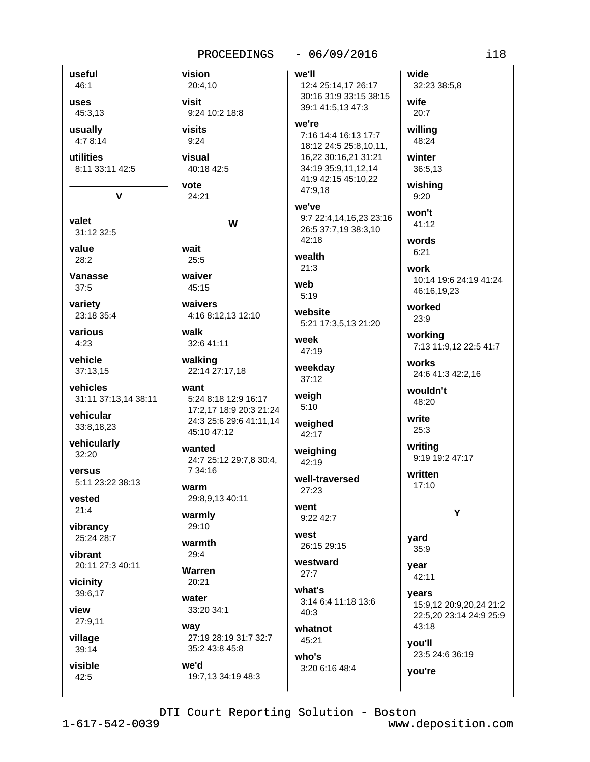## $-06/09/2016$ PROCEEDINGS vision wide we'll 20:4,10 12:4 25:14,17 26:17 32:23 38:5,8 30:16 31:9 33:15 38:15 visit wife 39:1 41:5.13 47:3 9:24 10:2 18:8  $20:7$ 45:3,13 we're usually visits willing 7:16 14:4 16:13 17:7 4:78:14  $9:24$ 48:24 18:12 24:5 25:8,10,11, utilities visual 16,22 30:16,21 31:21 winter 8:11 33:11 42:5 40:18 42:5 34:19 35:9,11,12,14 36:5,13 41:9 42:15 45:10,22 vote wishing 47:9,18  $\overline{\mathsf{v}}$ 24:21  $9:20$ we've won't 9:7 22:4,14,16,23 23:16 W  $41:12$ 26:5 37:7,19 38:3,10 31:12 32:5 42:18 words wait  $6:21$ wealth  $25:5$  $21:3$ work **Vanasse** waiver 10:14 19:6 24:19 41:24 web 45:15 46:16,19,23  $5:19$ variety waivers worked website 23:18 35:4 4:16 8:12,13 12:10  $23:9$ 5:21 17:3,5,13 21:20 various walk workina week 32:6 41:11 7:13 11:9,12 22:5 41:7 47:19 vehicle walking works weekday 37:13,15 22:14 27:17,18 24:6 41:3 42:2,16  $37:12$ vehicles want wouldn't weigh 31:11 37:13.14 38:11 5:24 8:18 12:9 16:17 48:20  $5:10$ 17:2,17 18:9 20:3 21:24 vehicular write 24:3 25:6 29:6 41:11,14 weighed 33:8,18,23  $25:3$ 45:10 47:12 42:17 vehicularly writing wanted weighing 9:19 19:2 47:17 24:7 25:12 29:7,8 30:4, 42:19 7 34:16 written well-traversed 5:11 23:22 38:13  $17:10$ warm 27:23 29:8,9,13 40:11 went Y warmly  $9:2242:7$  $29:10$ vibrancy west 25:24 28:7 yard warmth 26:15 29:15  $35:9$ vibrant  $29.4$ westward 20:11 27:3 40:11 vear Warren  $27:7$ 42:11 20:21 vicinity what's 39:6,17 years water 3:14 6:4 11:18 13:6 15:9,12 20:9,20,24 21:2 33:20 34:1  $40:3$ 22:5,20 23:14 24:9 25:9

27:9,11

view

useful

 $46:1$ 

uses

valet

value

 $28:2$ 

 $37:5$ 

 $4:23$ 

 $32:20$ 

versus

vested

 $21:4$ 

village 39:14

visible 42:5

DTI Court Reporting Solution - Boston

whatnot

45:21

who's

3:20 6:16 48:4

way

we'd

27:19 28:19 31:7 32:7

19:7,13 34:19 48:3

35:2 43:8 45:8

www.deposition.com

23:5 24:6 36:19

43:18

vou'll

you're

 $i18$